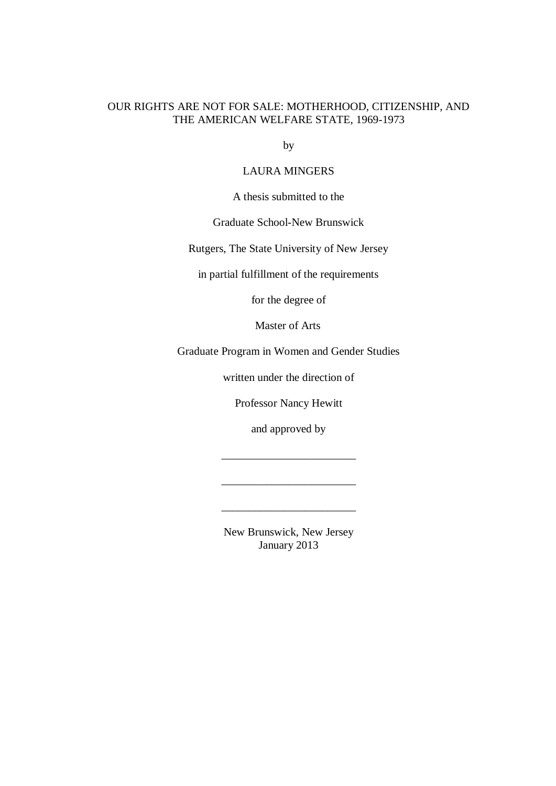### OUR RIGHTS ARE NOT FOR SALE: MOTHERHOOD, CITIZENSHIP, AND THE AMERICAN WELFARE STATE, 1969-1973

by

## LAURA MINGERS

A thesis submitted to the

## Graduate School-New Brunswick

Rutgers, The State University of New Jersey

in partial fulfillment of the requirements

for the degree of

Master of Arts

Graduate Program in Women and Gender Studies

written under the direction of

Professor Nancy Hewitt

and approved by

\_\_\_\_\_\_\_\_\_\_\_\_\_\_\_\_\_\_\_\_\_\_\_\_

\_\_\_\_\_\_\_\_\_\_\_\_\_\_\_\_\_\_\_\_\_\_\_\_

New Brunswick, New Jersey January 2013

\_\_\_\_\_\_\_\_\_\_\_\_\_\_\_\_\_\_\_\_\_\_\_\_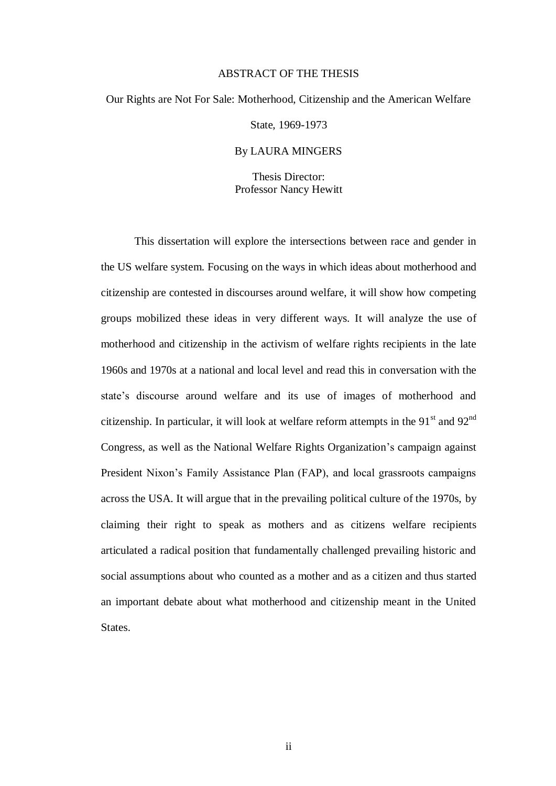#### ABSTRACT OF THE THESIS

### <span id="page-1-0"></span>Our Rights are Not For Sale: Motherhood, Citizenship and the American Welfare

#### State, 1969-1973

#### By LAURA MINGERS

Thesis Director: Professor Nancy Hewitt

This dissertation will explore the intersections between race and gender in the US welfare system. Focusing on the ways in which ideas about motherhood and citizenship are contested in discourses around welfare, it will show how competing groups mobilized these ideas in very different ways. It will analyze the use of motherhood and citizenship in the activism of welfare rights recipients in the late 1960s and 1970s at a national and local level and read this in conversation with the state's discourse around welfare and its use of images of motherhood and citizenship. In particular, it will look at welfare reform attempts in the  $91<sup>st</sup>$  and  $92<sup>nd</sup>$ Congress, as well as the National Welfare Rights Organization's campaign against President Nixon's Family Assistance Plan (FAP), and local grassroots campaigns across the USA. It will argue that in the prevailing political culture of the 1970s, by claiming their right to speak as mothers and as citizens welfare recipients articulated a radical position that fundamentally challenged prevailing historic and social assumptions about who counted as a mother and as a citizen and thus started an important debate about what motherhood and citizenship meant in the United States.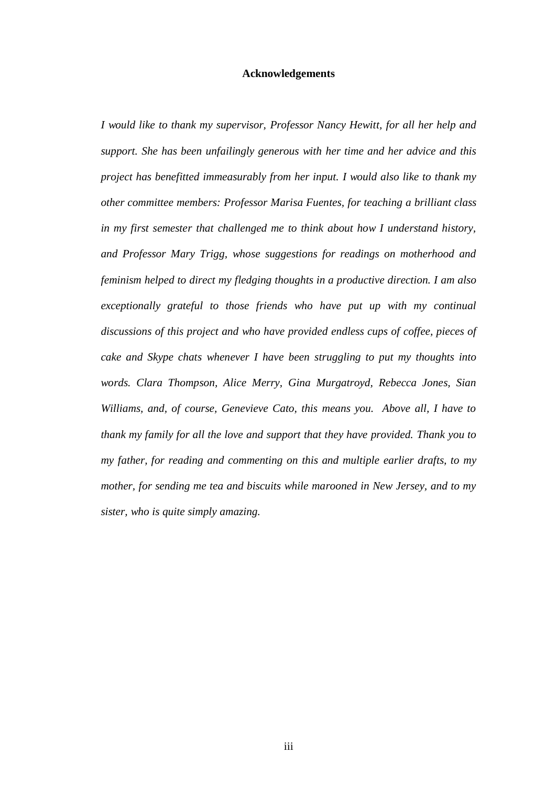#### **Acknowledgements**

*I would like to thank my supervisor, Professor Nancy Hewitt, for all her help and support. She has been unfailingly generous with her time and her advice and this project has benefitted immeasurably from her input. I would also like to thank my other committee members: Professor Marisa Fuentes, for teaching a brilliant class in my first semester that challenged me to think about how I understand history, and Professor Mary Trigg, whose suggestions for readings on motherhood and feminism helped to direct my fledging thoughts in a productive direction. I am also exceptionally grateful to those friends who have put up with my continual discussions of this project and who have provided endless cups of coffee, pieces of cake and Skype chats whenever I have been struggling to put my thoughts into words. Clara Thompson, Alice Merry, Gina Murgatroyd, Rebecca Jones, Sian Williams, and, of course, Genevieve Cato, this means you. Above all, I have to thank my family for all the love and support that they have provided. Thank you to my father, for reading and commenting on this and multiple earlier drafts, to my mother, for sending me tea and biscuits while marooned in New Jersey, and to my sister, who is quite simply amazing.*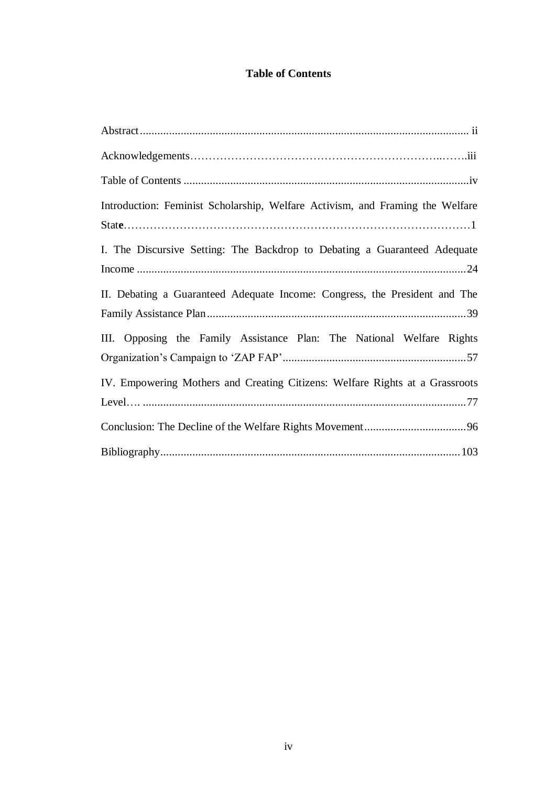# **Table of Contents**

| Introduction: Feminist Scholarship, Welfare Activism, and Framing the Welfare |
|-------------------------------------------------------------------------------|
| I. The Discursive Setting: The Backdrop to Debating a Guaranteed Adequate     |
| II. Debating a Guaranteed Adequate Income: Congress, the President and The    |
| III. Opposing the Family Assistance Plan: The National Welfare Rights         |
| IV. Empowering Mothers and Creating Citizens: Welfare Rights at a Grassroots  |
|                                                                               |
|                                                                               |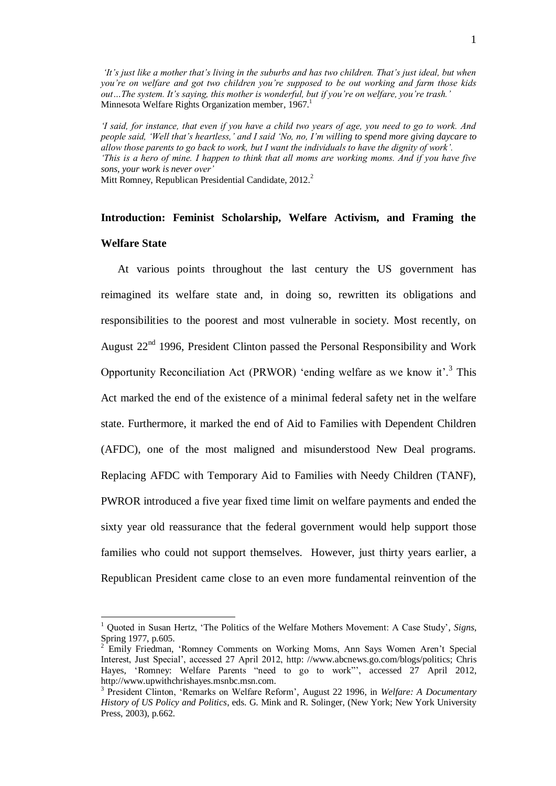*'It's just like a mother that's living in the suburbs and has two children. That's just ideal, but when you're on welfare and got two children you're supposed to be out working and farm those kids out…The system. It's saying, this mother is wonderful, but if you're on welfare, you're trash.'* Minnesota Welfare Rights Organization member, 1967.<sup>1</sup>

*'I said, for instance, that even if you have a child two years of age, you need to go to work. And people said, 'Well that's heartless,' and I said 'No, no, I'm willing to spend more giving daycare to allow those parents to go back to work, but I want the individuals to have the dignity of work'. 'This is a hero of mine. I happen to think that all moms are working moms. And if you have five sons, your work is never over'* Mitt Romney, Republican Presidential Candidate, 2012.<sup>2</sup>

# <span id="page-4-0"></span>**Introduction: Feminist Scholarship, Welfare Activism, and Framing the Welfare State**

At various points throughout the last century the US government has reimagined its welfare state and, in doing so, rewritten its obligations and responsibilities to the poorest and most vulnerable in society. Most recently, on August 22nd 1996, President Clinton passed the Personal Responsibility and Work Opportunity Reconciliation Act (PRWOR) 'ending welfare as we know it'.<sup>3</sup> This Act marked the end of the existence of a minimal federal safety net in the welfare state. Furthermore, it marked the end of Aid to Families with Dependent Children (AFDC), one of the most maligned and misunderstood New Deal programs. Replacing AFDC with Temporary Aid to Families with Needy Children (TANF), PWROR introduced a five year fixed time limit on welfare payments and ended the sixty year old reassurance that the federal government would help support those families who could not support themselves. However, just thirty years earlier, a Republican President came close to an even more fundamental reinvention of the

<sup>1</sup> Quoted in Susan Hertz, 'The Politics of the Welfare Mothers Movement: A Case Study', *Signs*, Spring 1977, p.605.

<sup>2</sup> Emily Friedman, 'Romney Comments on Working Moms, Ann Says Women Aren't Special Interest, Just Special', accessed 27 April 2012, http: //www.abcnews.go.com/blogs/politics; Chris Hayes, 'Romney: Welfare Parents "need to go to work"', accessed 27 April 2012, http://www.upwithchrishayes.msnbc.msn.com.

<sup>3</sup> President Clinton, 'Remarks on Welfare Reform', August 22 1996, in *Welfare: A Documentary History of US Policy and Politics*, eds. G. Mink and R. Solinger, (New York; New York University Press, 2003), p.662.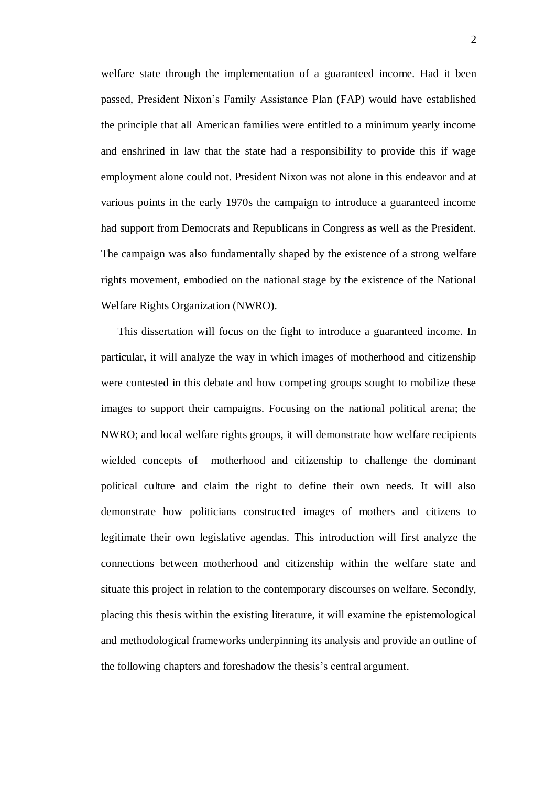welfare state through the implementation of a guaranteed income. Had it been passed, President Nixon's Family Assistance Plan (FAP) would have established the principle that all American families were entitled to a minimum yearly income and enshrined in law that the state had a responsibility to provide this if wage employment alone could not. President Nixon was not alone in this endeavor and at various points in the early 1970s the campaign to introduce a guaranteed income had support from Democrats and Republicans in Congress as well as the President. The campaign was also fundamentally shaped by the existence of a strong welfare rights movement, embodied on the national stage by the existence of the National Welfare Rights Organization (NWRO).

This dissertation will focus on the fight to introduce a guaranteed income. In particular, it will analyze the way in which images of motherhood and citizenship were contested in this debate and how competing groups sought to mobilize these images to support their campaigns. Focusing on the national political arena; the NWRO; and local welfare rights groups, it will demonstrate how welfare recipients wielded concepts of motherhood and citizenship to challenge the dominant political culture and claim the right to define their own needs. It will also demonstrate how politicians constructed images of mothers and citizens to legitimate their own legislative agendas. This introduction will first analyze the connections between motherhood and citizenship within the welfare state and situate this project in relation to the contemporary discourses on welfare. Secondly, placing this thesis within the existing literature, it will examine the epistemological and methodological frameworks underpinning its analysis and provide an outline of the following chapters and foreshadow the thesis's central argument.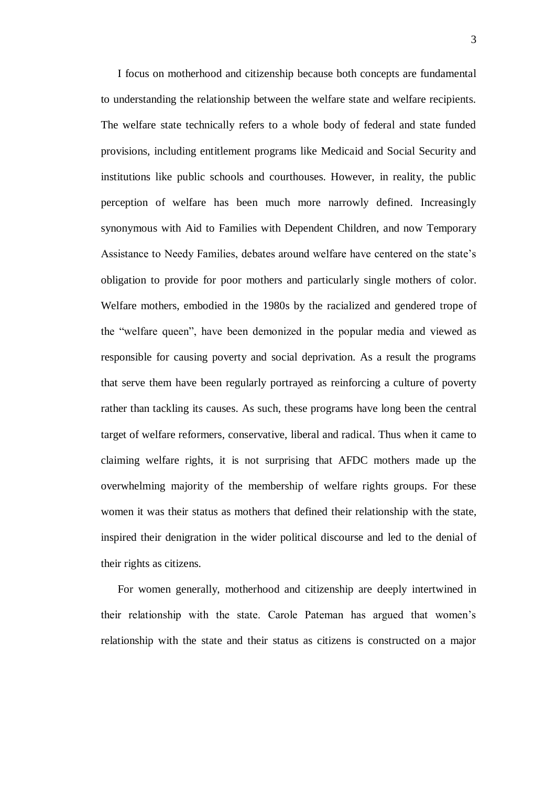I focus on motherhood and citizenship because both concepts are fundamental to understanding the relationship between the welfare state and welfare recipients. The welfare state technically refers to a whole body of federal and state funded provisions, including entitlement programs like Medicaid and Social Security and institutions like public schools and courthouses. However, in reality, the public perception of welfare has been much more narrowly defined. Increasingly synonymous with Aid to Families with Dependent Children, and now Temporary Assistance to Needy Families, debates around welfare have centered on the state's obligation to provide for poor mothers and particularly single mothers of color. Welfare mothers, embodied in the 1980s by the racialized and gendered trope of the "welfare queen", have been demonized in the popular media and viewed as responsible for causing poverty and social deprivation. As a result the programs that serve them have been regularly portrayed as reinforcing a culture of poverty rather than tackling its causes. As such, these programs have long been the central target of welfare reformers, conservative, liberal and radical. Thus when it came to claiming welfare rights, it is not surprising that AFDC mothers made up the overwhelming majority of the membership of welfare rights groups. For these women it was their status as mothers that defined their relationship with the state, inspired their denigration in the wider political discourse and led to the denial of their rights as citizens.

For women generally, motherhood and citizenship are deeply intertwined in their relationship with the state. Carole Pateman has argued that women's relationship with the state and their status as citizens is constructed on a major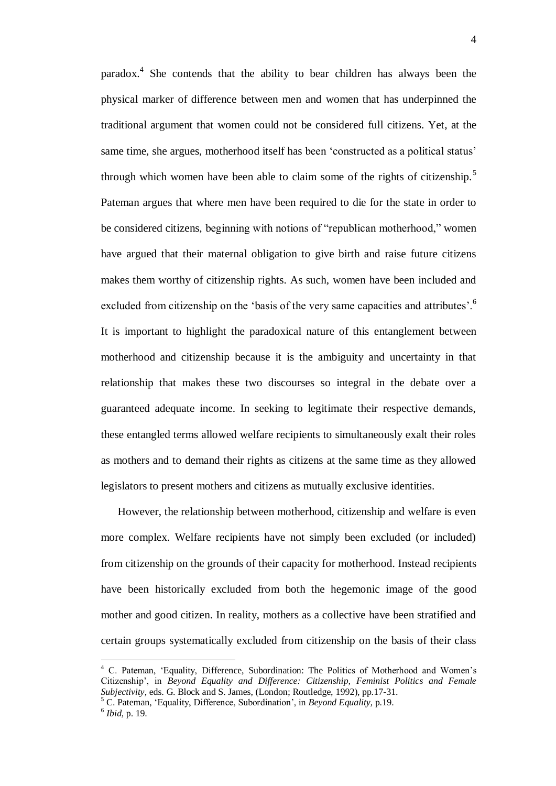paradox.<sup>4</sup> She contends that the ability to bear children has always been the physical marker of difference between men and women that has underpinned the traditional argument that women could not be considered full citizens. Yet, at the same time, she argues, motherhood itself has been 'constructed as a political status' through which women have been able to claim some of the rights of citizenship.<sup>5</sup> Pateman argues that where men have been required to die for the state in order to be considered citizens, beginning with notions of "republican motherhood," women have argued that their maternal obligation to give birth and raise future citizens makes them worthy of citizenship rights. As such, women have been included and excluded from citizenship on the 'basis of the very same capacities and attributes'.<sup>6</sup> It is important to highlight the paradoxical nature of this entanglement between motherhood and citizenship because it is the ambiguity and uncertainty in that relationship that makes these two discourses so integral in the debate over a guaranteed adequate income. In seeking to legitimate their respective demands, these entangled terms allowed welfare recipients to simultaneously exalt their roles as mothers and to demand their rights as citizens at the same time as they allowed legislators to present mothers and citizens as mutually exclusive identities.

However, the relationship between motherhood, citizenship and welfare is even more complex. Welfare recipients have not simply been excluded (or included) from citizenship on the grounds of their capacity for motherhood. Instead recipients have been historically excluded from both the hegemonic image of the good mother and good citizen. In reality, mothers as a collective have been stratified and certain groups systematically excluded from citizenship on the basis of their class

<sup>4</sup> C. Pateman, 'Equality, Difference, Subordination: The Politics of Motherhood and Women's Citizenship', in *Beyond Equality and Difference: Citizenship, Feminist Politics and Female Subjectivity,* eds. G. Block and S. James, (London; Routledge, 1992), pp.17-31.

<sup>5</sup> C. Pateman, 'Equality, Difference, Subordination', in *Beyond Equality,* p.19.

<sup>6</sup> *Ibid,* p. 19.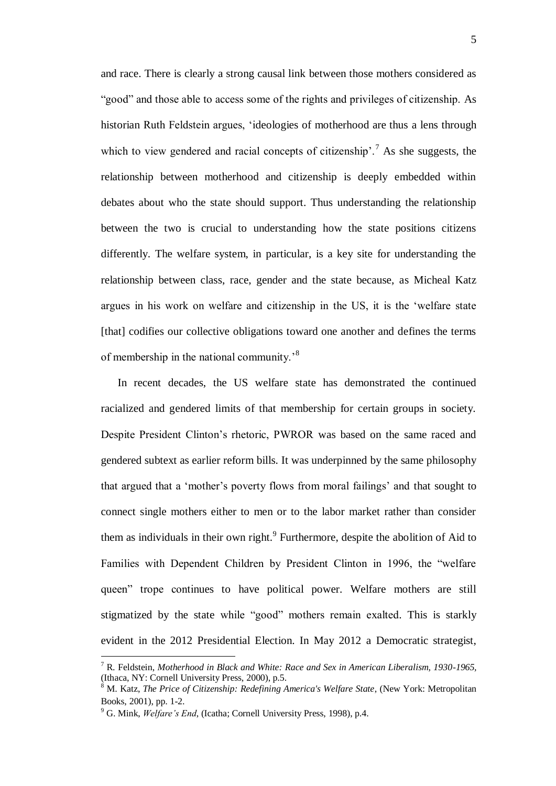and race. There is clearly a strong causal link between those mothers considered as "good" and those able to access some of the rights and privileges of citizenship. As historian Ruth Feldstein argues, 'ideologies of motherhood are thus a lens through which to view gendered and racial concepts of citizenship'.<sup>7</sup> As she suggests, the relationship between motherhood and citizenship is deeply embedded within debates about who the state should support. Thus understanding the relationship between the two is crucial to understanding how the state positions citizens differently. The welfare system, in particular, is a key site for understanding the relationship between class, race, gender and the state because, as Micheal Katz argues in his work on welfare and citizenship in the US, it is the 'welfare state [that] codifies our collective obligations toward one another and defines the terms of membership in the national community.'<sup>8</sup>

In recent decades, the US welfare state has demonstrated the continued racialized and gendered limits of that membership for certain groups in society. Despite President Clinton's rhetoric, PWROR was based on the same raced and gendered subtext as earlier reform bills. It was underpinned by the same philosophy that argued that a 'mother's poverty flows from moral failings' and that sought to connect single mothers either to men or to the labor market rather than consider them as individuals in their own right. $<sup>9</sup>$  Furthermore, despite the abolition of Aid to</sup> Families with Dependent Children by President Clinton in 1996, the "welfare queen" trope continues to have political power. Welfare mothers are still stigmatized by the state while "good" mothers remain exalted. This is starkly evident in the 2012 Presidential Election. In May 2012 a Democratic strategist,

<sup>7</sup> R. Feldstein, *Motherhood in Black and White: Race and Sex in American Liberalism, 1930-1965,*  (Ithaca, NY: Cornell University Press, 2000), p.5.

<sup>8</sup> M. Katz, *The Price of Citizenship: Redefining America's Welfare State*, (New York: Metropolitan Books, 2001), pp. 1-2.

<sup>9</sup> G. Mink, *Welfare's End*, (Icatha; Cornell University Press, 1998), p.4.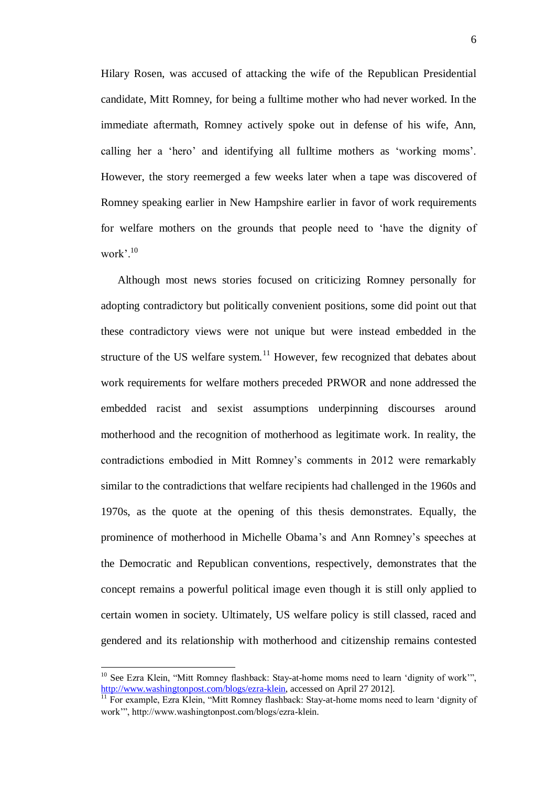Hilary Rosen, was accused of attacking the wife of the Republican Presidential candidate, Mitt Romney, for being a fulltime mother who had never worked. In the immediate aftermath, Romney actively spoke out in defense of his wife, Ann, calling her a 'hero' and identifying all fulltime mothers as 'working moms'. However, the story reemerged a few weeks later when a tape was discovered of Romney speaking earlier in New Hampshire earlier in favor of work requirements for welfare mothers on the grounds that people need to 'have the dignity of work'.<sup>10</sup>

Although most news stories focused on criticizing Romney personally for adopting contradictory but politically convenient positions, some did point out that these contradictory views were not unique but were instead embedded in the structure of the US welfare system. $11$  However, few recognized that debates about work requirements for welfare mothers preceded PRWOR and none addressed the embedded racist and sexist assumptions underpinning discourses around motherhood and the recognition of motherhood as legitimate work. In reality, the contradictions embodied in Mitt Romney's comments in 2012 were remarkably similar to the contradictions that welfare recipients had challenged in the 1960s and 1970s, as the quote at the opening of this thesis demonstrates. Equally, the prominence of motherhood in Michelle Obama's and Ann Romney's speeches at the Democratic and Republican conventions, respectively, demonstrates that the concept remains a powerful political image even though it is still only applied to certain women in society. Ultimately, US welfare policy is still classed, raced and gendered and its relationship with motherhood and citizenship remains contested

<sup>&</sup>lt;sup>10</sup> See Ezra Klein, "Mitt Romney flashback: Stay-at-home moms need to learn 'dignity of work'", [http://www.washingtonpost.com/blogs/ezra-klein,](http://www.washingtonpost.com/blogs/ezra-klein) accessed on April 27 2012].

<sup>&</sup>lt;sup>11</sup> For example, Ezra Klein, "Mitt Romney flashback: Stay-at-home moms need to learn 'dignity of work'", http://www.washingtonpost.com/blogs/ezra-klein.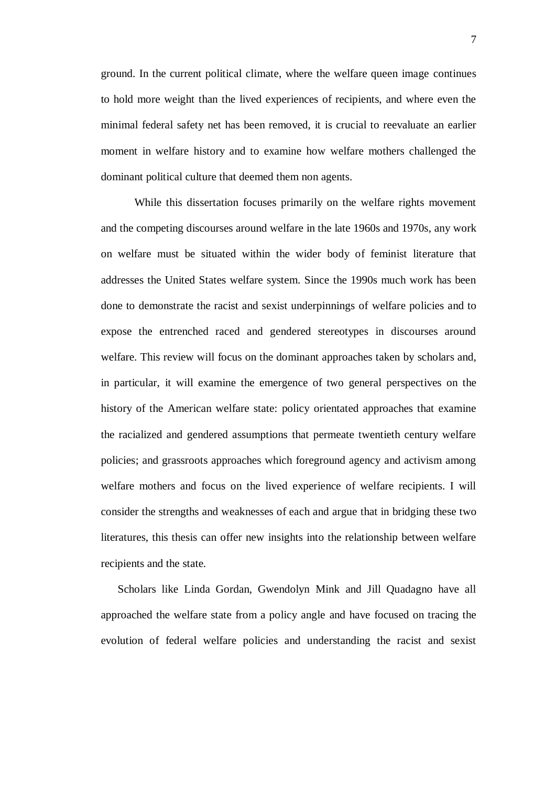ground. In the current political climate, where the welfare queen image continues to hold more weight than the lived experiences of recipients, and where even the minimal federal safety net has been removed, it is crucial to reevaluate an earlier moment in welfare history and to examine how welfare mothers challenged the dominant political culture that deemed them non agents.

While this dissertation focuses primarily on the welfare rights movement and the competing discourses around welfare in the late 1960s and 1970s, any work on welfare must be situated within the wider body of feminist literature that addresses the United States welfare system. Since the 1990s much work has been done to demonstrate the racist and sexist underpinnings of welfare policies and to expose the entrenched raced and gendered stereotypes in discourses around welfare. This review will focus on the dominant approaches taken by scholars and, in particular, it will examine the emergence of two general perspectives on the history of the American welfare state: policy orientated approaches that examine the racialized and gendered assumptions that permeate twentieth century welfare policies; and grassroots approaches which foreground agency and activism among welfare mothers and focus on the lived experience of welfare recipients. I will consider the strengths and weaknesses of each and argue that in bridging these two literatures, this thesis can offer new insights into the relationship between welfare recipients and the state.

Scholars like Linda Gordan, Gwendolyn Mink and Jill Quadagno have all approached the welfare state from a policy angle and have focused on tracing the evolution of federal welfare policies and understanding the racist and sexist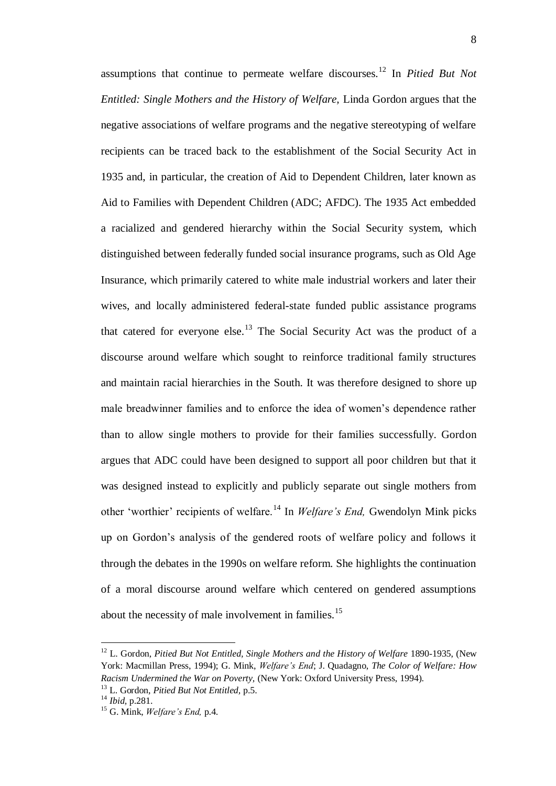assumptions that continue to permeate welfare discourses.<sup>12</sup> In *Pitied But Not Entitled: Single Mothers and the History of Welfare,* Linda Gordon argues that the negative associations of welfare programs and the negative stereotyping of welfare recipients can be traced back to the establishment of the Social Security Act in 1935 and, in particular, the creation of Aid to Dependent Children, later known as Aid to Families with Dependent Children (ADC; AFDC). The 1935 Act embedded a racialized and gendered hierarchy within the Social Security system, which distinguished between federally funded social insurance programs, such as Old Age Insurance, which primarily catered to white male industrial workers and later their wives, and locally administered federal-state funded public assistance programs that catered for everyone else.<sup>13</sup> The Social Security Act was the product of a discourse around welfare which sought to reinforce traditional family structures and maintain racial hierarchies in the South. It was therefore designed to shore up male breadwinner families and to enforce the idea of women's dependence rather than to allow single mothers to provide for their families successfully. Gordon argues that ADC could have been designed to support all poor children but that it was designed instead to explicitly and publicly separate out single mothers from other 'worthier' recipients of welfare.<sup>14</sup> In *Welfare's End,* Gwendolyn Mink picks up on Gordon's analysis of the gendered roots of welfare policy and follows it through the debates in the 1990s on welfare reform. She highlights the continuation of a moral discourse around welfare which centered on gendered assumptions about the necessity of male involvement in families.<sup>15</sup>

<sup>13</sup> L. Gordon, *Pitied But Not Entitled,* p.5.

<sup>&</sup>lt;sup>12</sup> L. Gordon, *Pitied But Not Entitled, Single Mothers and the History of Welfare 1890-1935*, (New York: Macmillan Press, 1994); G. Mink, *Welfare's End*; J. Quadagno, *The Color of Welfare: How Racism Undermined the War on Poverty,* (New York: Oxford University Press, 1994).

<sup>14</sup> *Ibid,* p.281.

<sup>15</sup> G. Mink, *Welfare's End,* p.4.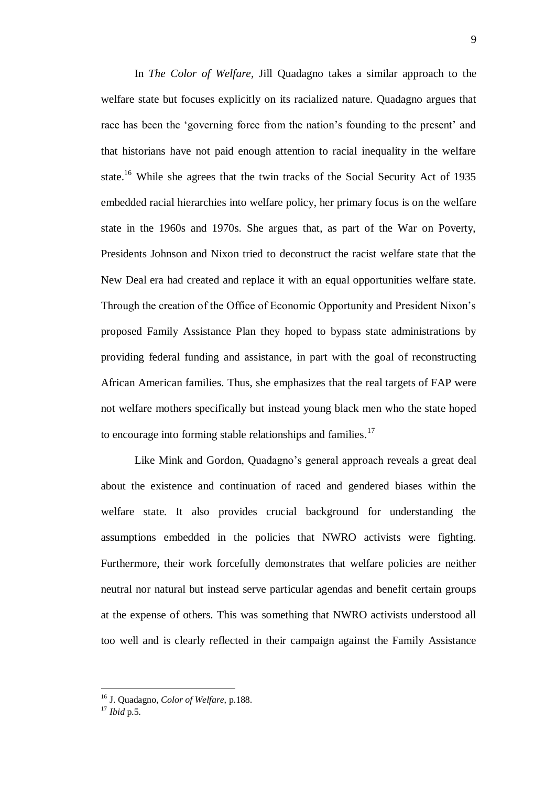In *The Color of Welfare,* Jill Quadagno takes a similar approach to the welfare state but focuses explicitly on its racialized nature. Quadagno argues that race has been the 'governing force from the nation's founding to the present' and that historians have not paid enough attention to racial inequality in the welfare state.<sup>16</sup> While she agrees that the twin tracks of the Social Security Act of 1935 embedded racial hierarchies into welfare policy, her primary focus is on the welfare state in the 1960s and 1970s. She argues that, as part of the War on Poverty, Presidents Johnson and Nixon tried to deconstruct the racist welfare state that the New Deal era had created and replace it with an equal opportunities welfare state. Through the creation of the Office of Economic Opportunity and President Nixon's proposed Family Assistance Plan they hoped to bypass state administrations by providing federal funding and assistance, in part with the goal of reconstructing African American families. Thus, she emphasizes that the real targets of FAP were not welfare mothers specifically but instead young black men who the state hoped to encourage into forming stable relationships and families.<sup>17</sup>

Like Mink and Gordon, Quadagno's general approach reveals a great deal about the existence and continuation of raced and gendered biases within the welfare state. It also provides crucial background for understanding the assumptions embedded in the policies that NWRO activists were fighting. Furthermore, their work forcefully demonstrates that welfare policies are neither neutral nor natural but instead serve particular agendas and benefit certain groups at the expense of others. This was something that NWRO activists understood all too well and is clearly reflected in their campaign against the Family Assistance

<sup>16</sup> J. Quadagno, *Color of Welfare,* p.188.

<sup>17</sup> *Ibid* p.5.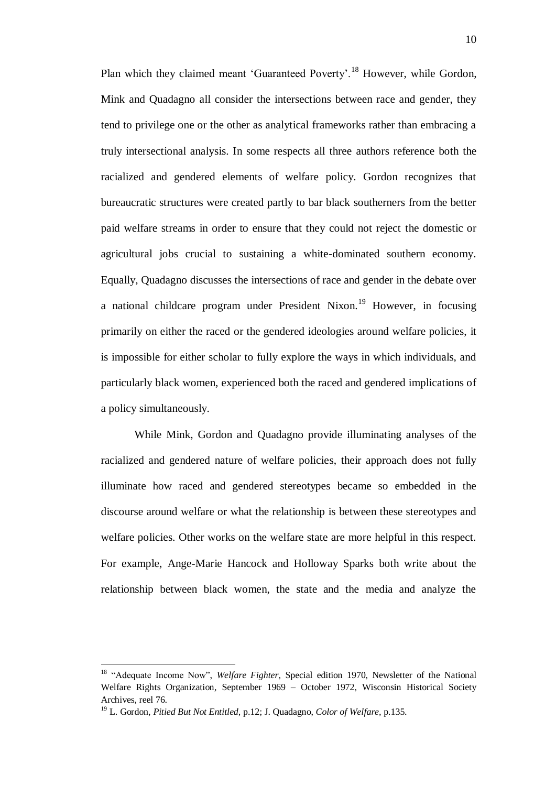Plan which they claimed meant 'Guaranteed Poverty'.<sup>18</sup> However, while Gordon, Mink and Quadagno all consider the intersections between race and gender, they tend to privilege one or the other as analytical frameworks rather than embracing a truly intersectional analysis. In some respects all three authors reference both the racialized and gendered elements of welfare policy. Gordon recognizes that bureaucratic structures were created partly to bar black southerners from the better paid welfare streams in order to ensure that they could not reject the domestic or agricultural jobs crucial to sustaining a white-dominated southern economy. Equally, Quadagno discusses the intersections of race and gender in the debate over a national childcare program under President Nixon.<sup>19</sup> However, in focusing primarily on either the raced or the gendered ideologies around welfare policies, it is impossible for either scholar to fully explore the ways in which individuals, and particularly black women, experienced both the raced and gendered implications of a policy simultaneously.

While Mink, Gordon and Quadagno provide illuminating analyses of the racialized and gendered nature of welfare policies, their approach does not fully illuminate how raced and gendered stereotypes became so embedded in the discourse around welfare or what the relationship is between these stereotypes and welfare policies. Other works on the welfare state are more helpful in this respect. For example, Ange-Marie Hancock and Holloway Sparks both write about the relationship between black women, the state and the media and analyze the

<sup>18</sup> "Adequate Income Now", *Welfare Fighter,* Special edition 1970, Newsletter of the National Welfare Rights Organization, September 1969 – October 1972, Wisconsin Historical Society Archives, reel 76.

<sup>19</sup> L. Gordon, *Pitied But Not Entitled,* p.12; J. Quadagno, *Color of Welfare,* p.135.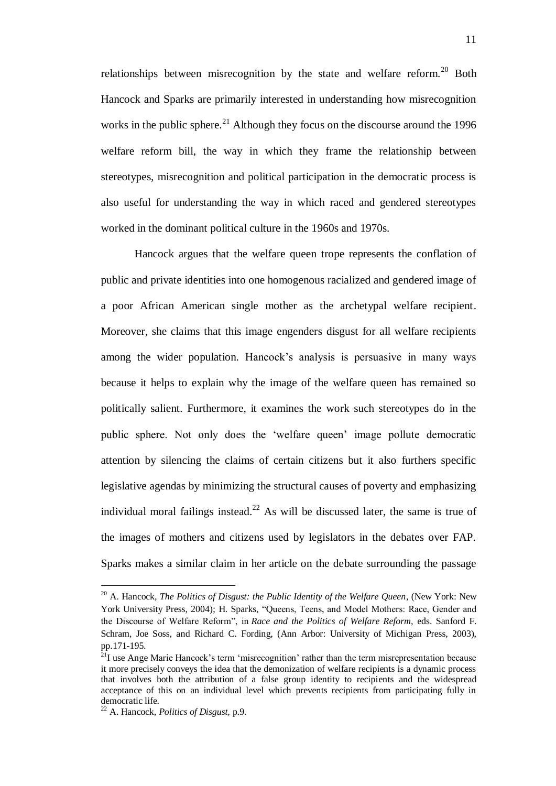relationships between misrecognition by the state and welfare reform.<sup>20</sup> Both Hancock and Sparks are primarily interested in understanding how misrecognition works in the public sphere.<sup>21</sup> Although they focus on the discourse around the 1996 welfare reform bill, the way in which they frame the relationship between stereotypes, misrecognition and political participation in the democratic process is also useful for understanding the way in which raced and gendered stereotypes worked in the dominant political culture in the 1960s and 1970s.

Hancock argues that the welfare queen trope represents the conflation of public and private identities into one homogenous racialized and gendered image of a poor African American single mother as the archetypal welfare recipient. Moreover, she claims that this image engenders disgust for all welfare recipients among the wider population. Hancock's analysis is persuasive in many ways because it helps to explain why the image of the welfare queen has remained so politically salient. Furthermore, it examines the work such stereotypes do in the public sphere. Not only does the 'welfare queen' image pollute democratic attention by silencing the claims of certain citizens but it also furthers specific legislative agendas by minimizing the structural causes of poverty and emphasizing individual moral failings instead. $^{22}$  As will be discussed later, the same is true of the images of mothers and citizens used by legislators in the debates over FAP. Sparks makes a similar claim in her article on the debate surrounding the passage

<sup>20</sup> A. Hancock, *The Politics of Disgust: the Public Identity of the Welfare Queen*, (New York: New York University Press, 2004); H. Sparks, "Queens, Teens, and Model Mothers: Race, Gender and the Discourse of Welfare Reform", in *Race and the Politics of Welfare Reform,* eds. Sanford F. Schram, Joe Soss, and Richard C. Fording, (Ann Arbor: University of Michigan Press, 2003), pp.171-195.

 $^{21}$ I use Ange Marie Hancock's term 'misrecognition' rather than the term misrepresentation because it more precisely conveys the idea that the demonization of welfare recipients is a dynamic process that involves both the attribution of a false group identity to recipients and the widespread acceptance of this on an individual level which prevents recipients from participating fully in democratic life.

<sup>22</sup> A. Hancock, *Politics of Disgust,* p.9.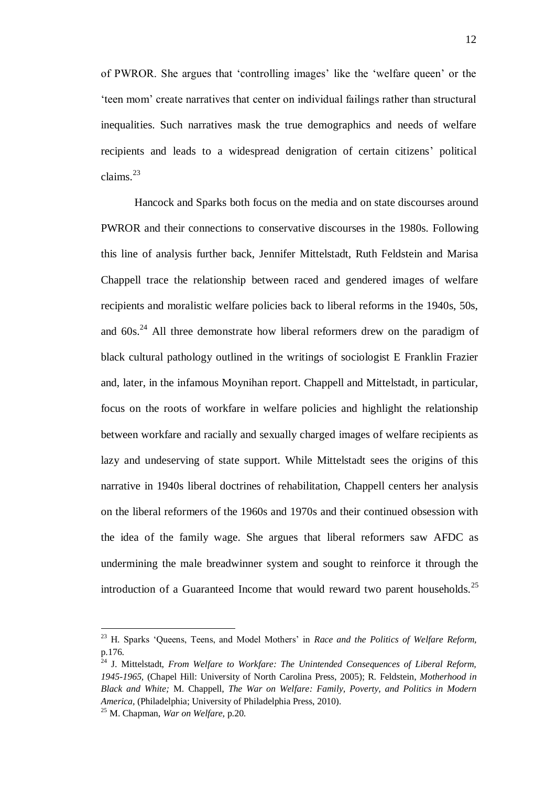of PWROR. She argues that 'controlling images' like the 'welfare queen' or the 'teen mom' create narratives that center on individual failings rather than structural inequalities. Such narratives mask the true demographics and needs of welfare recipients and leads to a widespread denigration of certain citizens' political claims.<sup>23</sup>

Hancock and Sparks both focus on the media and on state discourses around PWROR and their connections to conservative discourses in the 1980s. Following this line of analysis further back, Jennifer Mittelstadt, Ruth Feldstein and Marisa Chappell trace the relationship between raced and gendered images of welfare recipients and moralistic welfare policies back to liberal reforms in the 1940s, 50s, and 60s.<sup>24</sup> All three demonstrate how liberal reformers drew on the paradigm of black cultural pathology outlined in the writings of sociologist E Franklin Frazier and, later, in the infamous Moynihan report. Chappell and Mittelstadt, in particular, focus on the roots of workfare in welfare policies and highlight the relationship between workfare and racially and sexually charged images of welfare recipients as lazy and undeserving of state support. While Mittelstadt sees the origins of this narrative in 1940s liberal doctrines of rehabilitation, Chappell centers her analysis on the liberal reformers of the 1960s and 1970s and their continued obsession with the idea of the family wage. She argues that liberal reformers saw AFDC as undermining the male breadwinner system and sought to reinforce it through the introduction of a Guaranteed Income that would reward two parent households.<sup>25</sup>

<sup>23</sup> H. Sparks 'Queens, Teens, and Model Mothers' in *Race and the Politics of Welfare Reform,*  p.176.

<sup>24</sup> J. Mittelstadt, *From Welfare to Workfare: The Unintended Consequences of Liberal Reform, 1945-1965,* (Chapel Hill: University of North Carolina Press, 2005); R. Feldstein, *Motherhood in Black and White;* M. Chappell, *The War on Welfare: Family, Poverty, and Politics in Modern America,* (Philadelphia; University of Philadelphia Press, 2010).

<sup>25</sup> M. Chapman, *War on Welfare,* p.20.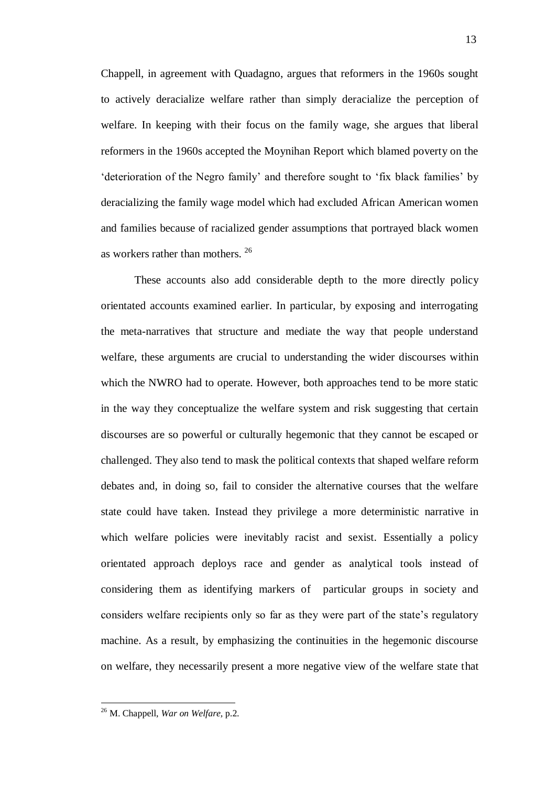Chappell, in agreement with Quadagno, argues that reformers in the 1960s sought to actively deracialize welfare rather than simply deracialize the perception of welfare. In keeping with their focus on the family wage, she argues that liberal reformers in the 1960s accepted the Moynihan Report which blamed poverty on the 'deterioration of the Negro family' and therefore sought to 'fix black families' by deracializing the family wage model which had excluded African American women and families because of racialized gender assumptions that portrayed black women as workers rather than mothers. <sup>26</sup>

These accounts also add considerable depth to the more directly policy orientated accounts examined earlier. In particular, by exposing and interrogating the meta-narratives that structure and mediate the way that people understand welfare, these arguments are crucial to understanding the wider discourses within which the NWRO had to operate. However, both approaches tend to be more static in the way they conceptualize the welfare system and risk suggesting that certain discourses are so powerful or culturally hegemonic that they cannot be escaped or challenged. They also tend to mask the political contexts that shaped welfare reform debates and, in doing so, fail to consider the alternative courses that the welfare state could have taken. Instead they privilege a more deterministic narrative in which welfare policies were inevitably racist and sexist. Essentially a policy orientated approach deploys race and gender as analytical tools instead of considering them as identifying markers of particular groups in society and considers welfare recipients only so far as they were part of the state's regulatory machine. As a result, by emphasizing the continuities in the hegemonic discourse on welfare, they necessarily present a more negative view of the welfare state that

<sup>26</sup> M. Chappell, *War on Welfare,* p.2.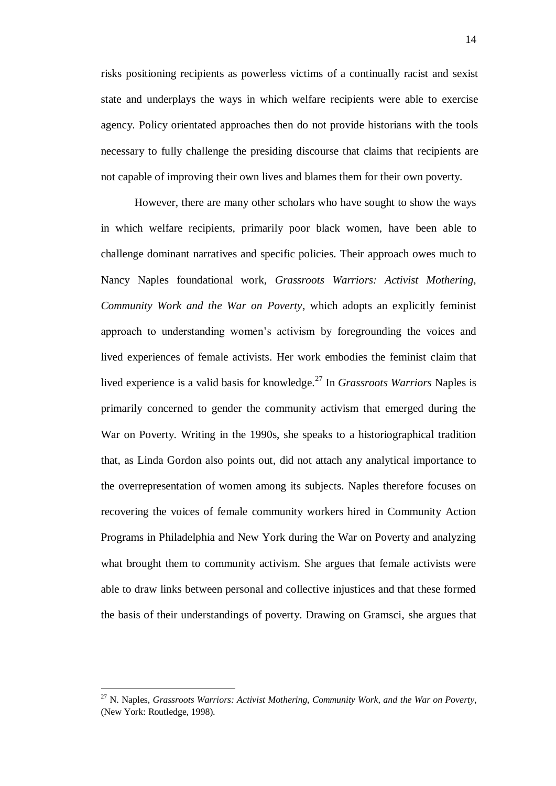risks positioning recipients as powerless victims of a continually racist and sexist state and underplays the ways in which welfare recipients were able to exercise agency. Policy orientated approaches then do not provide historians with the tools necessary to fully challenge the presiding discourse that claims that recipients are not capable of improving their own lives and blames them for their own poverty.

However, there are many other scholars who have sought to show the ways in which welfare recipients, primarily poor black women, have been able to challenge dominant narratives and specific policies. Their approach owes much to Nancy Naples foundational work, *Grassroots Warriors: Activist Mothering, Community Work and the War on Poverty*, which adopts an explicitly feminist approach to understanding women's activism by foregrounding the voices and lived experiences of female activists. Her work embodies the feminist claim that lived experience is a valid basis for knowledge.<sup>27</sup> In *Grassroots Warriors* Naples is primarily concerned to gender the community activism that emerged during the War on Poverty. Writing in the 1990s, she speaks to a historiographical tradition that, as Linda Gordon also points out, did not attach any analytical importance to the overrepresentation of women among its subjects. Naples therefore focuses on recovering the voices of female community workers hired in Community Action Programs in Philadelphia and New York during the War on Poverty and analyzing what brought them to community activism. She argues that female activists were able to draw links between personal and collective injustices and that these formed the basis of their understandings of poverty. Drawing on Gramsci, she argues that

<sup>27</sup> N. Naples, *Grassroots Warriors: Activist Mothering, Community Work, and the War on Poverty*, (New York: Routledge, 1998).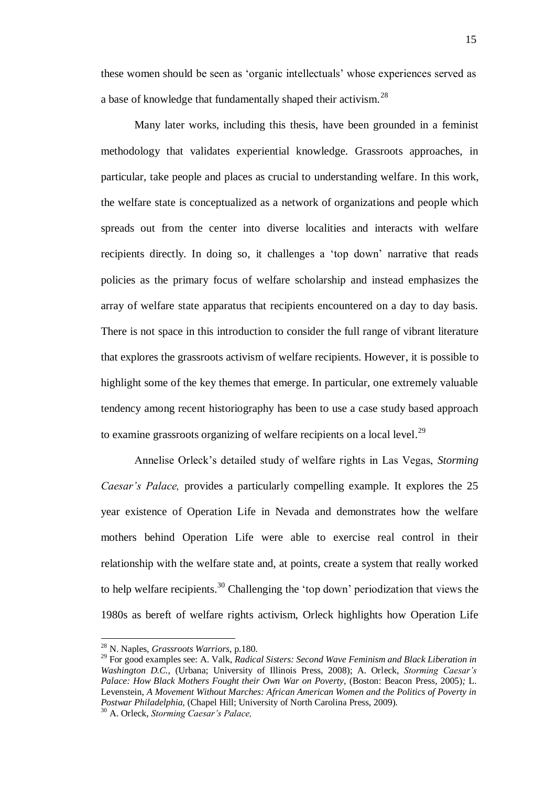these women should be seen as 'organic intellectuals' whose experiences served as a base of knowledge that fundamentally shaped their activism.<sup>28</sup>

Many later works, including this thesis, have been grounded in a feminist methodology that validates experiential knowledge. Grassroots approaches, in particular, take people and places as crucial to understanding welfare. In this work, the welfare state is conceptualized as a network of organizations and people which spreads out from the center into diverse localities and interacts with welfare recipients directly. In doing so, it challenges a 'top down' narrative that reads policies as the primary focus of welfare scholarship and instead emphasizes the array of welfare state apparatus that recipients encountered on a day to day basis. There is not space in this introduction to consider the full range of vibrant literature that explores the grassroots activism of welfare recipients. However, it is possible to highlight some of the key themes that emerge. In particular, one extremely valuable tendency among recent historiography has been to use a case study based approach to examine grassroots organizing of welfare recipients on a local level. $^{29}$ 

Annelise Orleck's detailed study of welfare rights in Las Vegas, *Storming Caesar's Palace,* provides a particularly compelling example. It explores the 25 year existence of Operation Life in Nevada and demonstrates how the welfare mothers behind Operation Life were able to exercise real control in their relationship with the welfare state and, at points, create a system that really worked to help welfare recipients.<sup>30</sup> Challenging the 'top down' periodization that views the 1980s as bereft of welfare rights activism, Orleck highlights how Operation Life

<sup>28</sup> N. Naples, *Grassroots Warriors,* p.180.

<sup>29</sup> For good examples see: A. Valk, *Radical Sisters: Second Wave Feminism and Black Liberation in Washington D.C.,* (Urbana; University of Illinois Press, 2008); A. Orleck, *Storming Caesar's Palace: How Black Mothers Fought their Own War on Poverty*, (Boston: Beacon Press, 2005)*;* L. Levenstein, *A Movement Without Marches: African American Women and the Politics of Poverty in Postwar Philadelphia,* (Chapel Hill; University of North Carolina Press, 2009).

<sup>30</sup> A. Orleck, *Storming Caesar's Palace,*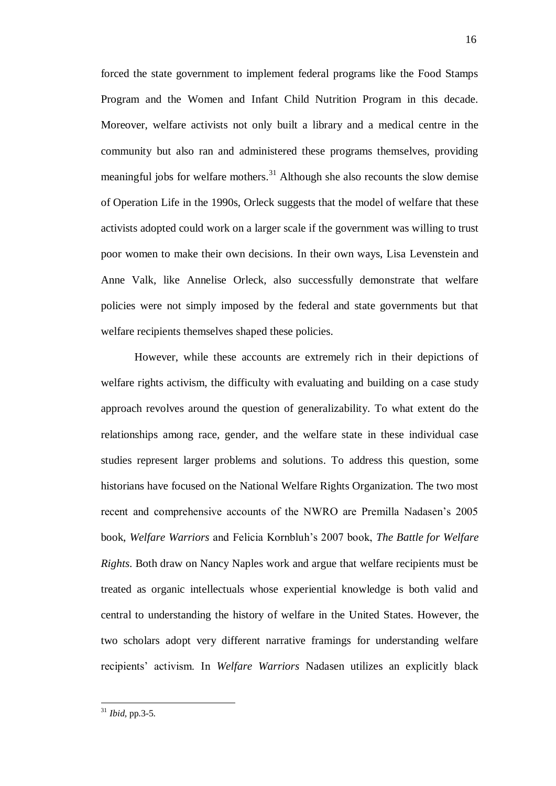forced the state government to implement federal programs like the Food Stamps Program and the Women and Infant Child Nutrition Program in this decade. Moreover, welfare activists not only built a library and a medical centre in the community but also ran and administered these programs themselves, providing meaningful jobs for welfare mothers. $31$  Although she also recounts the slow demise of Operation Life in the 1990s, Orleck suggests that the model of welfare that these activists adopted could work on a larger scale if the government was willing to trust poor women to make their own decisions. In their own ways, Lisa Levenstein and Anne Valk, like Annelise Orleck, also successfully demonstrate that welfare policies were not simply imposed by the federal and state governments but that welfare recipients themselves shaped these policies.

However, while these accounts are extremely rich in their depictions of welfare rights activism, the difficulty with evaluating and building on a case study approach revolves around the question of generalizability. To what extent do the relationships among race, gender, and the welfare state in these individual case studies represent larger problems and solutions. To address this question, some historians have focused on the National Welfare Rights Organization. The two most recent and comprehensive accounts of the NWRO are Premilla Nadasen's 2005 book, *Welfare Warriors* and Felicia Kornbluh's 2007 book, *The Battle for Welfare Rights*. Both draw on Nancy Naples work and argue that welfare recipients must be treated as organic intellectuals whose experiential knowledge is both valid and central to understanding the history of welfare in the United States. However, the two scholars adopt very different narrative framings for understanding welfare recipients' activism. In *Welfare Warriors* Nadasen utilizes an explicitly black

<sup>31</sup> *Ibid,* pp.3-5.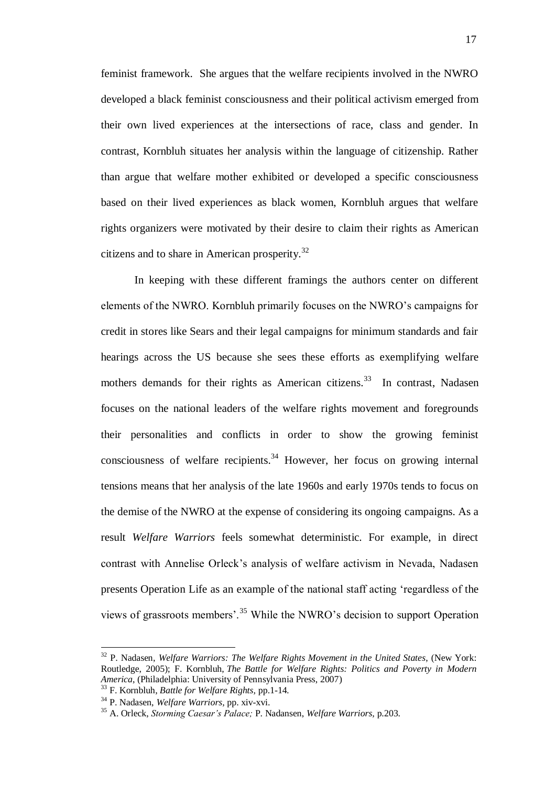feminist framework. She argues that the welfare recipients involved in the NWRO developed a black feminist consciousness and their political activism emerged from their own lived experiences at the intersections of race, class and gender. In contrast, Kornbluh situates her analysis within the language of citizenship. Rather than argue that welfare mother exhibited or developed a specific consciousness based on their lived experiences as black women, Kornbluh argues that welfare rights organizers were motivated by their desire to claim their rights as American citizens and to share in American prosperity.<sup>32</sup>

In keeping with these different framings the authors center on different elements of the NWRO. Kornbluh primarily focuses on the NWRO's campaigns for credit in stores like Sears and their legal campaigns for minimum standards and fair hearings across the US because she sees these efforts as exemplifying welfare mothers demands for their rights as American citizens.<sup>33</sup> In contrast, Nadasen focuses on the national leaders of the welfare rights movement and foregrounds their personalities and conflicts in order to show the growing feminist consciousness of welfare recipients.<sup>34</sup> However, her focus on growing internal tensions means that her analysis of the late 1960s and early 1970s tends to focus on the demise of the NWRO at the expense of considering its ongoing campaigns. As a result *Welfare Warriors* feels somewhat deterministic. For example, in direct contrast with Annelise Orleck's analysis of welfare activism in Nevada, Nadasen presents Operation Life as an example of the national staff acting 'regardless of the views of grassroots members'.<sup>35</sup> While the NWRO's decision to support Operation

<sup>32</sup> P. Nadasen, *Welfare Warriors: The Welfare Rights Movement in the United States*, (New York: Routledge, 2005); F. Kornbluh, *The Battle for Welfare Rights: Politics and Poverty in Modern America*, (Philadelphia: University of Pennsylvania Press, 2007)

<sup>33</sup> F. Kornbluh, *Battle for Welfare Rights,* pp.1-14*.* 

<sup>34</sup> P. Nadasen, *Welfare Warriors,* pp. xiv-xvi.

<sup>35</sup> A. Orleck, *Storming Caesar's Palace;* P. Nadansen, *Welfare Warriors,* p.203.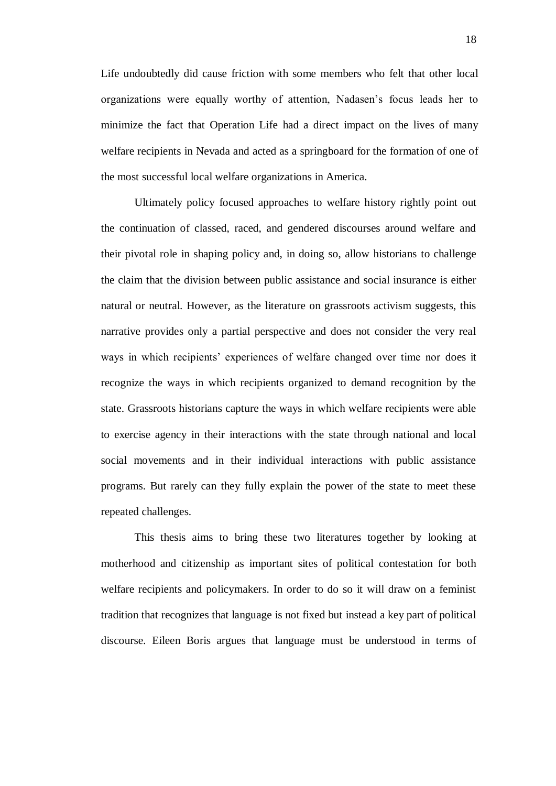Life undoubtedly did cause friction with some members who felt that other local organizations were equally worthy of attention, Nadasen's focus leads her to minimize the fact that Operation Life had a direct impact on the lives of many welfare recipients in Nevada and acted as a springboard for the formation of one of the most successful local welfare organizations in America.

Ultimately policy focused approaches to welfare history rightly point out the continuation of classed, raced, and gendered discourses around welfare and their pivotal role in shaping policy and, in doing so, allow historians to challenge the claim that the division between public assistance and social insurance is either natural or neutral. However, as the literature on grassroots activism suggests, this narrative provides only a partial perspective and does not consider the very real ways in which recipients' experiences of welfare changed over time nor does it recognize the ways in which recipients organized to demand recognition by the state. Grassroots historians capture the ways in which welfare recipients were able to exercise agency in their interactions with the state through national and local social movements and in their individual interactions with public assistance programs. But rarely can they fully explain the power of the state to meet these repeated challenges.

This thesis aims to bring these two literatures together by looking at motherhood and citizenship as important sites of political contestation for both welfare recipients and policymakers. In order to do so it will draw on a feminist tradition that recognizes that language is not fixed but instead a key part of political discourse. Eileen Boris argues that language must be understood in terms of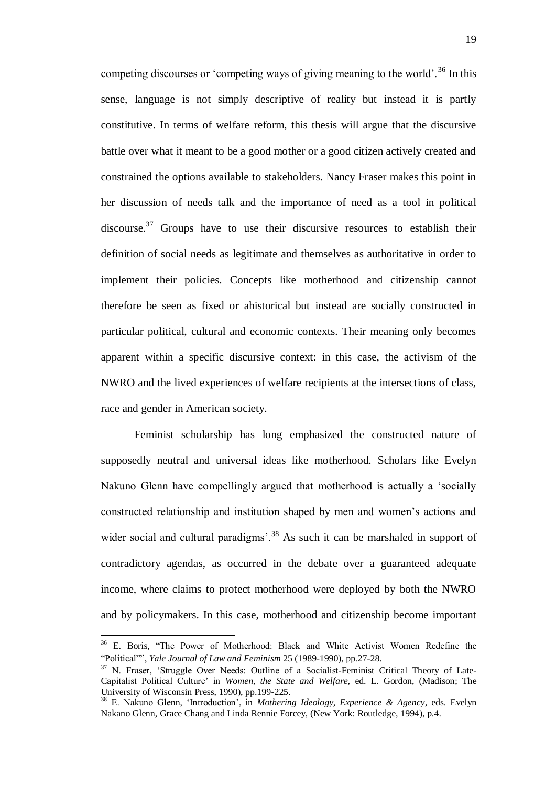competing discourses or 'competing ways of giving meaning to the world'.<sup>36</sup> In this sense, language is not simply descriptive of reality but instead it is partly constitutive. In terms of welfare reform, this thesis will argue that the discursive battle over what it meant to be a good mother or a good citizen actively created and constrained the options available to stakeholders. Nancy Fraser makes this point in her discussion of needs talk and the importance of need as a tool in political discourse.<sup>37</sup> Groups have to use their discursive resources to establish their definition of social needs as legitimate and themselves as authoritative in order to implement their policies. Concepts like motherhood and citizenship cannot therefore be seen as fixed or ahistorical but instead are socially constructed in particular political, cultural and economic contexts. Their meaning only becomes apparent within a specific discursive context: in this case, the activism of the NWRO and the lived experiences of welfare recipients at the intersections of class, race and gender in American society.

Feminist scholarship has long emphasized the constructed nature of supposedly neutral and universal ideas like motherhood. Scholars like Evelyn Nakuno Glenn have compellingly argued that motherhood is actually a 'socially constructed relationship and institution shaped by men and women's actions and wider social and cultural paradigms'.<sup>38</sup> As such it can be marshaled in support of contradictory agendas, as occurred in the debate over a guaranteed adequate income, where claims to protect motherhood were deployed by both the NWRO and by policymakers. In this case, motherhood and citizenship become important

<sup>36</sup> E. Boris, "The Power of Motherhood: Black and White Activist Women Redefine the "Political"", *Yale Journal of Law and Feminism* 25 (1989-1990), pp.27-28.

<sup>&</sup>lt;sup>37</sup> N. Fraser, 'Struggle Over Needs: Outline of a Socialist-Feminist Critical Theory of Late-Capitalist Political Culture' in *Women, the State and Welfare,* ed. L. Gordon, (Madison; The University of Wisconsin Press, 1990), pp.199-225.

<sup>38</sup> E. Nakuno Glenn, 'Introduction', in *Mothering Ideology, Experience & Agency*, eds. Evelyn Nakano Glenn, Grace Chang and Linda Rennie Forcey, (New York: Routledge, 1994), p.4.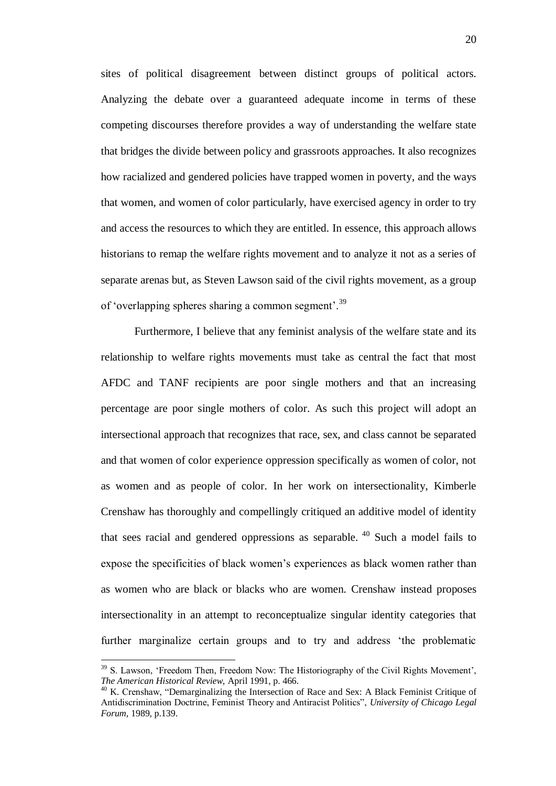sites of political disagreement between distinct groups of political actors. Analyzing the debate over a guaranteed adequate income in terms of these competing discourses therefore provides a way of understanding the welfare state that bridges the divide between policy and grassroots approaches. It also recognizes how racialized and gendered policies have trapped women in poverty, and the ways that women, and women of color particularly, have exercised agency in order to try and access the resources to which they are entitled. In essence, this approach allows historians to remap the welfare rights movement and to analyze it not as a series of separate arenas but, as Steven Lawson said of the civil rights movement, as a group of 'overlapping spheres sharing a common segment'.<sup>39</sup>

Furthermore, I believe that any feminist analysis of the welfare state and its relationship to welfare rights movements must take as central the fact that most AFDC and TANF recipients are poor single mothers and that an increasing percentage are poor single mothers of color. As such this project will adopt an intersectional approach that recognizes that race, sex, and class cannot be separated and that women of color experience oppression specifically as women of color, not as women and as people of color. In her work on intersectionality, Kimberle Crenshaw has thoroughly and compellingly critiqued an additive model of identity that sees racial and gendered oppressions as separable.  $40$  Such a model fails to expose the specificities of black women's experiences as black women rather than as women who are black or blacks who are women. Crenshaw instead proposes intersectionality in an attempt to reconceptualize singular identity categories that further marginalize certain groups and to try and address 'the problematic

<sup>&</sup>lt;sup>39</sup> S. Lawson, 'Freedom Then, Freedom Now: The Historiography of the Civil Rights Movement', *The American Historical Review,* April 1991, p. 466.

<sup>40</sup> K. Crenshaw, "Demarginalizing the Intersection of Race and Sex: A Black Feminist Critique of Antidiscrimination Doctrine, Feminist Theory and Antiracist Politics", *University of Chicago Legal Forum,* 1989, p.139.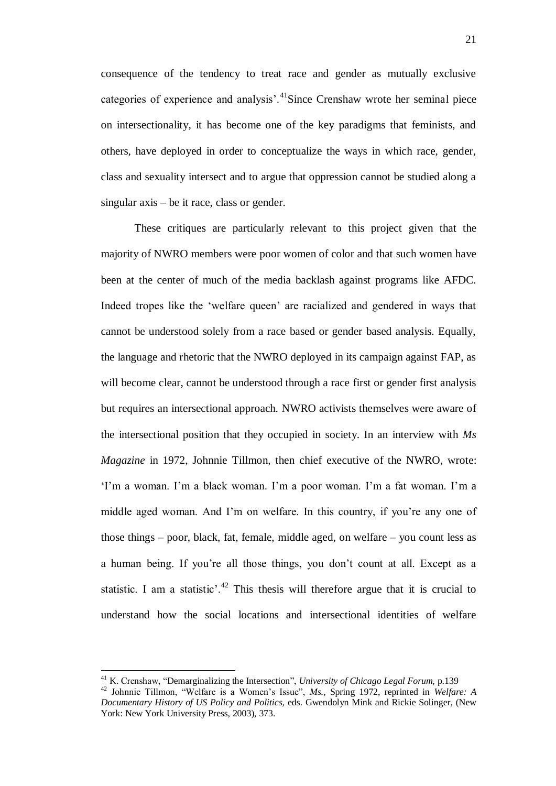consequence of the tendency to treat race and gender as mutually exclusive categories of experience and analysis'.<sup>41</sup>Since Crenshaw wrote her seminal piece on intersectionality, it has become one of the key paradigms that feminists, and others, have deployed in order to conceptualize the ways in which race, gender, class and sexuality intersect and to argue that oppression cannot be studied along a singular axis – be it race, class or gender.

These critiques are particularly relevant to this project given that the majority of NWRO members were poor women of color and that such women have been at the center of much of the media backlash against programs like AFDC. Indeed tropes like the 'welfare queen' are racialized and gendered in ways that cannot be understood solely from a race based or gender based analysis. Equally, the language and rhetoric that the NWRO deployed in its campaign against FAP, as will become clear, cannot be understood through a race first or gender first analysis but requires an intersectional approach. NWRO activists themselves were aware of the intersectional position that they occupied in society. In an interview with *Ms Magazine* in 1972, Johnnie Tillmon, then chief executive of the NWRO, wrote: 'I'm a woman. I'm a black woman. I'm a poor woman. I'm a fat woman. I'm a middle aged woman. And I'm on welfare. In this country, if you're any one of those things – poor, black, fat, female, middle aged, on welfare – you count less as a human being. If you're all those things, you don't count at all. Except as a statistic. I am a statistic'.<sup>42</sup> This thesis will therefore argue that it is crucial to understand how the social locations and intersectional identities of welfare

<sup>41</sup> K. Crenshaw, "Demarginalizing the Intersection", *University of Chicago Legal Forum,* p.139

<sup>42</sup> Johnnie Tillmon, "Welfare is a Women's Issue", *Ms.,* Spring 1972, reprinted in *Welfare: A Documentary History of US Policy and Politics,* eds. Gwendolyn Mink and Rickie Solinger, (New York: New York University Press, 2003), 373.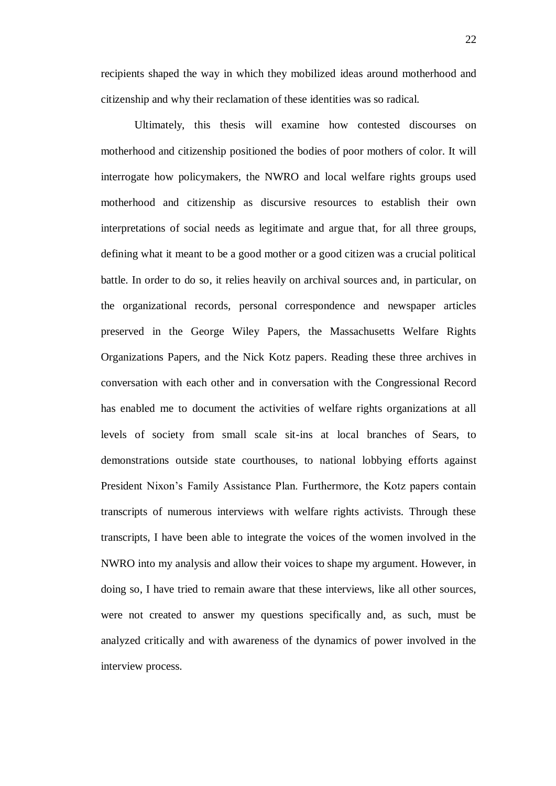recipients shaped the way in which they mobilized ideas around motherhood and citizenship and why their reclamation of these identities was so radical.

Ultimately, this thesis will examine how contested discourses on motherhood and citizenship positioned the bodies of poor mothers of color. It will interrogate how policymakers, the NWRO and local welfare rights groups used motherhood and citizenship as discursive resources to establish their own interpretations of social needs as legitimate and argue that, for all three groups, defining what it meant to be a good mother or a good citizen was a crucial political battle. In order to do so, it relies heavily on archival sources and, in particular, on the organizational records, personal correspondence and newspaper articles preserved in the George Wiley Papers, the Massachusetts Welfare Rights Organizations Papers, and the Nick Kotz papers. Reading these three archives in conversation with each other and in conversation with the Congressional Record has enabled me to document the activities of welfare rights organizations at all levels of society from small scale sit-ins at local branches of Sears, to demonstrations outside state courthouses, to national lobbying efforts against President Nixon's Family Assistance Plan. Furthermore, the Kotz papers contain transcripts of numerous interviews with welfare rights activists. Through these transcripts, I have been able to integrate the voices of the women involved in the NWRO into my analysis and allow their voices to shape my argument. However, in doing so, I have tried to remain aware that these interviews, like all other sources, were not created to answer my questions specifically and, as such, must be analyzed critically and with awareness of the dynamics of power involved in the interview process.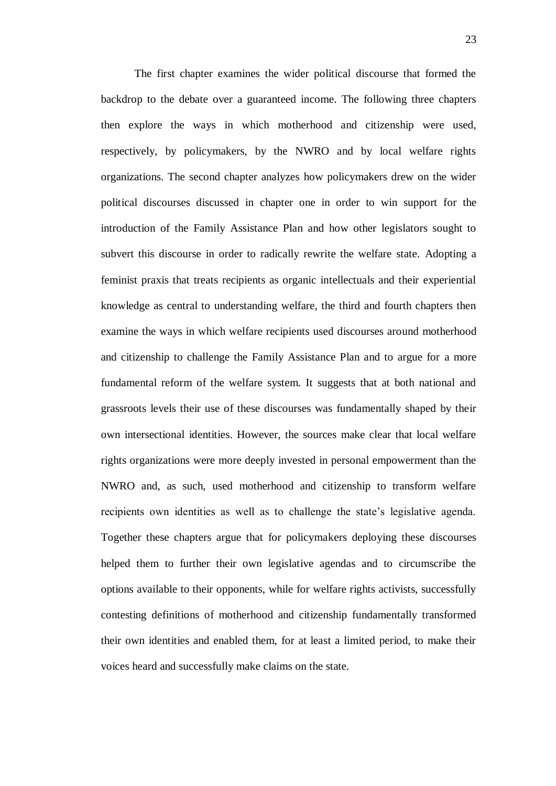The first chapter examines the wider political discourse that formed the backdrop to the debate over a guaranteed income. The following three chapters then explore the ways in which motherhood and citizenship were used, respectively, by policymakers, by the NWRO and by local welfare rights organizations. The second chapter analyzes how policymakers drew on the wider political discourses discussed in chapter one in order to win support for the introduction of the Family Assistance Plan and how other legislators sought to subvert this discourse in order to radically rewrite the welfare state. Adopting a feminist praxis that treats recipients as organic intellectuals and their experiential knowledge as central to understanding welfare, the third and fourth chapters then examine the ways in which welfare recipients used discourses around motherhood and citizenship to challenge the Family Assistance Plan and to argue for a more fundamental reform of the welfare system. It suggests that at both national and grassroots levels their use of these discourses was fundamentally shaped by their own intersectional identities. However, the sources make clear that local welfare rights organizations were more deeply invested in personal empowerment than the NWRO and, as such, used motherhood and citizenship to transform welfare recipients own identities as well as to challenge the state's legislative agenda. Together these chapters argue that for policymakers deploying these discourses helped them to further their own legislative agendas and to circumscribe the options available to their opponents, while for welfare rights activists, successfully contesting definitions of motherhood and citizenship fundamentally transformed their own identities and enabled them, for at least a limited period, to make their voices heard and successfully make claims on the state.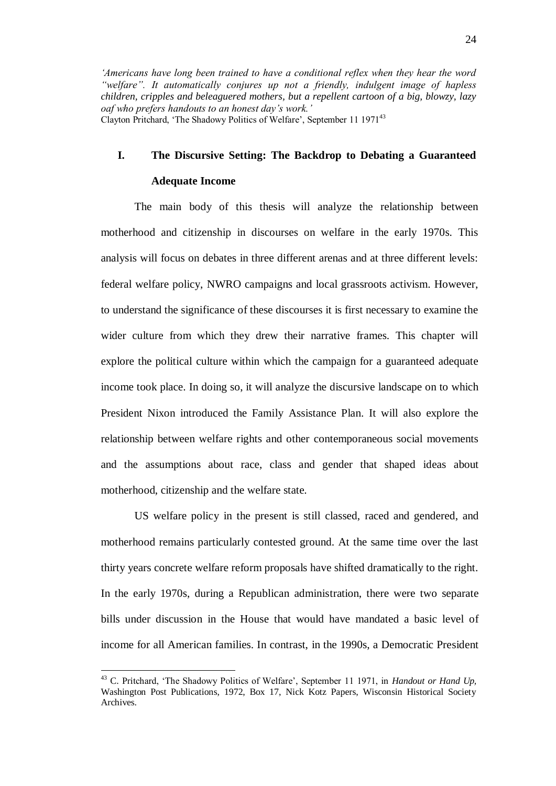*'Americans have long been trained to have a conditional reflex when they hear the word "welfare". It automatically conjures up not a friendly, indulgent image of hapless children, cripples and beleaguered mothers, but a repellent cartoon of a big, blowzy, lazy oaf who prefers handouts to an honest day's work.'* Clayton Pritchard, 'The Shadowy Politics of Welfare', September 11 1971<sup>43</sup>

# <span id="page-27-0"></span>**I. The Discursive Setting: The Backdrop to Debating a Guaranteed Adequate Income**

The main body of this thesis will analyze the relationship between motherhood and citizenship in discourses on welfare in the early 1970s. This analysis will focus on debates in three different arenas and at three different levels: federal welfare policy, NWRO campaigns and local grassroots activism. However, to understand the significance of these discourses it is first necessary to examine the wider culture from which they drew their narrative frames. This chapter will explore the political culture within which the campaign for a guaranteed adequate income took place. In doing so, it will analyze the discursive landscape on to which President Nixon introduced the Family Assistance Plan. It will also explore the relationship between welfare rights and other contemporaneous social movements and the assumptions about race, class and gender that shaped ideas about motherhood, citizenship and the welfare state.

US welfare policy in the present is still classed, raced and gendered, and motherhood remains particularly contested ground. At the same time over the last thirty years concrete welfare reform proposals have shifted dramatically to the right. In the early 1970s, during a Republican administration, there were two separate bills under discussion in the House that would have mandated a basic level of income for all American families. In contrast, in the 1990s, a Democratic President

<sup>43</sup> C. Pritchard, 'The Shadowy Politics of Welfare', September 11 1971, in *Handout or Hand Up,*  Washington Post Publications, 1972, Box 17, Nick Kotz Papers, Wisconsin Historical Society Archives.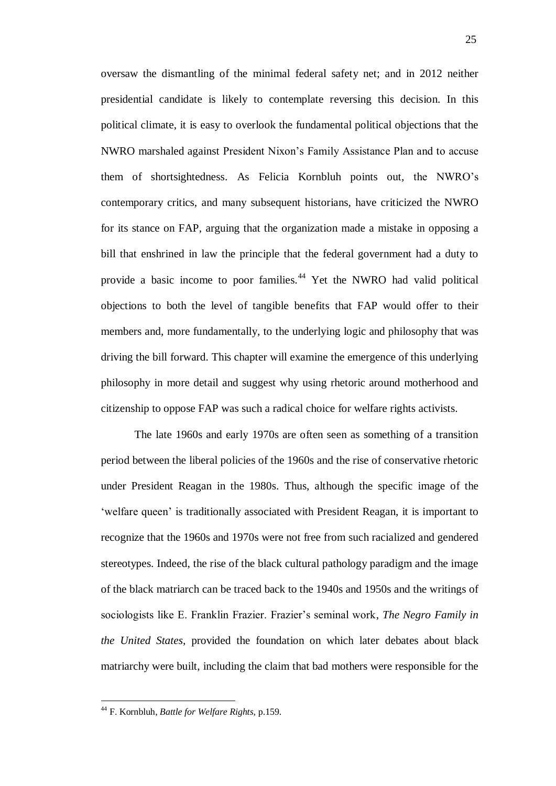oversaw the dismantling of the minimal federal safety net; and in 2012 neither presidential candidate is likely to contemplate reversing this decision. In this political climate, it is easy to overlook the fundamental political objections that the NWRO marshaled against President Nixon's Family Assistance Plan and to accuse them of shortsightedness. As Felicia Kornbluh points out, the NWRO's contemporary critics, and many subsequent historians, have criticized the NWRO for its stance on FAP, arguing that the organization made a mistake in opposing a bill that enshrined in law the principle that the federal government had a duty to provide a basic income to poor families.<sup>44</sup> Yet the NWRO had valid political objections to both the level of tangible benefits that FAP would offer to their members and, more fundamentally, to the underlying logic and philosophy that was driving the bill forward. This chapter will examine the emergence of this underlying philosophy in more detail and suggest why using rhetoric around motherhood and citizenship to oppose FAP was such a radical choice for welfare rights activists.

The late 1960s and early 1970s are often seen as something of a transition period between the liberal policies of the 1960s and the rise of conservative rhetoric under President Reagan in the 1980s. Thus, although the specific image of the 'welfare queen' is traditionally associated with President Reagan, it is important to recognize that the 1960s and 1970s were not free from such racialized and gendered stereotypes. Indeed, the rise of the black cultural pathology paradigm and the image of the black matriarch can be traced back to the 1940s and 1950s and the writings of sociologists like E. Franklin Frazier. Frazier's seminal work, *The Negro Family in the United States,* provided the foundation on which later debates about black matriarchy were built, including the claim that bad mothers were responsible for the

<sup>44</sup> F. Kornbluh, *Battle for Welfare Rights,* p.159.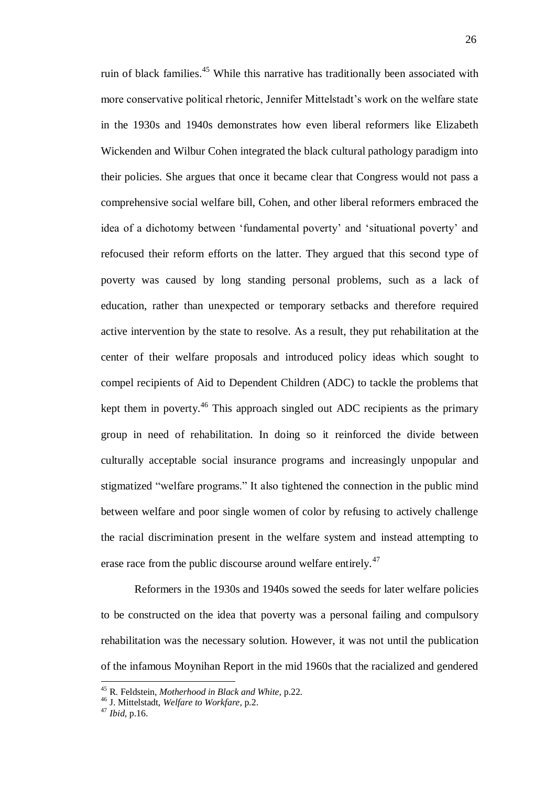ruin of black families.<sup>45</sup> While this narrative has traditionally been associated with more conservative political rhetoric, Jennifer Mittelstadt's work on the welfare state in the 1930s and 1940s demonstrates how even liberal reformers like Elizabeth Wickenden and Wilbur Cohen integrated the black cultural pathology paradigm into their policies. She argues that once it became clear that Congress would not pass a comprehensive social welfare bill, Cohen, and other liberal reformers embraced the idea of a dichotomy between 'fundamental poverty' and 'situational poverty' and refocused their reform efforts on the latter. They argued that this second type of poverty was caused by long standing personal problems, such as a lack of education, rather than unexpected or temporary setbacks and therefore required active intervention by the state to resolve. As a result, they put rehabilitation at the center of their welfare proposals and introduced policy ideas which sought to compel recipients of Aid to Dependent Children (ADC) to tackle the problems that kept them in poverty.<sup>46</sup> This approach singled out ADC recipients as the primary group in need of rehabilitation. In doing so it reinforced the divide between culturally acceptable social insurance programs and increasingly unpopular and stigmatized "welfare programs." It also tightened the connection in the public mind between welfare and poor single women of color by refusing to actively challenge the racial discrimination present in the welfare system and instead attempting to erase race from the public discourse around welfare entirely.<sup>47</sup>

Reformers in the 1930s and 1940s sowed the seeds for later welfare policies to be constructed on the idea that poverty was a personal failing and compulsory rehabilitation was the necessary solution. However, it was not until the publication of the infamous Moynihan Report in the mid 1960s that the racialized and gendered

<sup>45</sup> R. Feldstein, *Motherhood in Black and White,* p.22.

<sup>46</sup> J. Mittelstadt, *Welfare to Workfare,* p.2.

<sup>47</sup> *Ibid,* p.16.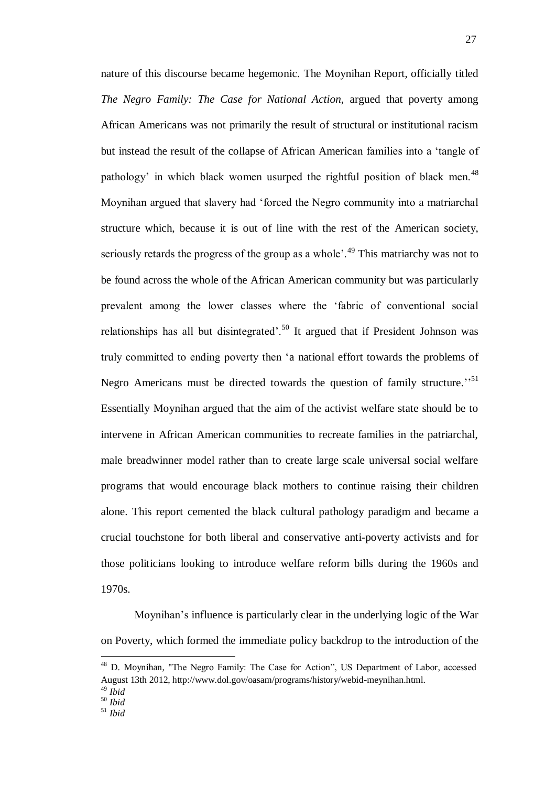nature of this discourse became hegemonic. The Moynihan Report, officially titled *The Negro Family: The Case for National Action,* argued that poverty among African Americans was not primarily the result of structural or institutional racism but instead the result of the collapse of African American families into a 'tangle of pathology' in which black women usurped the rightful position of black men.<sup>48</sup> Moynihan argued that slavery had 'forced the Negro community into a matriarchal structure which, because it is out of line with the rest of the American society, seriously retards the progress of the group as a whole'.<sup>49</sup> This matriarchy was not to be found across the whole of the African American community but was particularly prevalent among the lower classes where the 'fabric of conventional social relationships has all but disintegrated'.<sup>50</sup> It argued that if President Johnson was truly committed to ending poverty then 'a national effort towards the problems of Negro Americans must be directed towards the question of family structure."<sup>51</sup> Essentially Moynihan argued that the aim of the activist welfare state should be to intervene in African American communities to recreate families in the patriarchal, male breadwinner model rather than to create large scale universal social welfare programs that would encourage black mothers to continue raising their children alone. This report cemented the black cultural pathology paradigm and became a crucial touchstone for both liberal and conservative anti-poverty activists and for those politicians looking to introduce welfare reform bills during the 1960s and 1970s.

Moynihan's influence is particularly clear in the underlying logic of the War on Poverty, which formed the immediate policy backdrop to the introduction of the

<sup>48</sup> D. Moynihan, "The Negro Family: The Case for Action", US Department of Labor, accessed August 13th 2012, [http://www.dol.gov/oasam/programs/history/webid-meynihan.html](http://www.dol.gov/oasam/programs/history/webid-meynihan.htm).

<sup>49</sup> *Ibid*

<sup>50</sup> *Ibid*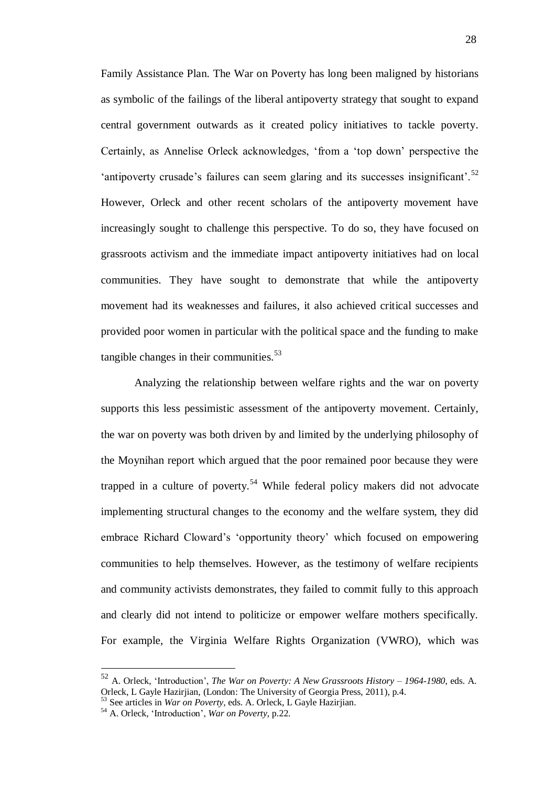Family Assistance Plan. The War on Poverty has long been maligned by historians as symbolic of the failings of the liberal antipoverty strategy that sought to expand central government outwards as it created policy initiatives to tackle poverty. Certainly, as Annelise Orleck acknowledges, 'from a 'top down' perspective the 'antipoverty crusade's failures can seem glaring and its successes insignificant'.<sup>52</sup> However, Orleck and other recent scholars of the antipoverty movement have increasingly sought to challenge this perspective. To do so, they have focused on grassroots activism and the immediate impact antipoverty initiatives had on local communities. They have sought to demonstrate that while the antipoverty movement had its weaknesses and failures, it also achieved critical successes and provided poor women in particular with the political space and the funding to make tangible changes in their communities.<sup>53</sup>

Analyzing the relationship between welfare rights and the war on poverty supports this less pessimistic assessment of the antipoverty movement. Certainly, the war on poverty was both driven by and limited by the underlying philosophy of the Moynihan report which argued that the poor remained poor because they were trapped in a culture of poverty.<sup>54</sup> While federal policy makers did not advocate implementing structural changes to the economy and the welfare system, they did embrace Richard Cloward's 'opportunity theory' which focused on empowering communities to help themselves. However, as the testimony of welfare recipients and community activists demonstrates, they failed to commit fully to this approach and clearly did not intend to politicize or empower welfare mothers specifically. For example, the Virginia Welfare Rights Organization (VWRO), which was

<sup>52</sup> A. Orleck, 'Introduction', *The War on Poverty: A New Grassroots History – 1964-1980*, eds. A. Orleck, L Gayle Hazirjian, (London: The University of Georgia Press, 2011), p.4.

<sup>53</sup> See articles in *War on Poverty,* eds. A. Orleck, L Gayle Hazirjian.

<sup>54</sup> A. Orleck, 'Introduction', *War on Poverty,* p.22.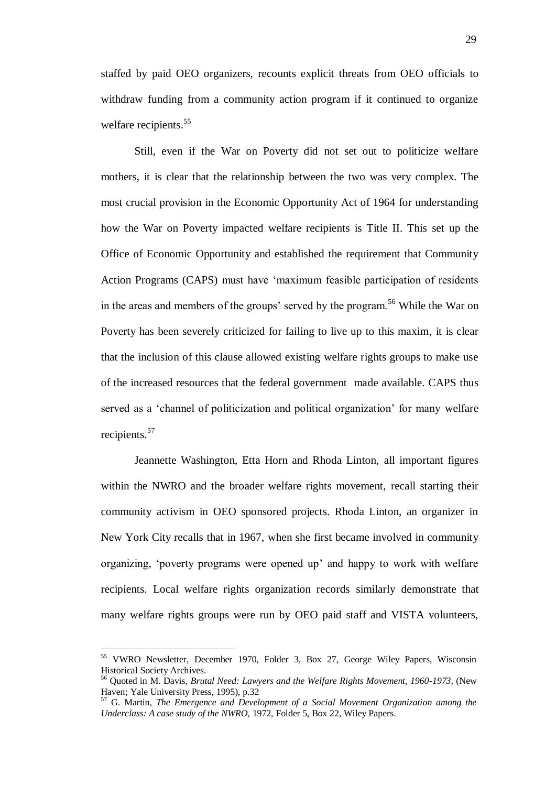staffed by paid OEO organizers, recounts explicit threats from OEO officials to withdraw funding from a community action program if it continued to organize welfare recipients. 55

Still, even if the War on Poverty did not set out to politicize welfare mothers, it is clear that the relationship between the two was very complex. The most crucial provision in the Economic Opportunity Act of 1964 for understanding how the War on Poverty impacted welfare recipients is Title II. This set up the Office of Economic Opportunity and established the requirement that Community Action Programs (CAPS) must have 'maximum feasible participation of residents in the areas and members of the groups' served by the program.<sup>56</sup> While the War on Poverty has been severely criticized for failing to live up to this maxim, it is clear that the inclusion of this clause allowed existing welfare rights groups to make use of the increased resources that the federal government made available. CAPS thus served as a 'channel of politicization and political organization' for many welfare recipients.<sup>57</sup>

Jeannette Washington, Etta Horn and Rhoda Linton, all important figures within the NWRO and the broader welfare rights movement, recall starting their community activism in OEO sponsored projects. Rhoda Linton, an organizer in New York City recalls that in 1967, when she first became involved in community organizing, 'poverty programs were opened up' and happy to work with welfare recipients. Local welfare rights organization records similarly demonstrate that many welfare rights groups were run by OEO paid staff and VISTA volunteers,

<sup>55</sup> VWRO Newsletter, December 1970, Folder 3, Box 27, George Wiley Papers, Wisconsin Historical Society Archives.

<sup>56</sup> Quoted in M. Davis, *Brutal Need: Lawyers and the Welfare Rights Movement, 1960-1973,* (New Haven; Yale University Press, 1995), p.32

<sup>57</sup> G. Martin, *The Emergence and Development of a Social Movement Organization among the Underclass: A case study of the NWRO,* 1972, Folder 5, Box 22, Wiley Papers.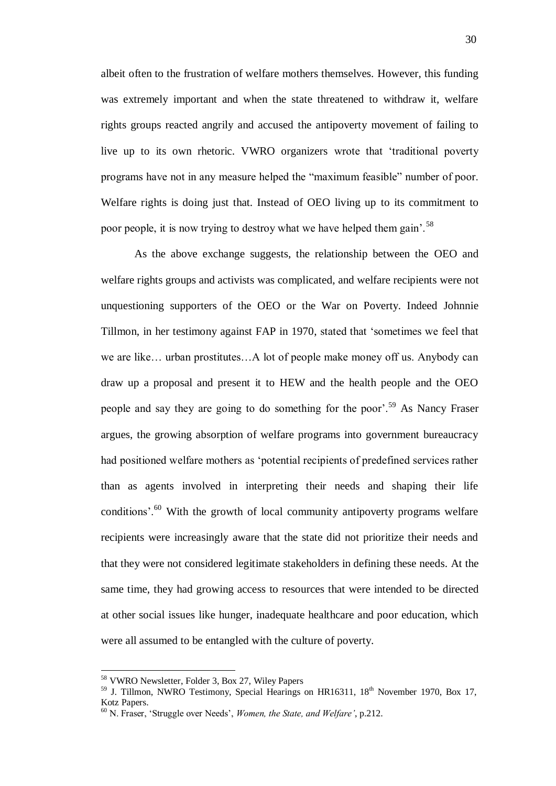albeit often to the frustration of welfare mothers themselves. However, this funding was extremely important and when the state threatened to withdraw it, welfare rights groups reacted angrily and accused the antipoverty movement of failing to live up to its own rhetoric. VWRO organizers wrote that 'traditional poverty programs have not in any measure helped the "maximum feasible" number of poor. Welfare rights is doing just that. Instead of OEO living up to its commitment to poor people, it is now trying to destroy what we have helped them gain'.<sup>58</sup>

As the above exchange suggests, the relationship between the OEO and welfare rights groups and activists was complicated, and welfare recipients were not unquestioning supporters of the OEO or the War on Poverty. Indeed Johnnie Tillmon, in her testimony against FAP in 1970, stated that 'sometimes we feel that we are like… urban prostitutes…A lot of people make money off us. Anybody can draw up a proposal and present it to HEW and the health people and the OEO people and say they are going to do something for the poor'.<sup>59</sup> As Nancy Fraser argues, the growing absorption of welfare programs into government bureaucracy had positioned welfare mothers as 'potential recipients of predefined services rather than as agents involved in interpreting their needs and shaping their life conditions'.<sup>60</sup> With the growth of local community antipoverty programs welfare recipients were increasingly aware that the state did not prioritize their needs and that they were not considered legitimate stakeholders in defining these needs. At the same time, they had growing access to resources that were intended to be directed at other social issues like hunger, inadequate healthcare and poor education, which were all assumed to be entangled with the culture of poverty.

<sup>&</sup>lt;sup>58</sup> VWRO Newsletter, Folder 3, Box 27, Wiley Papers

 $59$  J. Tillmon, NWRO Testimony, Special Hearings on HR16311,  $18<sup>th</sup>$  November 1970, Box 17, Kotz Papers.

<sup>60</sup> N. Fraser, 'Struggle over Needs', *Women, the State, and Welfare'*, p.212.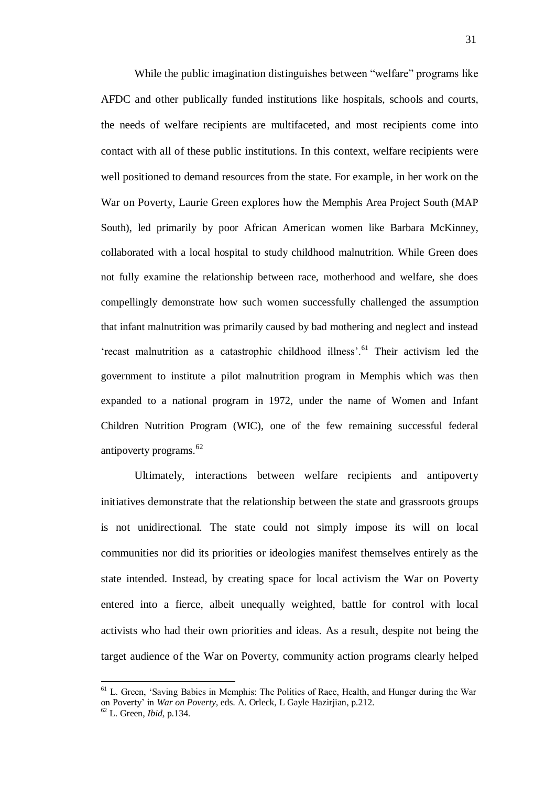While the public imagination distinguishes between "welfare" programs like AFDC and other publically funded institutions like hospitals, schools and courts, the needs of welfare recipients are multifaceted, and most recipients come into contact with all of these public institutions. In this context, welfare recipients were well positioned to demand resources from the state. For example, in her work on the War on Poverty, Laurie Green explores how the Memphis Area Project South (MAP South), led primarily by poor African American women like Barbara McKinney, collaborated with a local hospital to study childhood malnutrition. While Green does not fully examine the relationship between race, motherhood and welfare, she does compellingly demonstrate how such women successfully challenged the assumption that infant malnutrition was primarily caused by bad mothering and neglect and instead 'recast malnutrition as a catastrophic childhood illness'.<sup>61</sup> Their activism led the government to institute a pilot malnutrition program in Memphis which was then expanded to a national program in 1972, under the name of Women and Infant Children Nutrition Program (WIC), one of the few remaining successful federal antipoverty programs.<sup>62</sup>

Ultimately, interactions between welfare recipients and antipoverty initiatives demonstrate that the relationship between the state and grassroots groups is not unidirectional. The state could not simply impose its will on local communities nor did its priorities or ideologies manifest themselves entirely as the state intended. Instead, by creating space for local activism the War on Poverty entered into a fierce, albeit unequally weighted, battle for control with local activists who had their own priorities and ideas. As a result, despite not being the target audience of the War on Poverty, community action programs clearly helped

<sup>&</sup>lt;sup>61</sup> L. Green, 'Saving Babies in Memphis: The Politics of Race, Health, and Hunger during the War on Poverty' in *War on Poverty,* eds. A. Orleck, L Gayle Hazirjian, p.212.

<sup>62</sup> L. Green, *Ibid,* p.134.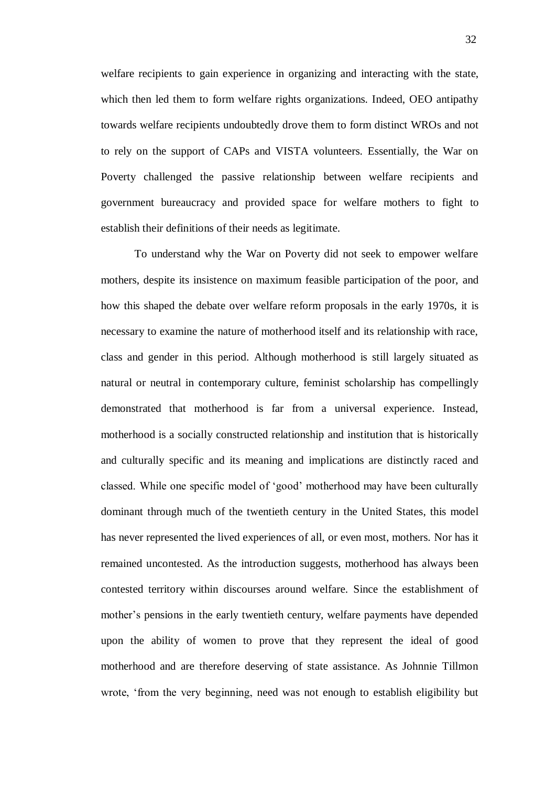welfare recipients to gain experience in organizing and interacting with the state, which then led them to form welfare rights organizations. Indeed, OEO antipathy towards welfare recipients undoubtedly drove them to form distinct WROs and not to rely on the support of CAPs and VISTA volunteers. Essentially, the War on Poverty challenged the passive relationship between welfare recipients and government bureaucracy and provided space for welfare mothers to fight to establish their definitions of their needs as legitimate.

To understand why the War on Poverty did not seek to empower welfare mothers, despite its insistence on maximum feasible participation of the poor, and how this shaped the debate over welfare reform proposals in the early 1970s, it is necessary to examine the nature of motherhood itself and its relationship with race, class and gender in this period. Although motherhood is still largely situated as natural or neutral in contemporary culture, feminist scholarship has compellingly demonstrated that motherhood is far from a universal experience. Instead, motherhood is a socially constructed relationship and institution that is historically and culturally specific and its meaning and implications are distinctly raced and classed. While one specific model of 'good' motherhood may have been culturally dominant through much of the twentieth century in the United States, this model has never represented the lived experiences of all, or even most, mothers. Nor has it remained uncontested. As the introduction suggests, motherhood has always been contested territory within discourses around welfare. Since the establishment of mother's pensions in the early twentieth century, welfare payments have depended upon the ability of women to prove that they represent the ideal of good motherhood and are therefore deserving of state assistance. As Johnnie Tillmon wrote, 'from the very beginning, need was not enough to establish eligibility but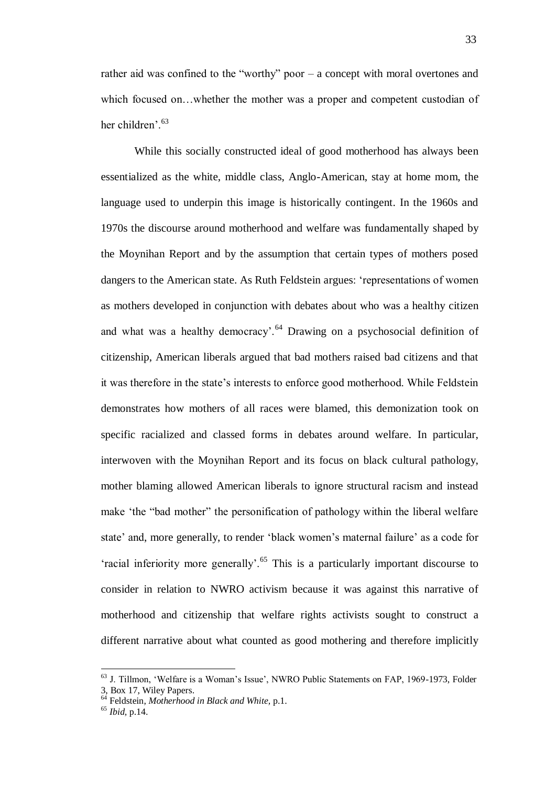rather aid was confined to the "worthy" poor – a concept with moral overtones and which focused on...whether the mother was a proper and competent custodian of her children'.<sup>63</sup>

While this socially constructed ideal of good motherhood has always been essentialized as the white, middle class, Anglo-American, stay at home mom, the language used to underpin this image is historically contingent. In the 1960s and 1970s the discourse around motherhood and welfare was fundamentally shaped by the Moynihan Report and by the assumption that certain types of mothers posed dangers to the American state. As Ruth Feldstein argues: 'representations of women as mothers developed in conjunction with debates about who was a healthy citizen and what was a healthy democracy'.<sup>64</sup> Drawing on a psychosocial definition of citizenship, American liberals argued that bad mothers raised bad citizens and that it was therefore in the state's interests to enforce good motherhood. While Feldstein demonstrates how mothers of all races were blamed, this demonization took on specific racialized and classed forms in debates around welfare. In particular, interwoven with the Moynihan Report and its focus on black cultural pathology, mother blaming allowed American liberals to ignore structural racism and instead make 'the "bad mother" the personification of pathology within the liberal welfare state' and, more generally, to render 'black women's maternal failure' as a code for 'racial inferiority more generally'.<sup>65</sup> This is a particularly important discourse to consider in relation to NWRO activism because it was against this narrative of motherhood and citizenship that welfare rights activists sought to construct a different narrative about what counted as good mothering and therefore implicitly

<sup>63</sup> J. Tillmon, 'Welfare is a Woman's Issue', NWRO Public Statements on FAP, 1969-1973, Folder 3, Box 17, Wiley Papers.

<sup>64</sup> Feldstein, *Motherhood in Black and White,* p.1.

<sup>65</sup> *Ibid,* p.14.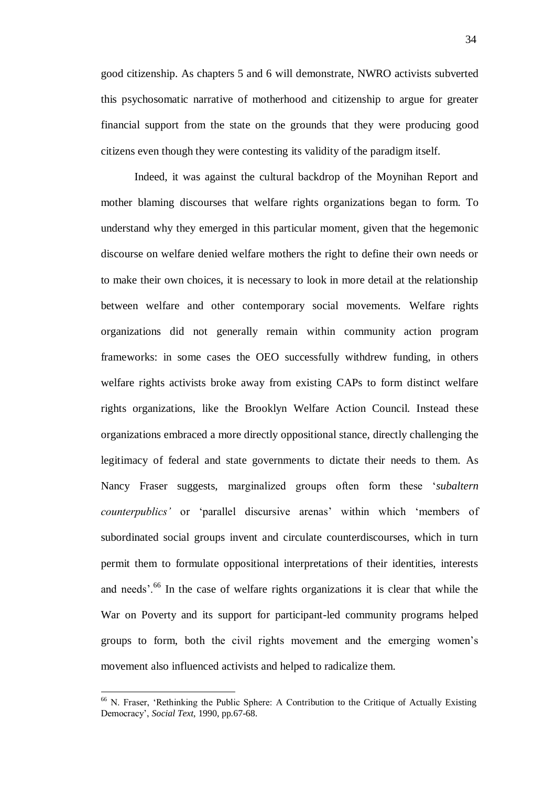good citizenship. As chapters 5 and 6 will demonstrate, NWRO activists subverted this psychosomatic narrative of motherhood and citizenship to argue for greater financial support from the state on the grounds that they were producing good citizens even though they were contesting its validity of the paradigm itself.

Indeed, it was against the cultural backdrop of the Moynihan Report and mother blaming discourses that welfare rights organizations began to form. To understand why they emerged in this particular moment, given that the hegemonic discourse on welfare denied welfare mothers the right to define their own needs or to make their own choices, it is necessary to look in more detail at the relationship between welfare and other contemporary social movements. Welfare rights organizations did not generally remain within community action program frameworks: in some cases the OEO successfully withdrew funding, in others welfare rights activists broke away from existing CAPs to form distinct welfare rights organizations, like the Brooklyn Welfare Action Council. Instead these organizations embraced a more directly oppositional stance, directly challenging the legitimacy of federal and state governments to dictate their needs to them. As Nancy Fraser suggests, marginalized groups often form these '*subaltern counterpublics'* or 'parallel discursive arenas' within which 'members of subordinated social groups invent and circulate counterdiscourses, which in turn permit them to formulate oppositional interpretations of their identities, interests and needs<sup>', 66</sup> In the case of welfare rights organizations it is clear that while the War on Poverty and its support for participant-led community programs helped groups to form, both the civil rights movement and the emerging women's movement also influenced activists and helped to radicalize them.

<sup>&</sup>lt;sup>66</sup> N. Fraser, 'Rethinking the Public Sphere: A Contribution to the Critique of Actually Existing Democracy', *Social Text*, 1990, pp.67-68.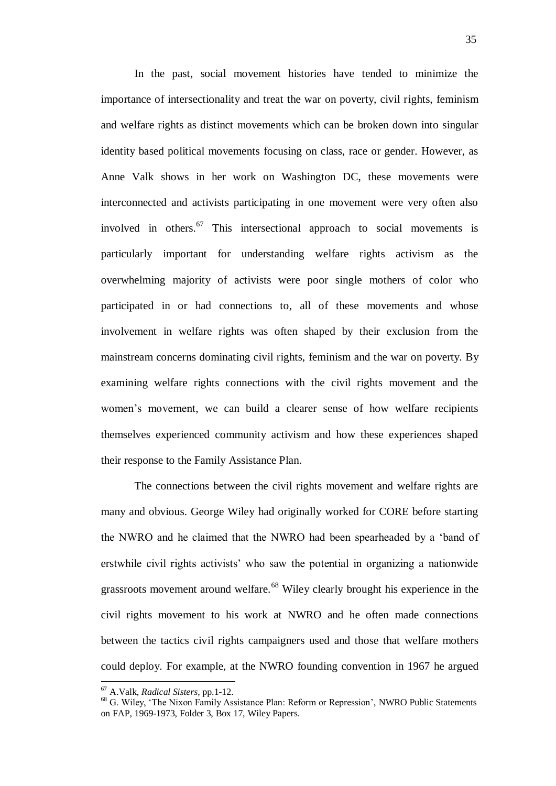In the past, social movement histories have tended to minimize the importance of intersectionality and treat the war on poverty, civil rights, feminism and welfare rights as distinct movements which can be broken down into singular identity based political movements focusing on class, race or gender. However, as Anne Valk shows in her work on Washington DC, these movements were interconnected and activists participating in one movement were very often also involved in others.<sup>67</sup> This intersectional approach to social movements is particularly important for understanding welfare rights activism as the overwhelming majority of activists were poor single mothers of color who participated in or had connections to, all of these movements and whose involvement in welfare rights was often shaped by their exclusion from the mainstream concerns dominating civil rights, feminism and the war on poverty. By examining welfare rights connections with the civil rights movement and the women's movement, we can build a clearer sense of how welfare recipients themselves experienced community activism and how these experiences shaped their response to the Family Assistance Plan.

The connections between the civil rights movement and welfare rights are many and obvious. George Wiley had originally worked for CORE before starting the NWRO and he claimed that the NWRO had been spearheaded by a 'band of erstwhile civil rights activists' who saw the potential in organizing a nationwide grassroots movement around welfare.<sup>68</sup> Wiley clearly brought his experience in the civil rights movement to his work at NWRO and he often made connections between the tactics civil rights campaigners used and those that welfare mothers could deploy. For example, at the NWRO founding convention in 1967 he argued

<sup>67</sup> A.Valk, *Radical Sisters*, pp.1-12.

<sup>68</sup> G. Wiley, 'The Nixon Family Assistance Plan: Reform or Repression', NWRO Public Statements on FAP, 1969-1973, Folder 3, Box 17, Wiley Papers.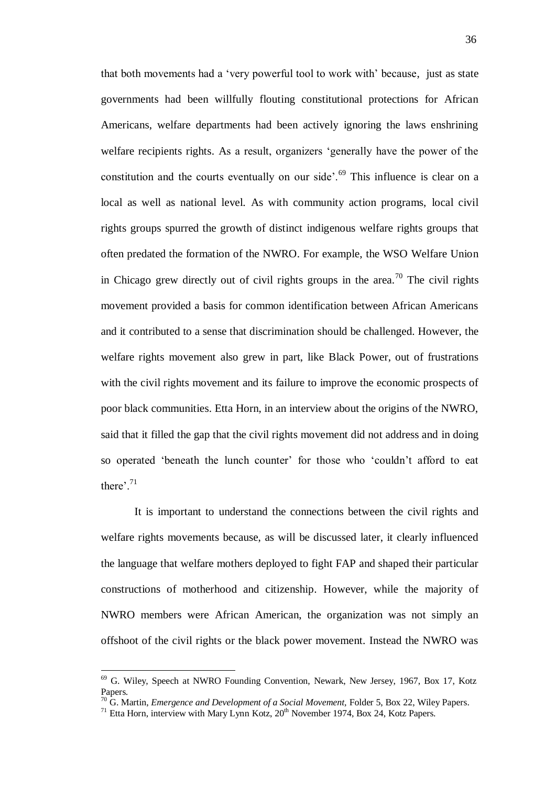that both movements had a 'very powerful tool to work with' because, just as state governments had been willfully flouting constitutional protections for African Americans, welfare departments had been actively ignoring the laws enshrining welfare recipients rights. As a result, organizers 'generally have the power of the constitution and the courts eventually on our side'.<sup>69</sup> This influence is clear on a local as well as national level. As with community action programs, local civil rights groups spurred the growth of distinct indigenous welfare rights groups that often predated the formation of the NWRO. For example, the WSO Welfare Union in Chicago grew directly out of civil rights groups in the area.<sup>70</sup> The civil rights movement provided a basis for common identification between African Americans and it contributed to a sense that discrimination should be challenged. However, the welfare rights movement also grew in part, like Black Power, out of frustrations with the civil rights movement and its failure to improve the economic prospects of poor black communities. Etta Horn, in an interview about the origins of the NWRO, said that it filled the gap that the civil rights movement did not address and in doing so operated 'beneath the lunch counter' for those who 'couldn't afford to eat there'.<sup>71</sup>

It is important to understand the connections between the civil rights and welfare rights movements because, as will be discussed later, it clearly influenced the language that welfare mothers deployed to fight FAP and shaped their particular constructions of motherhood and citizenship. However, while the majority of NWRO members were African American, the organization was not simply an offshoot of the civil rights or the black power movement. Instead the NWRO was

<sup>&</sup>lt;sup>69</sup> G. Wiley, Speech at NWRO Founding Convention, Newark, New Jersey, 1967, Box 17, Kotz Papers.

<sup>70</sup> G. Martin, *Emergence and Development of a Social Movement,* Folder 5, Box 22, Wiley Papers.

<sup>&</sup>lt;sup>71</sup> Etta Horn, interview with Mary Lynn Kotz,  $20<sup>th</sup>$  November 1974, Box 24, Kotz Papers.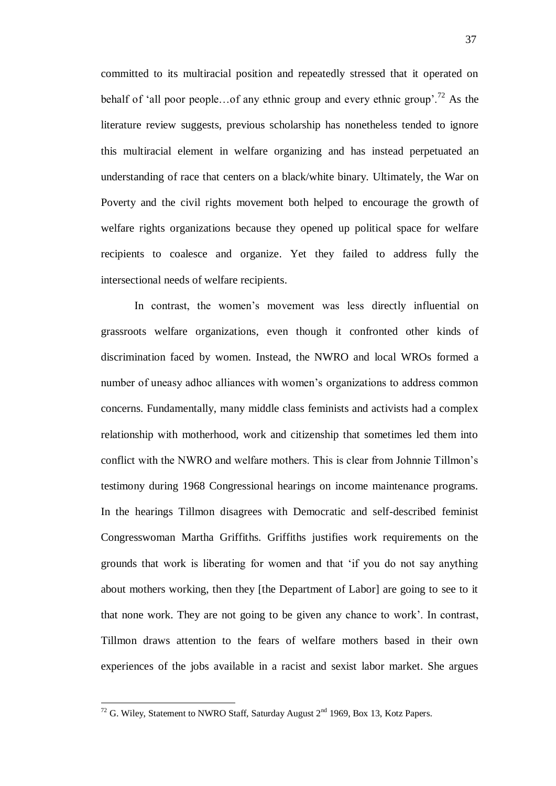committed to its multiracial position and repeatedly stressed that it operated on behalf of 'all poor people...of any ethnic group and every ethnic group'.<sup>72</sup> As the literature review suggests, previous scholarship has nonetheless tended to ignore this multiracial element in welfare organizing and has instead perpetuated an understanding of race that centers on a black/white binary. Ultimately, the War on Poverty and the civil rights movement both helped to encourage the growth of welfare rights organizations because they opened up political space for welfare recipients to coalesce and organize. Yet they failed to address fully the intersectional needs of welfare recipients.

In contrast, the women's movement was less directly influential on grassroots welfare organizations, even though it confronted other kinds of discrimination faced by women. Instead, the NWRO and local WROs formed a number of uneasy adhoc alliances with women's organizations to address common concerns. Fundamentally, many middle class feminists and activists had a complex relationship with motherhood, work and citizenship that sometimes led them into conflict with the NWRO and welfare mothers. This is clear from Johnnie Tillmon's testimony during 1968 Congressional hearings on income maintenance programs. In the hearings Tillmon disagrees with Democratic and self-described feminist Congresswoman Martha Griffiths. Griffiths justifies work requirements on the grounds that work is liberating for women and that 'if you do not say anything about mothers working, then they [the Department of Labor] are going to see to it that none work. They are not going to be given any chance to work'. In contrast, Tillmon draws attention to the fears of welfare mothers based in their own experiences of the jobs available in a racist and sexist labor market. She argues

 $72$  G. Wiley, Statement to NWRO Staff, Saturday August  $2<sup>nd</sup>$  1969, Box 13, Kotz Papers.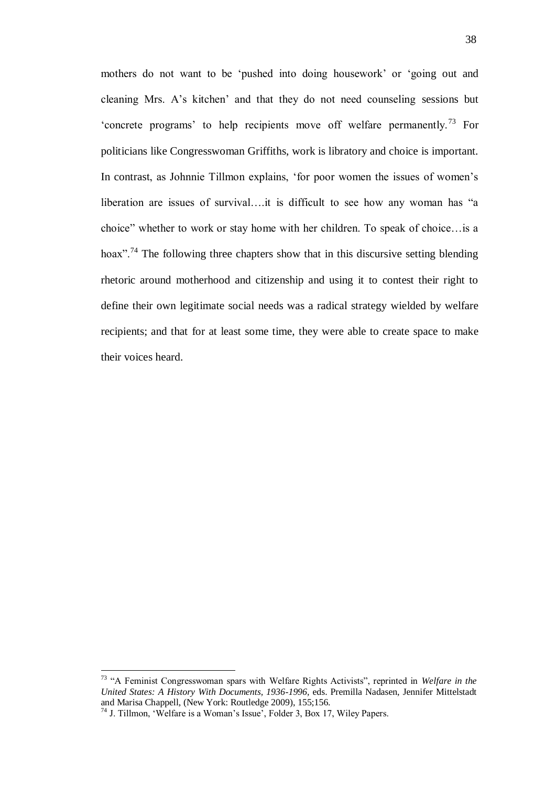mothers do not want to be 'pushed into doing housework' or 'going out and cleaning Mrs. A's kitchen' and that they do not need counseling sessions but 'concrete programs' to help recipients move off welfare permanently.<sup>73</sup> For politicians like Congresswoman Griffiths, work is libratory and choice is important. In contrast, as Johnnie Tillmon explains, 'for poor women the issues of women's liberation are issues of survival….it is difficult to see how any woman has "a choice" whether to work or stay home with her children. To speak of choice…is a hoax".<sup>74</sup> The following three chapters show that in this discursive setting blending rhetoric around motherhood and citizenship and using it to contest their right to define their own legitimate social needs was a radical strategy wielded by welfare recipients; and that for at least some time, they were able to create space to make their voices heard.

<sup>73</sup> "A Feminist Congresswoman spars with Welfare Rights Activists", reprinted in *Welfare in the United States: A History With Documents, 1936-1996,* eds. Premilla Nadasen, Jennifer Mittelstadt and Marisa Chappell, (New York: Routledge 2009), 155;156.

<sup>74</sup> J. Tillmon, 'Welfare is a Woman's Issue', Folder 3, Box 17, Wiley Papers.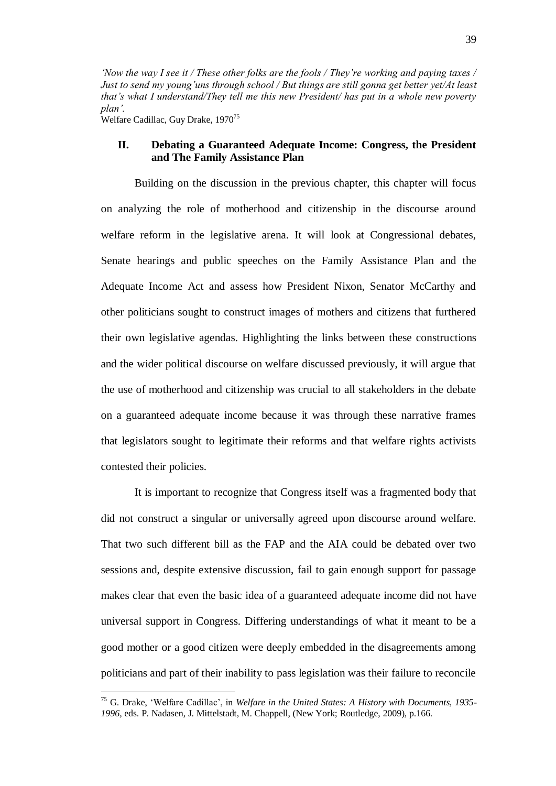*'Now the way I see it / These other folks are the fools / They're working and paying taxes / Just to send my young'uns through school / But things are still gonna get better yet/At least that's what I understand/They tell me this new President/ has put in a whole new poverty plan'.*

Welfare Cadillac, Guy Drake, 1970<sup>75</sup>

1

## **II. Debating a Guaranteed Adequate Income: Congress, the President and The Family Assistance Plan**

Building on the discussion in the previous chapter, this chapter will focus on analyzing the role of motherhood and citizenship in the discourse around welfare reform in the legislative arena. It will look at Congressional debates, Senate hearings and public speeches on the Family Assistance Plan and the Adequate Income Act and assess how President Nixon, Senator McCarthy and other politicians sought to construct images of mothers and citizens that furthered their own legislative agendas. Highlighting the links between these constructions and the wider political discourse on welfare discussed previously, it will argue that the use of motherhood and citizenship was crucial to all stakeholders in the debate on a guaranteed adequate income because it was through these narrative frames that legislators sought to legitimate their reforms and that welfare rights activists contested their policies.

It is important to recognize that Congress itself was a fragmented body that did not construct a singular or universally agreed upon discourse around welfare. That two such different bill as the FAP and the AIA could be debated over two sessions and, despite extensive discussion, fail to gain enough support for passage makes clear that even the basic idea of a guaranteed adequate income did not have universal support in Congress. Differing understandings of what it meant to be a good mother or a good citizen were deeply embedded in the disagreements among politicians and part of their inability to pass legislation was their failure to reconcile

<sup>75</sup> G. Drake, 'Welfare Cadillac', in *Welfare in the United States: A History with Documents, 1935- 1996,* eds. P. Nadasen, J. Mittelstadt, M. Chappell, (New York; Routledge, 2009), p.166.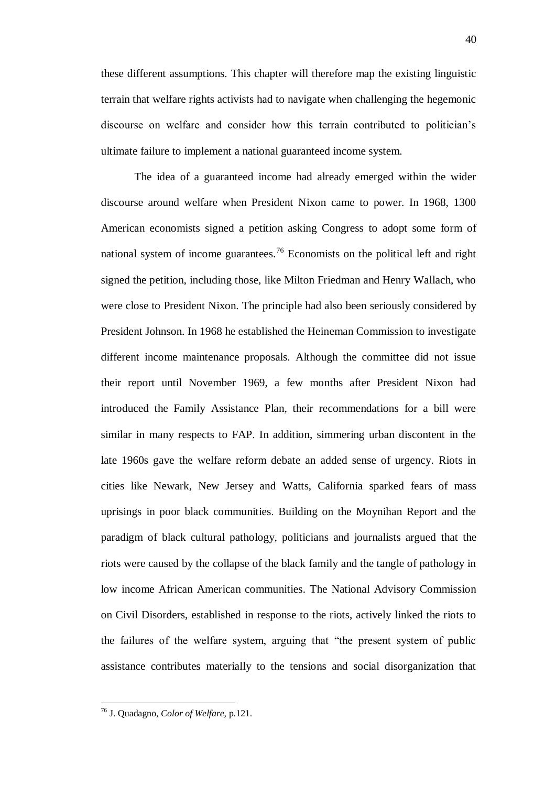these different assumptions. This chapter will therefore map the existing linguistic terrain that welfare rights activists had to navigate when challenging the hegemonic discourse on welfare and consider how this terrain contributed to politician's ultimate failure to implement a national guaranteed income system.

The idea of a guaranteed income had already emerged within the wider discourse around welfare when President Nixon came to power. In 1968, 1300 American economists signed a petition asking Congress to adopt some form of national system of income guarantees.<sup>76</sup> Economists on the political left and right signed the petition, including those, like Milton Friedman and Henry Wallach, who were close to President Nixon. The principle had also been seriously considered by President Johnson. In 1968 he established the Heineman Commission to investigate different income maintenance proposals. Although the committee did not issue their report until November 1969, a few months after President Nixon had introduced the Family Assistance Plan, their recommendations for a bill were similar in many respects to FAP. In addition, simmering urban discontent in the late 1960s gave the welfare reform debate an added sense of urgency. Riots in cities like Newark, New Jersey and Watts, California sparked fears of mass uprisings in poor black communities. Building on the Moynihan Report and the paradigm of black cultural pathology, politicians and journalists argued that the riots were caused by the collapse of the black family and the tangle of pathology in low income African American communities. The National Advisory Commission on Civil Disorders, established in response to the riots, actively linked the riots to the failures of the welfare system, arguing that "the present system of public assistance contributes materially to the tensions and social disorganization that

<sup>76</sup> J. Quadagno, *Color of Welfare,* p.121.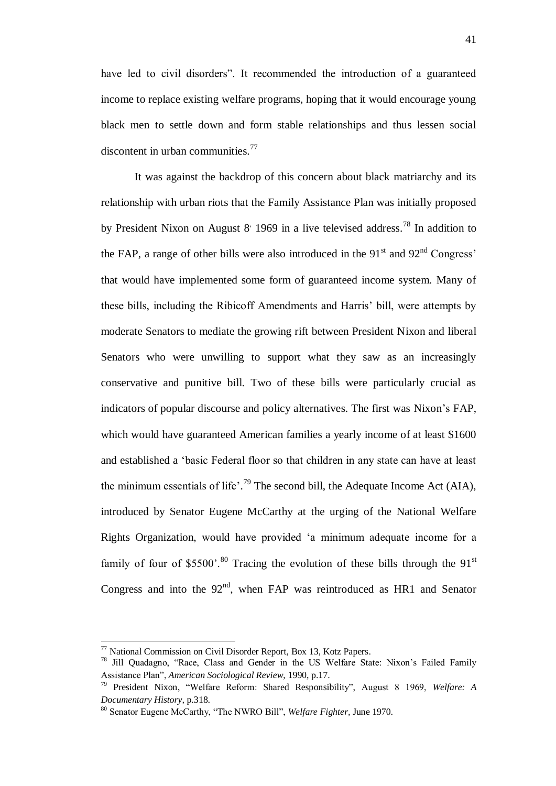have led to civil disorders". It recommended the introduction of a guaranteed income to replace existing welfare programs, hoping that it would encourage young black men to settle down and form stable relationships and thus lessen social discontent in urban communities.<sup>77</sup>

It was against the backdrop of this concern about black matriarchy and its relationship with urban riots that the Family Assistance Plan was initially proposed by President Nixon on August 8<sup>,</sup> 1969 in a live televised address.<sup>78</sup> In addition to the FAP, a range of other bills were also introduced in the  $91<sup>st</sup>$  and  $92<sup>nd</sup>$  Congress' that would have implemented some form of guaranteed income system. Many of these bills, including the Ribicoff Amendments and Harris' bill, were attempts by moderate Senators to mediate the growing rift between President Nixon and liberal Senators who were unwilling to support what they saw as an increasingly conservative and punitive bill. Two of these bills were particularly crucial as indicators of popular discourse and policy alternatives. The first was Nixon's FAP, which would have guaranteed American families a yearly income of at least \$1600 and established a 'basic Federal floor so that children in any state can have at least the minimum essentials of life'.<sup>79</sup> The second bill, the Adequate Income Act (AIA), introduced by Senator Eugene McCarthy at the urging of the National Welfare Rights Organization, would have provided 'a minimum adequate income for a family of four of \$5500'.<sup>80</sup> Tracing the evolution of these bills through the  $91<sup>st</sup>$ Congress and into the  $92<sup>nd</sup>$ , when FAP was reintroduced as HR1 and Senator

<sup>77</sup> National Commission on Civil Disorder Report, Box 13, Kotz Papers.

<sup>78</sup> Jill Quadagno, "Race, Class and Gender in the US Welfare State: Nixon's Failed Family Assistance Plan", *American Sociological Review*, 1990, p.17.

<sup>79</sup> President Nixon, "Welfare Reform: Shared Responsibility", August 8 1969, *Welfare: A Documentary History,* p.318.

<sup>80</sup> Senator Eugene McCarthy, "The NWRO Bill", *Welfare Fighter,* June 1970.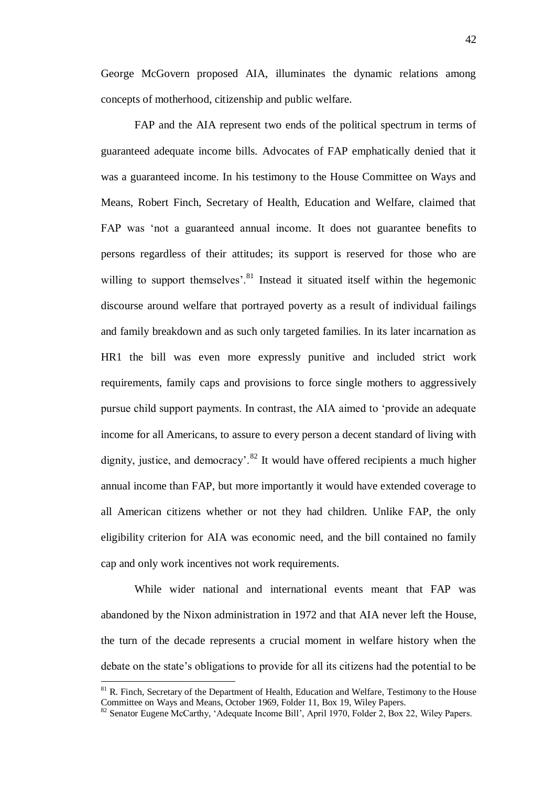George McGovern proposed AIA, illuminates the dynamic relations among concepts of motherhood, citizenship and public welfare.

FAP and the AIA represent two ends of the political spectrum in terms of guaranteed adequate income bills. Advocates of FAP emphatically denied that it was a guaranteed income. In his testimony to the House Committee on Ways and Means, Robert Finch, Secretary of Health, Education and Welfare, claimed that FAP was 'not a guaranteed annual income. It does not guarantee benefits to persons regardless of their attitudes; its support is reserved for those who are willing to support themselves<sup>'.81</sup> Instead it situated itself within the hegemonic discourse around welfare that portrayed poverty as a result of individual failings and family breakdown and as such only targeted families. In its later incarnation as HR1 the bill was even more expressly punitive and included strict work requirements, family caps and provisions to force single mothers to aggressively pursue child support payments. In contrast, the AIA aimed to 'provide an adequate income for all Americans, to assure to every person a decent standard of living with dignity, justice, and democracy'.<sup>82</sup> It would have offered recipients a much higher annual income than FAP, but more importantly it would have extended coverage to all American citizens whether or not they had children. Unlike FAP, the only eligibility criterion for AIA was economic need, and the bill contained no family cap and only work incentives not work requirements.

While wider national and international events meant that FAP was abandoned by the Nixon administration in 1972 and that AIA never left the House, the turn of the decade represents a crucial moment in welfare history when the debate on the state's obligations to provide for all its citizens had the potential to be

 $81$  R. Finch, Secretary of the Department of Health, Education and Welfare, Testimony to the House Committee on Ways and Means, October 1969, Folder 11, Box 19, Wiley Papers.

<sup>82</sup> Senator Eugene McCarthy, 'Adequate Income Bill', April 1970, Folder 2, Box 22, Wiley Papers.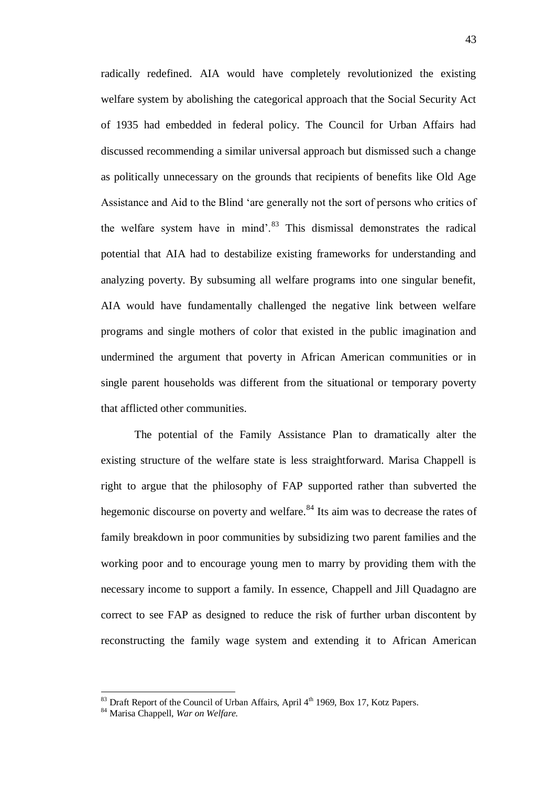radically redefined. AIA would have completely revolutionized the existing welfare system by abolishing the categorical approach that the Social Security Act of 1935 had embedded in federal policy. The Council for Urban Affairs had discussed recommending a similar universal approach but dismissed such a change as politically unnecessary on the grounds that recipients of benefits like Old Age Assistance and Aid to the Blind 'are generally not the sort of persons who critics of the welfare system have in mind'. $83$  This dismissal demonstrates the radical potential that AIA had to destabilize existing frameworks for understanding and analyzing poverty. By subsuming all welfare programs into one singular benefit, AIA would have fundamentally challenged the negative link between welfare programs and single mothers of color that existed in the public imagination and undermined the argument that poverty in African American communities or in single parent households was different from the situational or temporary poverty that afflicted other communities.

The potential of the Family Assistance Plan to dramatically alter the existing structure of the welfare state is less straightforward. Marisa Chappell is right to argue that the philosophy of FAP supported rather than subverted the hegemonic discourse on poverty and welfare.<sup>84</sup> Its aim was to decrease the rates of family breakdown in poor communities by subsidizing two parent families and the working poor and to encourage young men to marry by providing them with the necessary income to support a family. In essence, Chappell and Jill Quadagno are correct to see FAP as designed to reduce the risk of further urban discontent by reconstructing the family wage system and extending it to African American

 $83$  Draft Report of the Council of Urban Affairs, April  $4<sup>th</sup>$  1969, Box 17, Kotz Papers.

<sup>84</sup> Marisa Chappell, *War on Welfare.*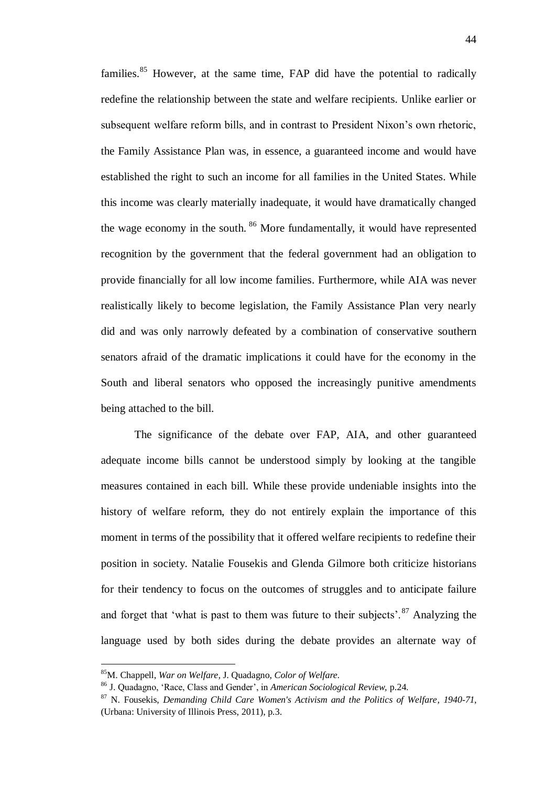families. $85$  However, at the same time, FAP did have the potential to radically redefine the relationship between the state and welfare recipients. Unlike earlier or subsequent welfare reform bills, and in contrast to President Nixon's own rhetoric, the Family Assistance Plan was, in essence, a guaranteed income and would have established the right to such an income for all families in the United States. While this income was clearly materially inadequate, it would have dramatically changed the wage economy in the south. <sup>86</sup> More fundamentally, it would have represented recognition by the government that the federal government had an obligation to provide financially for all low income families. Furthermore, while AIA was never realistically likely to become legislation, the Family Assistance Plan very nearly did and was only narrowly defeated by a combination of conservative southern senators afraid of the dramatic implications it could have for the economy in the South and liberal senators who opposed the increasingly punitive amendments being attached to the bill.

The significance of the debate over FAP, AIA, and other guaranteed adequate income bills cannot be understood simply by looking at the tangible measures contained in each bill. While these provide undeniable insights into the history of welfare reform, they do not entirely explain the importance of this moment in terms of the possibility that it offered welfare recipients to redefine their position in society. Natalie Fousekis and Glenda Gilmore both criticize historians for their tendency to focus on the outcomes of struggles and to anticipate failure and forget that 'what is past to them was future to their subjects'.<sup>87</sup> Analyzing the language used by both sides during the debate provides an alternate way of

<sup>85</sup>M. Chappell, *War on Welfare,* J. Quadagno, *Color of Welfare.* 

<sup>86</sup> J. Quadagno, 'Race, Class and Gender', in *American Sociological Review,* p.24.

<sup>87</sup> N. Fousekis, *Demanding Child Care Women's Activism and the Politics of Welfare, 1940-71*, (Urbana: University of Illinois Press, 2011), p.3.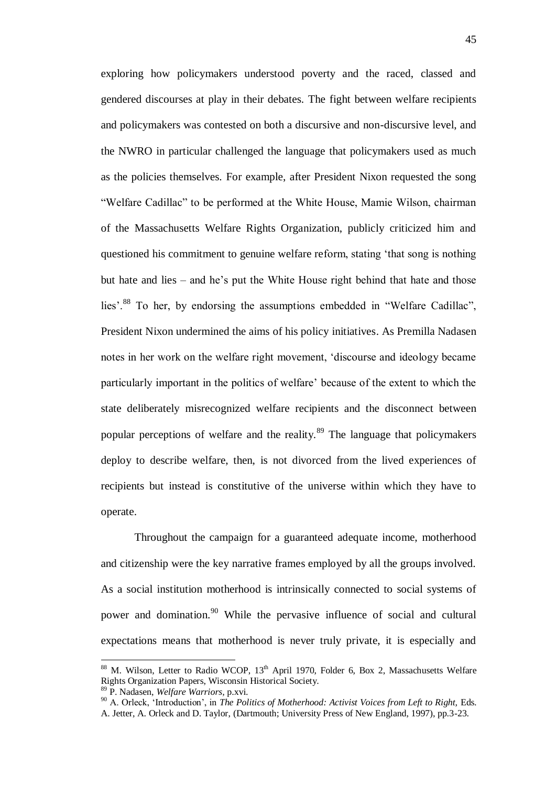exploring how policymakers understood poverty and the raced, classed and gendered discourses at play in their debates. The fight between welfare recipients and policymakers was contested on both a discursive and non-discursive level, and the NWRO in particular challenged the language that policymakers used as much as the policies themselves. For example, after President Nixon requested the song "Welfare Cadillac" to be performed at the White House, Mamie Wilson, chairman of the Massachusetts Welfare Rights Organization, publicly criticized him and questioned his commitment to genuine welfare reform, stating 'that song is nothing but hate and lies – and he's put the White House right behind that hate and those lies'.<sup>88</sup> To her, by endorsing the assumptions embedded in "Welfare Cadillac", President Nixon undermined the aims of his policy initiatives. As Premilla Nadasen notes in her work on the welfare right movement, 'discourse and ideology became particularly important in the politics of welfare' because of the extent to which the state deliberately misrecognized welfare recipients and the disconnect between popular perceptions of welfare and the reality.<sup>89</sup> The language that policymakers deploy to describe welfare, then, is not divorced from the lived experiences of recipients but instead is constitutive of the universe within which they have to operate.

Throughout the campaign for a guaranteed adequate income, motherhood and citizenship were the key narrative frames employed by all the groups involved. As a social institution motherhood is intrinsically connected to social systems of power and domination.<sup>90</sup> While the pervasive influence of social and cultural expectations means that motherhood is never truly private, it is especially and

<sup>&</sup>lt;sup>88</sup> M. Wilson, Letter to Radio WCOP, 13<sup>th</sup> April 1970, Folder 6, Box 2, Massachusetts Welfare Rights Organization Papers, Wisconsin Historical Society.

<sup>89</sup> P. Nadasen, *Welfare Warriors,* p.xvi.

<sup>&</sup>lt;sup>90</sup> A. Orleck, 'Introduction', in *The Politics of Motherhood: Activist Voices from Left to Right, Eds.* A. Jetter, A. Orleck and D. Taylor, (Dartmouth; University Press of New England, 1997), pp.3-23.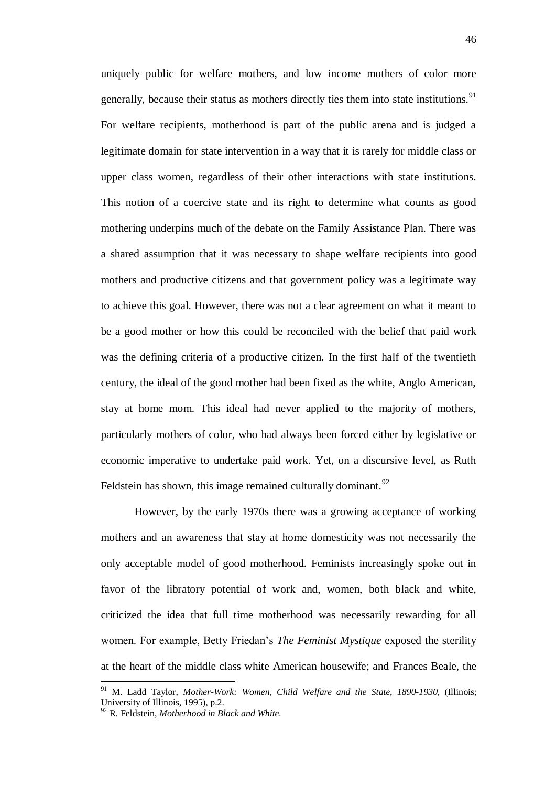uniquely public for welfare mothers, and low income mothers of color more generally, because their status as mothers directly ties them into state institutions.  $91$ For welfare recipients, motherhood is part of the public arena and is judged a legitimate domain for state intervention in a way that it is rarely for middle class or upper class women, regardless of their other interactions with state institutions. This notion of a coercive state and its right to determine what counts as good mothering underpins much of the debate on the Family Assistance Plan. There was a shared assumption that it was necessary to shape welfare recipients into good mothers and productive citizens and that government policy was a legitimate way to achieve this goal. However, there was not a clear agreement on what it meant to be a good mother or how this could be reconciled with the belief that paid work was the defining criteria of a productive citizen. In the first half of the twentieth century, the ideal of the good mother had been fixed as the white, Anglo American, stay at home mom. This ideal had never applied to the majority of mothers, particularly mothers of color, who had always been forced either by legislative or economic imperative to undertake paid work. Yet, on a discursive level, as Ruth Feldstein has shown, this image remained culturally dominant.  $92$ 

However, by the early 1970s there was a growing acceptance of working mothers and an awareness that stay at home domesticity was not necessarily the only acceptable model of good motherhood. Feminists increasingly spoke out in favor of the libratory potential of work and, women, both black and white, criticized the idea that full time motherhood was necessarily rewarding for all women. For example, Betty Friedan's *The Feminist Mystique* exposed the sterility at the heart of the middle class white American housewife; and Frances Beale, the

<sup>&</sup>lt;sup>91</sup> M. Ladd Taylor, *Mother-Work: Women, Child Welfare and the State, 1890-1930, (Illinois;* University of Illinois, 1995), p.2.

<sup>92</sup> R. Feldstein, *Motherhood in Black and White.*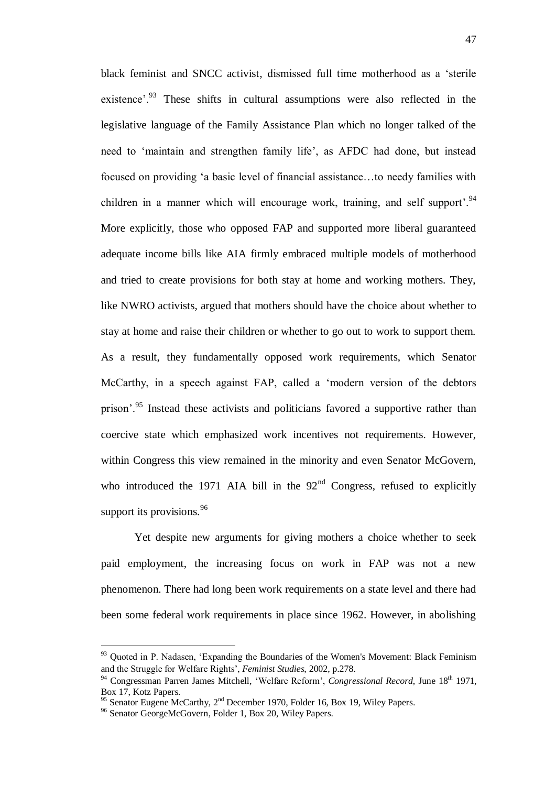black feminist and SNCC activist, dismissed full time motherhood as a 'sterile existence'.<sup>93</sup> These shifts in cultural assumptions were also reflected in the legislative language of the Family Assistance Plan which no longer talked of the need to 'maintain and strengthen family life', as AFDC had done, but instead focused on providing 'a basic level of financial assistance…to needy families with children in a manner which will encourage work, training, and self support<sup>'.94</sup> More explicitly, those who opposed FAP and supported more liberal guaranteed adequate income bills like AIA firmly embraced multiple models of motherhood and tried to create provisions for both stay at home and working mothers. They, like NWRO activists, argued that mothers should have the choice about whether to stay at home and raise their children or whether to go out to work to support them. As a result, they fundamentally opposed work requirements, which Senator McCarthy, in a speech against FAP, called a 'modern version of the debtors prison'.<sup>95</sup> Instead these activists and politicians favored a supportive rather than coercive state which emphasized work incentives not requirements. However, within Congress this view remained in the minority and even Senator McGovern, who introduced the 1971 AIA bill in the  $92<sup>nd</sup>$  Congress, refused to explicitly support its provisions.  $96$ 

Yet despite new arguments for giving mothers a choice whether to seek paid employment, the increasing focus on work in FAP was not a new phenomenon. There had long been work requirements on a state level and there had been some federal work requirements in place since 1962. However, in abolishing

<sup>&</sup>lt;sup>93</sup> Quoted in P. Nadasen, 'Expanding the Boundaries of the Women's Movement: Black Feminism and the Struggle for Welfare Rights', *Feminist Studies*, 2002, p.278.

<sup>&</sup>lt;sup>94</sup> Congressman Parren James Mitchell, 'Welfare Reform', *Congressional Record*, June 18<sup>th</sup> 1971, Box 17, Kotz Papers.

 $\frac{95}{95}$  Senator Eugene McCarthy,  $2<sup>nd</sup>$  December 1970, Folder 16, Box 19, Wiley Papers.

<sup>&</sup>lt;sup>96</sup> Senator GeorgeMcGovern, Folder 1, Box 20, Wiley Papers.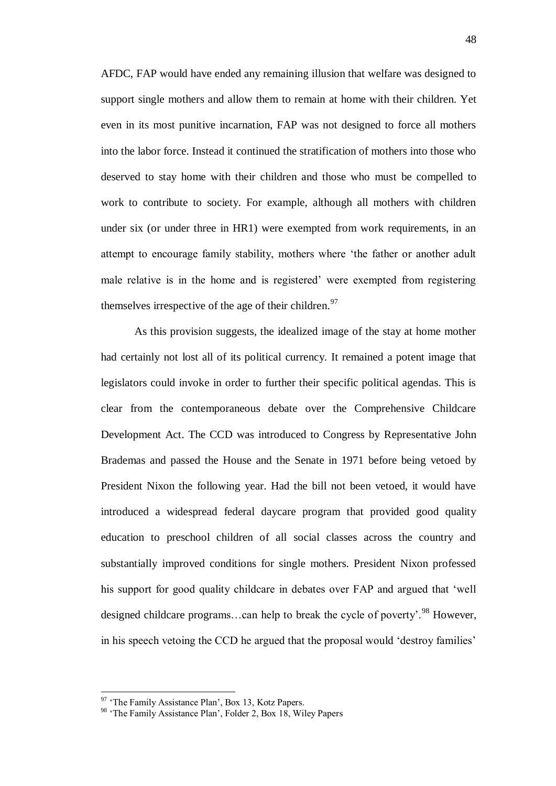AFDC, FAP would have ended any remaining illusion that welfare was designed to support single mothers and allow them to remain at home with their children. Yet even in its most punitive incarnation, FAP was not designed to force all mothers into the labor force. Instead it continued the stratification of mothers into those who deserved to stay home with their children and those who must be compelled to work to contribute to society. For example, although all mothers with children under six (or under three in HR1) were exempted from work requirements, in an attempt to encourage family stability, mothers where 'the father or another adult male relative is in the home and is registered' were exempted from registering themselves irrespective of the age of their children. $97$ 

As this provision suggests, the idealized image of the stay at home mother had certainly not lost all of its political currency. It remained a potent image that legislators could invoke in order to further their specific political agendas. This is clear from the contemporaneous debate over the Comprehensive Childcare Development Act. The CCD was introduced to Congress by Representative John Brademas and passed the House and the Senate in 1971 before being vetoed by President Nixon the following year. Had the bill not been vetoed, it would have introduced a widespread federal daycare program that provided good quality education to preschool children of all social classes across the country and substantially improved conditions for single mothers. President Nixon professed his support for good quality childcare in debates over FAP and argued that 'well designed childcare programs...can help to break the cycle of poverty'.<sup>98</sup> However, in his speech vetoing the CCD he argued that the proposal would 'destroy families'

<sup>&</sup>lt;sup>97</sup> 'The Family Assistance Plan', Box 13, Kotz Papers.

<sup>98 &#</sup>x27;The Family Assistance Plan', Folder 2, Box 18, Wiley Papers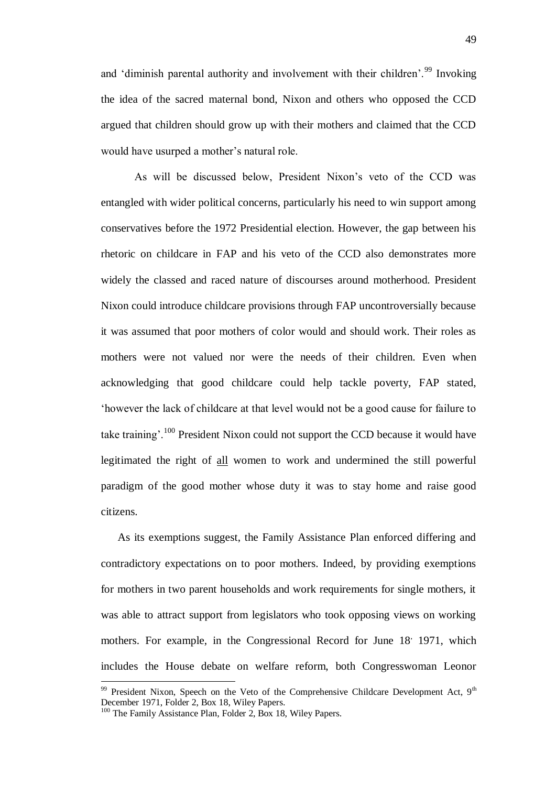and 'diminish parental authority and involvement with their children'.<sup>99</sup> Invoking the idea of the sacred maternal bond, Nixon and others who opposed the CCD argued that children should grow up with their mothers and claimed that the CCD would have usurped a mother's natural role.

As will be discussed below, President Nixon's veto of the CCD was entangled with wider political concerns, particularly his need to win support among conservatives before the 1972 Presidential election. However, the gap between his rhetoric on childcare in FAP and his veto of the CCD also demonstrates more widely the classed and raced nature of discourses around motherhood. President Nixon could introduce childcare provisions through FAP uncontroversially because it was assumed that poor mothers of color would and should work. Their roles as mothers were not valued nor were the needs of their children. Even when acknowledging that good childcare could help tackle poverty, FAP stated, 'however the lack of childcare at that level would not be a good cause for failure to take training'.<sup>100</sup> President Nixon could not support the CCD because it would have legitimated the right of all women to work and undermined the still powerful paradigm of the good mother whose duty it was to stay home and raise good citizens.

As its exemptions suggest, the Family Assistance Plan enforced differing and contradictory expectations on to poor mothers. Indeed, by providing exemptions for mothers in two parent households and work requirements for single mothers, it was able to attract support from legislators who took opposing views on working mothers. For example, in the Congressional Record for June 18' 1971, which includes the House debate on welfare reform, both Congresswoman Leonor

<sup>&</sup>lt;sup>99</sup> President Nixon, Speech on the Veto of the Comprehensive Childcare Development Act, 9<sup>th</sup> December 1971, Folder 2, Box 18, Wiley Papers.

<sup>&</sup>lt;sup>100</sup> The Family Assistance Plan, Folder 2, Box 18, Wiley Papers.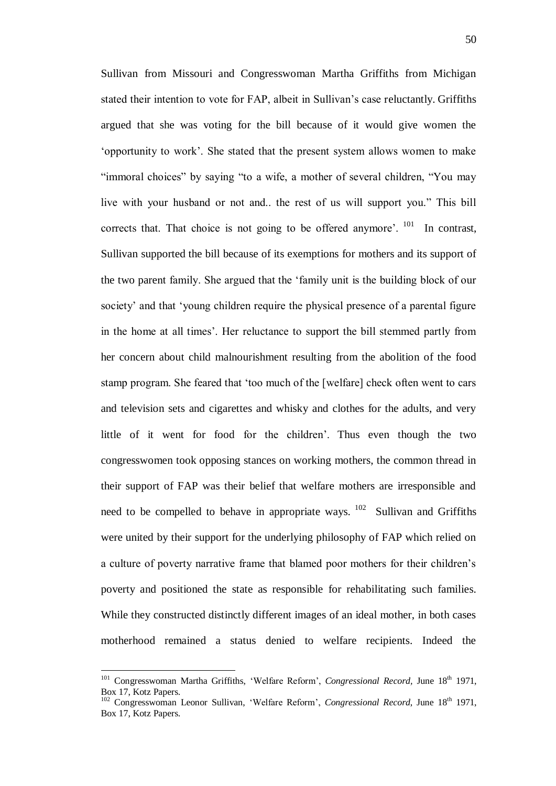Sullivan from Missouri and Congresswoman Martha Griffiths from Michigan stated their intention to vote for FAP, albeit in Sullivan's case reluctantly. Griffiths argued that she was voting for the bill because of it would give women the 'opportunity to work'. She stated that the present system allows women to make "immoral choices" by saying "to a wife, a mother of several children, "You may live with your husband or not and.. the rest of us will support you." This bill corrects that. That choice is not going to be offered anymore'.  $101$  In contrast, Sullivan supported the bill because of its exemptions for mothers and its support of the two parent family. She argued that the 'family unit is the building block of our society' and that 'young children require the physical presence of a parental figure in the home at all times'. Her reluctance to support the bill stemmed partly from her concern about child malnourishment resulting from the abolition of the food stamp program. She feared that 'too much of the [welfare] check often went to cars and television sets and cigarettes and whisky and clothes for the adults, and very little of it went for food for the children'. Thus even though the two congresswomen took opposing stances on working mothers, the common thread in their support of FAP was their belief that welfare mothers are irresponsible and need to be compelled to behave in appropriate ways.  $102$  Sullivan and Griffiths were united by their support for the underlying philosophy of FAP which relied on a culture of poverty narrative frame that blamed poor mothers for their children's poverty and positioned the state as responsible for rehabilitating such families. While they constructed distinctly different images of an ideal mother, in both cases motherhood remained a status denied to welfare recipients. Indeed the

<sup>&</sup>lt;sup>101</sup> Congresswoman Martha Griffiths, 'Welfare Reform', *Congressional Record*, June 18<sup>th</sup> 1971, Box 17, Kotz Papers.

<sup>&</sup>lt;sup>102</sup> Congresswoman Leonor Sullivan, 'Welfare Reform', *Congressional Record*, June 18<sup>th</sup> 1971, Box 17, Kotz Papers.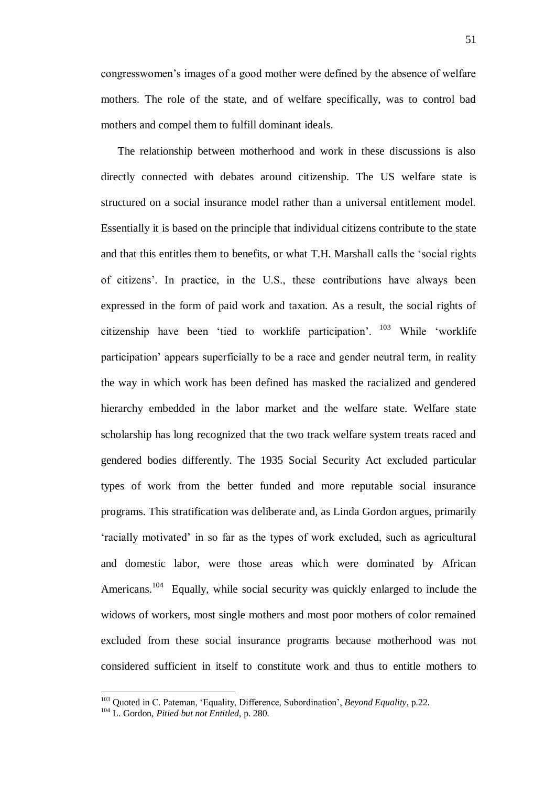congresswomen's images of a good mother were defined by the absence of welfare mothers. The role of the state, and of welfare specifically, was to control bad mothers and compel them to fulfill dominant ideals.

The relationship between motherhood and work in these discussions is also directly connected with debates around citizenship. The US welfare state is structured on a social insurance model rather than a universal entitlement model. Essentially it is based on the principle that individual citizens contribute to the state and that this entitles them to benefits, or what T.H. Marshall calls the 'social rights of citizens'. In practice, in the U.S., these contributions have always been expressed in the form of paid work and taxation. As a result, the social rights of citizenship have been 'tied to worklife participation'. <sup>103</sup> While 'worklife participation' appears superficially to be a race and gender neutral term, in reality the way in which work has been defined has masked the racialized and gendered hierarchy embedded in the labor market and the welfare state. Welfare state scholarship has long recognized that the two track welfare system treats raced and gendered bodies differently. The 1935 Social Security Act excluded particular types of work from the better funded and more reputable social insurance programs. This stratification was deliberate and, as Linda Gordon argues, primarily 'racially motivated' in so far as the types of work excluded, such as agricultural and domestic labor, were those areas which were dominated by African Americans.<sup>104</sup> Equally, while social security was quickly enlarged to include the widows of workers, most single mothers and most poor mothers of color remained excluded from these social insurance programs because motherhood was not considered sufficient in itself to constitute work and thus to entitle mothers to

<sup>103</sup> Quoted in C. Pateman, 'Equality, Difference, Subordination', *Beyond Equality*, p.22.

<sup>104</sup> L. Gordon, *Pitied but not Entitled*, p. 280.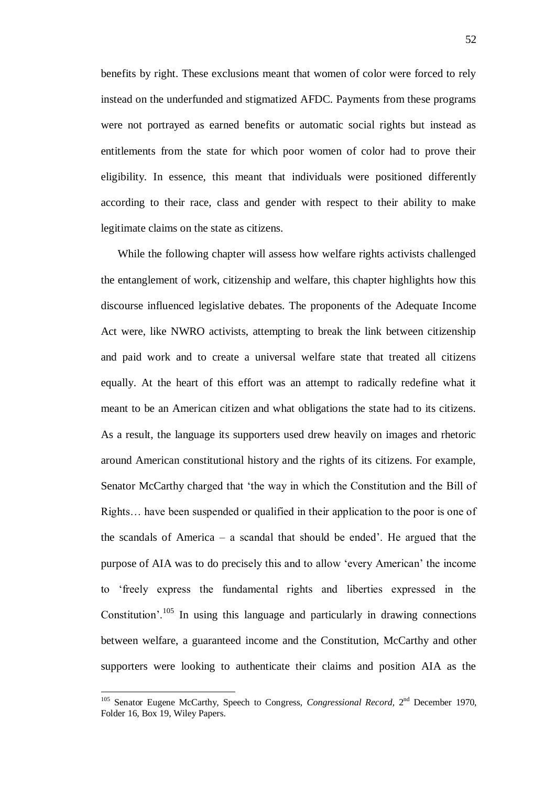benefits by right. These exclusions meant that women of color were forced to rely instead on the underfunded and stigmatized AFDC. Payments from these programs were not portrayed as earned benefits or automatic social rights but instead as entitlements from the state for which poor women of color had to prove their eligibility. In essence, this meant that individuals were positioned differently according to their race, class and gender with respect to their ability to make legitimate claims on the state as citizens.

While the following chapter will assess how welfare rights activists challenged the entanglement of work, citizenship and welfare, this chapter highlights how this discourse influenced legislative debates. The proponents of the Adequate Income Act were, like NWRO activists, attempting to break the link between citizenship and paid work and to create a universal welfare state that treated all citizens equally. At the heart of this effort was an attempt to radically redefine what it meant to be an American citizen and what obligations the state had to its citizens. As a result, the language its supporters used drew heavily on images and rhetoric around American constitutional history and the rights of its citizens. For example, Senator McCarthy charged that 'the way in which the Constitution and the Bill of Rights… have been suspended or qualified in their application to the poor is one of the scandals of America – a scandal that should be ended'. He argued that the purpose of AIA was to do precisely this and to allow 'every American' the income to 'freely express the fundamental rights and liberties expressed in the Constitution'.<sup>105</sup> In using this language and particularly in drawing connections between welfare, a guaranteed income and the Constitution, McCarthy and other supporters were looking to authenticate their claims and position AIA as the

<sup>&</sup>lt;sup>105</sup> Senator Eugene McCarthy, Speech to Congress, *Congressional Record*, 2<sup>nd</sup> December 1970, Folder 16, Box 19, Wiley Papers.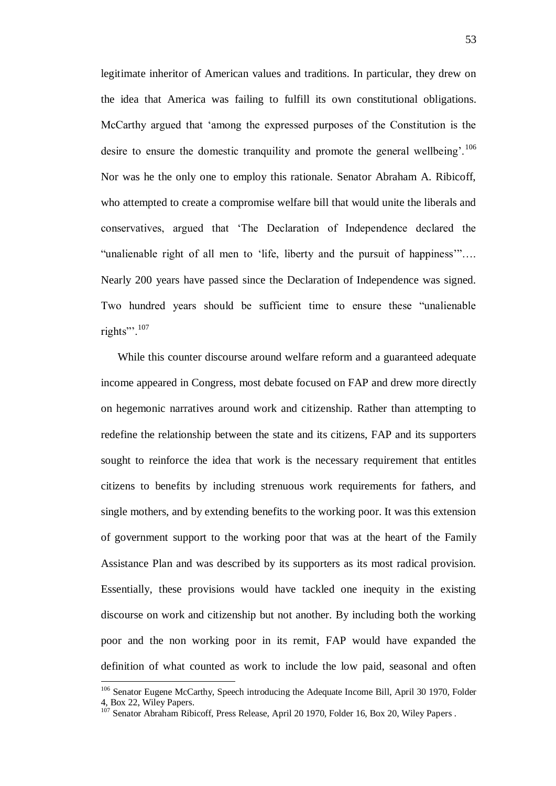legitimate inheritor of American values and traditions. In particular, they drew on the idea that America was failing to fulfill its own constitutional obligations. McCarthy argued that 'among the expressed purposes of the Constitution is the desire to ensure the domestic tranquility and promote the general wellbeing<sup>', 106</sup> Nor was he the only one to employ this rationale. Senator Abraham A. Ribicoff, who attempted to create a compromise welfare bill that would unite the liberals and conservatives, argued that 'The Declaration of Independence declared the "unalienable right of all men to 'life, liberty and the pursuit of happiness'".... Nearly 200 years have passed since the Declaration of Independence was signed. Two hundred years should be sufficient time to ensure these "unalienable rights".<sup>107</sup>

While this counter discourse around welfare reform and a guaranteed adequate income appeared in Congress, most debate focused on FAP and drew more directly on hegemonic narratives around work and citizenship. Rather than attempting to redefine the relationship between the state and its citizens, FAP and its supporters sought to reinforce the idea that work is the necessary requirement that entitles citizens to benefits by including strenuous work requirements for fathers, and single mothers, and by extending benefits to the working poor. It was this extension of government support to the working poor that was at the heart of the Family Assistance Plan and was described by its supporters as its most radical provision. Essentially, these provisions would have tackled one inequity in the existing discourse on work and citizenship but not another. By including both the working poor and the non working poor in its remit, FAP would have expanded the definition of what counted as work to include the low paid, seasonal and often

<sup>&</sup>lt;sup>106</sup> Senator Eugene McCarthy, Speech introducing the Adequate Income Bill, April 30 1970, Folder 4, Box 22, Wiley Papers.

<sup>107</sup> Senator Abraham Ribicoff, Press Release, April 20 1970, Folder 16, Box 20, Wiley Papers .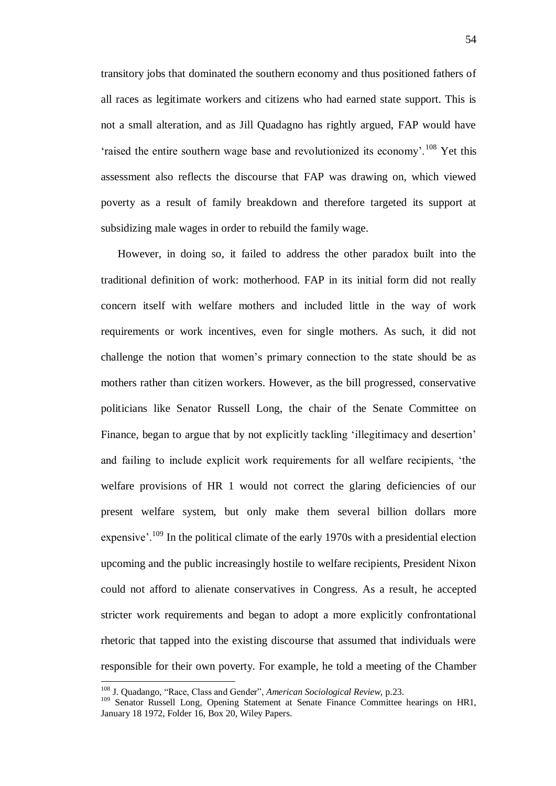transitory jobs that dominated the southern economy and thus positioned fathers of all races as legitimate workers and citizens who had earned state support. This is not a small alteration, and as Jill Quadagno has rightly argued, FAP would have 'raised the entire southern wage base and revolutionized its economy'.<sup>108</sup> Yet this assessment also reflects the discourse that FAP was drawing on, which viewed poverty as a result of family breakdown and therefore targeted its support at subsidizing male wages in order to rebuild the family wage.

However, in doing so, it failed to address the other paradox built into the traditional definition of work: motherhood. FAP in its initial form did not really concern itself with welfare mothers and included little in the way of work requirements or work incentives, even for single mothers. As such, it did not challenge the notion that women's primary connection to the state should be as mothers rather than citizen workers. However, as the bill progressed, conservative politicians like Senator Russell Long, the chair of the Senate Committee on Finance, began to argue that by not explicitly tackling 'illegitimacy and desertion' and failing to include explicit work requirements for all welfare recipients, 'the welfare provisions of HR 1 would not correct the glaring deficiencies of our present welfare system, but only make them several billion dollars more expensive'.<sup>109</sup> In the political climate of the early 1970s with a presidential election upcoming and the public increasingly hostile to welfare recipients, President Nixon could not afford to alienate conservatives in Congress. As a result, he accepted stricter work requirements and began to adopt a more explicitly confrontational rhetoric that tapped into the existing discourse that assumed that individuals were responsible for their own poverty. For example, he told a meeting of the Chamber

<sup>108</sup> J. Quadango, "Race, Class and Gender", *American Sociological Review,* p.23.

<sup>&</sup>lt;sup>109</sup> Senator Russell Long, Opening Statement at Senate Finance Committee hearings on HR1, January 18 1972, Folder 16, Box 20, Wiley Papers.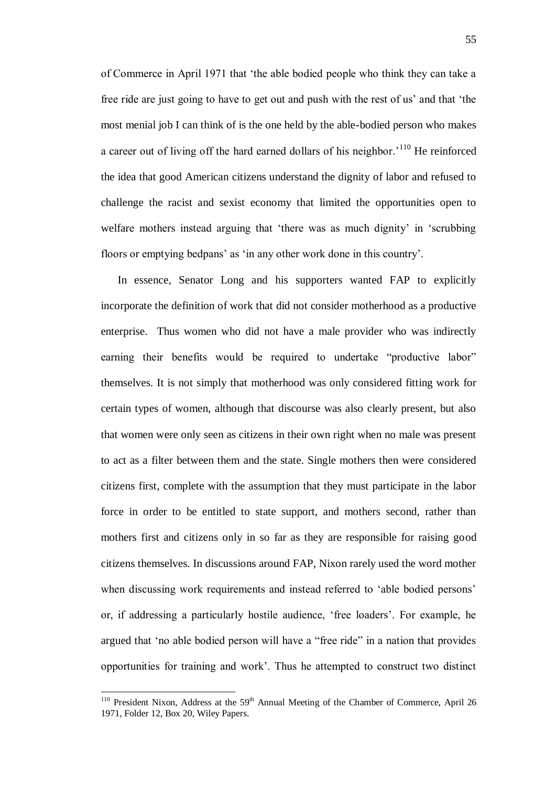of Commerce in April 1971 that 'the able bodied people who think they can take a free ride are just going to have to get out and push with the rest of us' and that 'the most menial job I can think of is the one held by the able-bodied person who makes a career out of living off the hard earned dollars of his neighbor.<sup>110</sup> He reinforced the idea that good American citizens understand the dignity of labor and refused to challenge the racist and sexist economy that limited the opportunities open to welfare mothers instead arguing that 'there was as much dignity' in 'scrubbing floors or emptying bedpans' as 'in any other work done in this country'.

In essence, Senator Long and his supporters wanted FAP to explicitly incorporate the definition of work that did not consider motherhood as a productive enterprise. Thus women who did not have a male provider who was indirectly earning their benefits would be required to undertake "productive labor" themselves. It is not simply that motherhood was only considered fitting work for certain types of women, although that discourse was also clearly present, but also that women were only seen as citizens in their own right when no male was present to act as a filter between them and the state. Single mothers then were considered citizens first, complete with the assumption that they must participate in the labor force in order to be entitled to state support, and mothers second, rather than mothers first and citizens only in so far as they are responsible for raising good citizens themselves. In discussions around FAP, Nixon rarely used the word mother when discussing work requirements and instead referred to 'able bodied persons' or, if addressing a particularly hostile audience, 'free loaders'. For example, he argued that 'no able bodied person will have a "free ride" in a nation that provides opportunities for training and work'. Thus he attempted to construct two distinct

<sup>&</sup>lt;sup>110</sup> President Nixon, Address at the  $59<sup>th</sup>$  Annual Meeting of the Chamber of Commerce, April 26 1971, Folder 12, Box 20, Wiley Papers.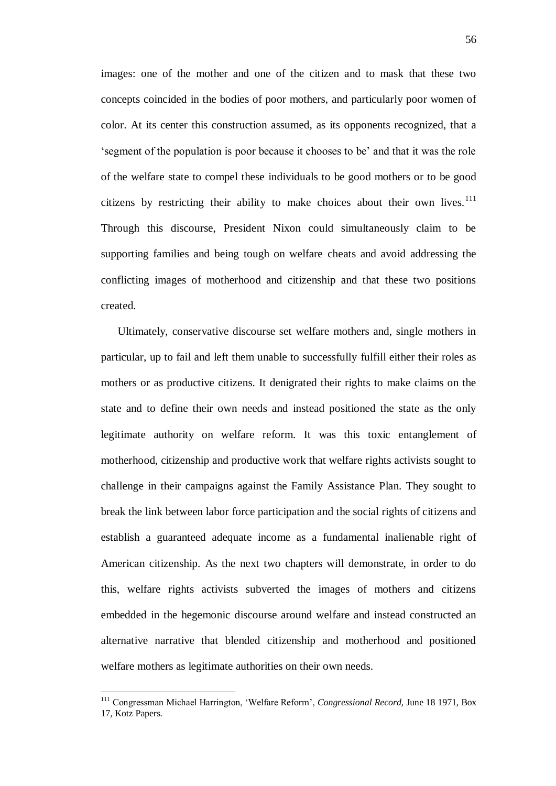images: one of the mother and one of the citizen and to mask that these two concepts coincided in the bodies of poor mothers, and particularly poor women of color. At its center this construction assumed, as its opponents recognized, that a 'segment of the population is poor because it chooses to be' and that it was the role of the welfare state to compel these individuals to be good mothers or to be good citizens by restricting their ability to make choices about their own lives. $111$ Through this discourse, President Nixon could simultaneously claim to be supporting families and being tough on welfare cheats and avoid addressing the conflicting images of motherhood and citizenship and that these two positions created.

Ultimately, conservative discourse set welfare mothers and, single mothers in particular, up to fail and left them unable to successfully fulfill either their roles as mothers or as productive citizens. It denigrated their rights to make claims on the state and to define their own needs and instead positioned the state as the only legitimate authority on welfare reform. It was this toxic entanglement of motherhood, citizenship and productive work that welfare rights activists sought to challenge in their campaigns against the Family Assistance Plan. They sought to break the link between labor force participation and the social rights of citizens and establish a guaranteed adequate income as a fundamental inalienable right of American citizenship. As the next two chapters will demonstrate, in order to do this, welfare rights activists subverted the images of mothers and citizens embedded in the hegemonic discourse around welfare and instead constructed an alternative narrative that blended citizenship and motherhood and positioned welfare mothers as legitimate authorities on their own needs.

<sup>111</sup> Congressman Michael Harrington, 'Welfare Reform', *Congressional Record,* June 18 1971, Box 17, Kotz Papers.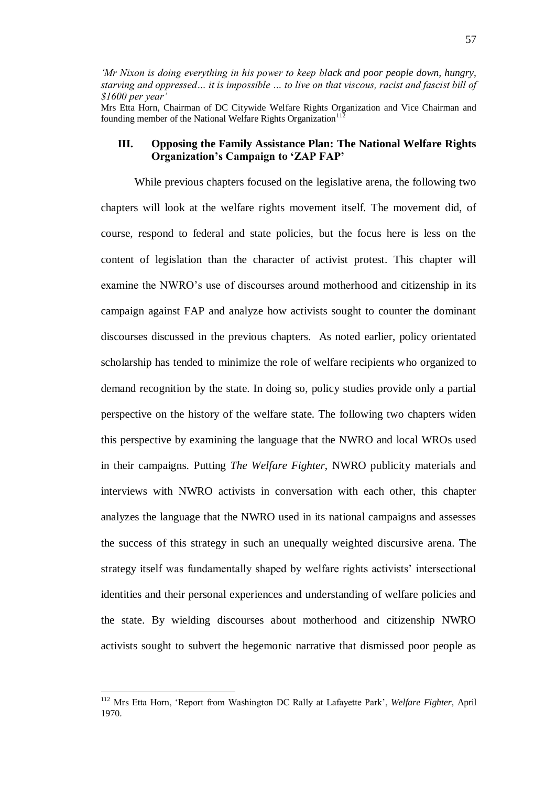*'Mr Nixon is doing everything in his power to keep black and poor people down, hungry, starving and oppressed… it is impossible … to live on that viscous, racist and fascist bill of \$1600 per year'*

Mrs Etta Horn, Chairman of DC Citywide Welfare Rights Organization and Vice Chairman and founding member of the National Welfare Rights Organization<sup>112</sup>

## **III. Opposing the Family Assistance Plan: The National Welfare Rights Organization's Campaign to 'ZAP FAP'**

While previous chapters focused on the legislative arena, the following two chapters will look at the welfare rights movement itself. The movement did, of course, respond to federal and state policies, but the focus here is less on the content of legislation than the character of activist protest. This chapter will examine the NWRO's use of discourses around motherhood and citizenship in its campaign against FAP and analyze how activists sought to counter the dominant discourses discussed in the previous chapters. As noted earlier, policy orientated scholarship has tended to minimize the role of welfare recipients who organized to demand recognition by the state. In doing so, policy studies provide only a partial perspective on the history of the welfare state. The following two chapters widen this perspective by examining the language that the NWRO and local WROs used in their campaigns. Putting *The Welfare Fighter*, NWRO publicity materials and interviews with NWRO activists in conversation with each other, this chapter analyzes the language that the NWRO used in its national campaigns and assesses the success of this strategy in such an unequally weighted discursive arena. The strategy itself was fundamentally shaped by welfare rights activists' intersectional identities and their personal experiences and understanding of welfare policies and the state. By wielding discourses about motherhood and citizenship NWRO activists sought to subvert the hegemonic narrative that dismissed poor people as

<sup>112</sup> Mrs Etta Horn, 'Report from Washington DC Rally at Lafayette Park', *Welfare Fighter,* April 1970.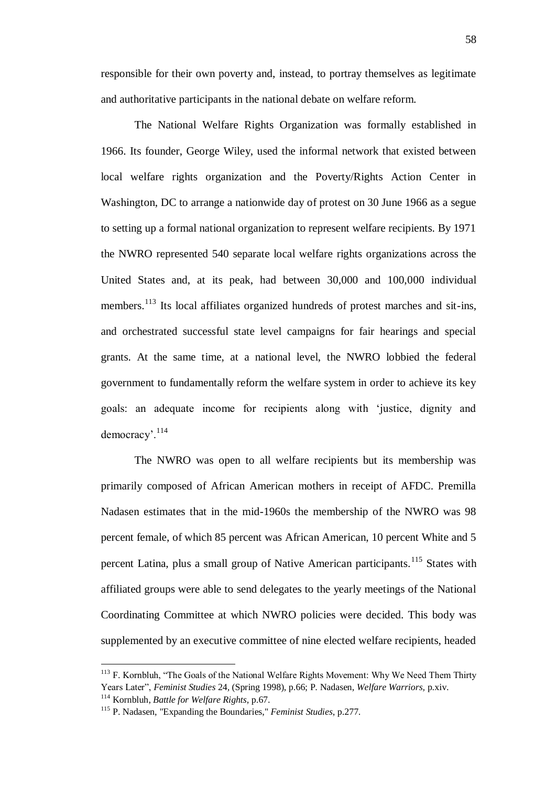responsible for their own poverty and, instead, to portray themselves as legitimate and authoritative participants in the national debate on welfare reform.

The National Welfare Rights Organization was formally established in 1966. Its founder, George Wiley, used the informal network that existed between local welfare rights organization and the Poverty/Rights Action Center in Washington, DC to arrange a nationwide day of protest on 30 June 1966 as a segue to setting up a formal national organization to represent welfare recipients. By 1971 the NWRO represented 540 separate local welfare rights organizations across the United States and, at its peak, had between 30,000 and 100,000 individual members.<sup>113</sup> Its local affiliates organized hundreds of protest marches and sit-ins, and orchestrated successful state level campaigns for fair hearings and special grants. At the same time, at a national level, the NWRO lobbied the federal government to fundamentally reform the welfare system in order to achieve its key goals: an adequate income for recipients along with 'justice, dignity and democracy'.<sup>114</sup>

The NWRO was open to all welfare recipients but its membership was primarily composed of African American mothers in receipt of AFDC. Premilla Nadasen estimates that in the mid-1960s the membership of the NWRO was 98 percent female, of which 85 percent was African American, 10 percent White and 5 percent Latina, plus a small group of Native American participants.<sup>115</sup> States with affiliated groups were able to send delegates to the yearly meetings of the National Coordinating Committee at which NWRO policies were decided. This body was supplemented by an executive committee of nine elected welfare recipients, headed

<sup>&</sup>lt;sup>113</sup> F. Kornbluh, "The Goals of the National Welfare Rights Movement: Why We Need Them Thirty Years Later", *Feminist Studies* 24*,* (Spring 1998), p.66; P. Nadasen, *Welfare Warriors,* p.xiv.

<sup>114</sup> Kornbluh, *Battle for Welfare Rights,* p.67.

<sup>115</sup> P. Nadasen, "Expanding the Boundaries," *Feminist Studies*, p.277.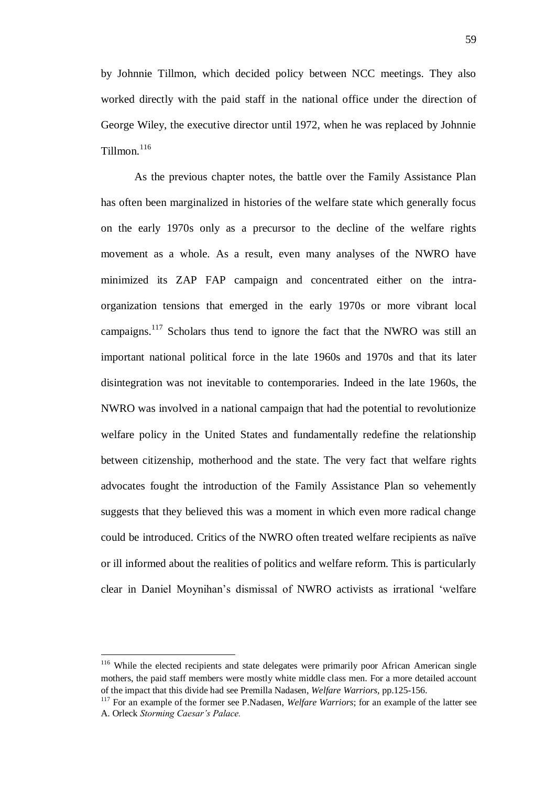by Johnnie Tillmon, which decided policy between NCC meetings. They also worked directly with the paid staff in the national office under the direction of George Wiley, the executive director until 1972, when he was replaced by Johnnie Tillmon.<sup>116</sup>

As the previous chapter notes, the battle over the Family Assistance Plan has often been marginalized in histories of the welfare state which generally focus on the early 1970s only as a precursor to the decline of the welfare rights movement as a whole. As a result, even many analyses of the NWRO have minimized its ZAP FAP campaign and concentrated either on the intraorganization tensions that emerged in the early 1970s or more vibrant local campaigns.<sup>117</sup> Scholars thus tend to ignore the fact that the NWRO was still an important national political force in the late 1960s and 1970s and that its later disintegration was not inevitable to contemporaries. Indeed in the late 1960s, the NWRO was involved in a national campaign that had the potential to revolutionize welfare policy in the United States and fundamentally redefine the relationship between citizenship, motherhood and the state. The very fact that welfare rights advocates fought the introduction of the Family Assistance Plan so vehemently suggests that they believed this was a moment in which even more radical change could be introduced. Critics of the NWRO often treated welfare recipients as naïve or ill informed about the realities of politics and welfare reform. This is particularly clear in Daniel Moynihan's dismissal of NWRO activists as irrational 'welfare

<sup>&</sup>lt;sup>116</sup> While the elected recipients and state delegates were primarily poor African American single mothers, the paid staff members were mostly white middle class men. For a more detailed account of the impact that this divide had see Premilla Nadasen, *Welfare Warriors,* pp.125-156.

<sup>117</sup> For an example of the former see P.Nadasen, *Welfare Warriors*; for an example of the latter see A. Orleck *Storming Caesar's Palace.*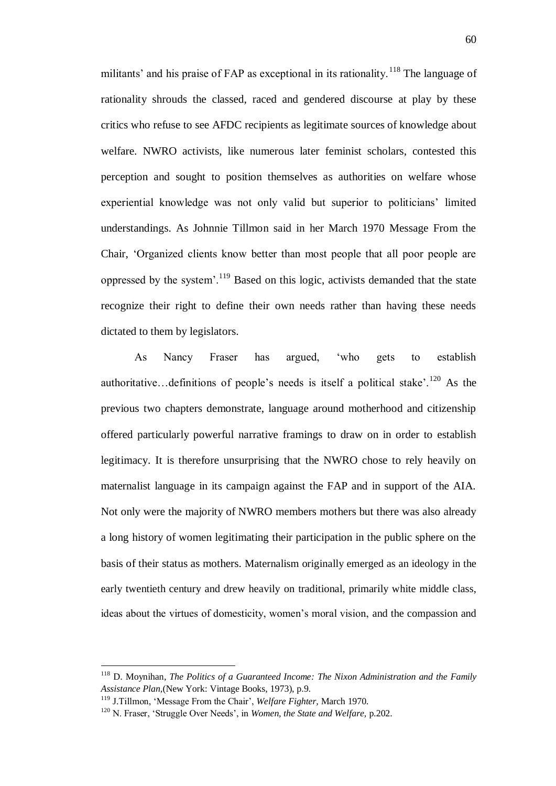militants' and his praise of  $FAP$  as exceptional in its rationality.<sup>118</sup> The language of rationality shrouds the classed, raced and gendered discourse at play by these critics who refuse to see AFDC recipients as legitimate sources of knowledge about welfare. NWRO activists, like numerous later feminist scholars, contested this perception and sought to position themselves as authorities on welfare whose experiential knowledge was not only valid but superior to politicians' limited understandings. As Johnnie Tillmon said in her March 1970 Message From the Chair, 'Organized clients know better than most people that all poor people are oppressed by the system'.<sup>119</sup> Based on this logic, activists demanded that the state recognize their right to define their own needs rather than having these needs dictated to them by legislators.

As Nancy Fraser has argued, 'who gets to establish authoritative... definitions of people's needs is itself a political stake'.<sup>120</sup> As the previous two chapters demonstrate, language around motherhood and citizenship offered particularly powerful narrative framings to draw on in order to establish legitimacy. It is therefore unsurprising that the NWRO chose to rely heavily on maternalist language in its campaign against the FAP and in support of the AIA. Not only were the majority of NWRO members mothers but there was also already a long history of women legitimating their participation in the public sphere on the basis of their status as mothers. Maternalism originally emerged as an ideology in the early twentieth century and drew heavily on traditional, primarily white middle class, ideas about the virtues of domesticity, women's moral vision, and the compassion and

<sup>118</sup> D. Moynihan, *The Politics of a Guaranteed Income: The Nixon Administration and the Family Assistance Plan,*(New York: Vintage Books, 1973), p.9.

<sup>119</sup> J.Tillmon, 'Message From the Chair', *Welfare Fighter,* March 1970.

<sup>120</sup> N. Fraser, 'Struggle Over Needs', in *Women, the State and Welfare,* p.202.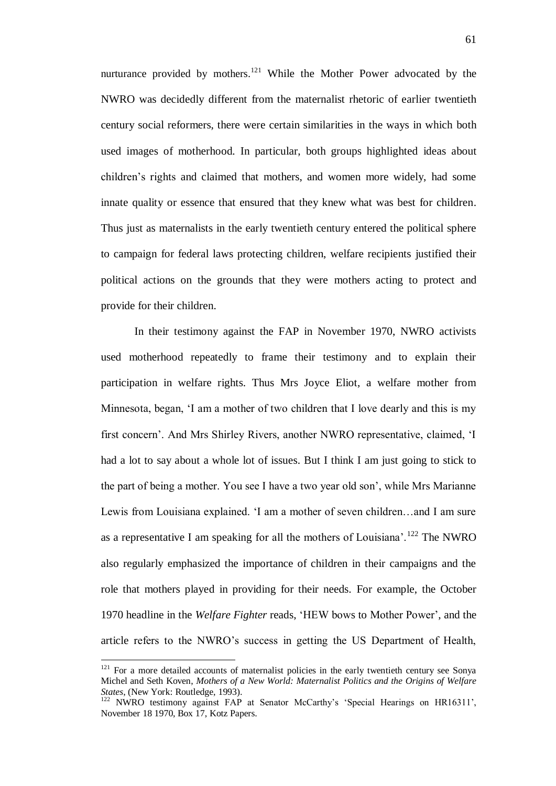nurturance provided by mothers.<sup>121</sup> While the Mother Power advocated by the NWRO was decidedly different from the maternalist rhetoric of earlier twentieth century social reformers, there were certain similarities in the ways in which both used images of motherhood. In particular, both groups highlighted ideas about children's rights and claimed that mothers, and women more widely, had some innate quality or essence that ensured that they knew what was best for children. Thus just as maternalists in the early twentieth century entered the political sphere to campaign for federal laws protecting children, welfare recipients justified their political actions on the grounds that they were mothers acting to protect and provide for their children.

In their testimony against the FAP in November 1970, NWRO activists used motherhood repeatedly to frame their testimony and to explain their participation in welfare rights. Thus Mrs Joyce Eliot, a welfare mother from Minnesota, began, 'I am a mother of two children that I love dearly and this is my first concern'. And Mrs Shirley Rivers, another NWRO representative, claimed, 'I had a lot to say about a whole lot of issues. But I think I am just going to stick to the part of being a mother. You see I have a two year old son', while Mrs Marianne Lewis from Louisiana explained. 'I am a mother of seven children…and I am sure as a representative I am speaking for all the mothers of Louisiana'.<sup>122</sup> The NWRO also regularly emphasized the importance of children in their campaigns and the role that mothers played in providing for their needs. For example, the October 1970 headline in the *Welfare Fighter* reads, 'HEW bows to Mother Power', and the article refers to the NWRO's success in getting the US Department of Health,

 $121$  For a more detailed accounts of maternalist policies in the early twentieth century see Sonya Michel and Seth Koven, *Mothers of a New World: Maternalist Politics and the Origins of Welfare States*, (New York: Routledge, 1993).

<sup>122</sup> NWRO testimony against FAP at Senator McCarthy's 'Special Hearings on HR16311', November 18 1970, Box 17, Kotz Papers.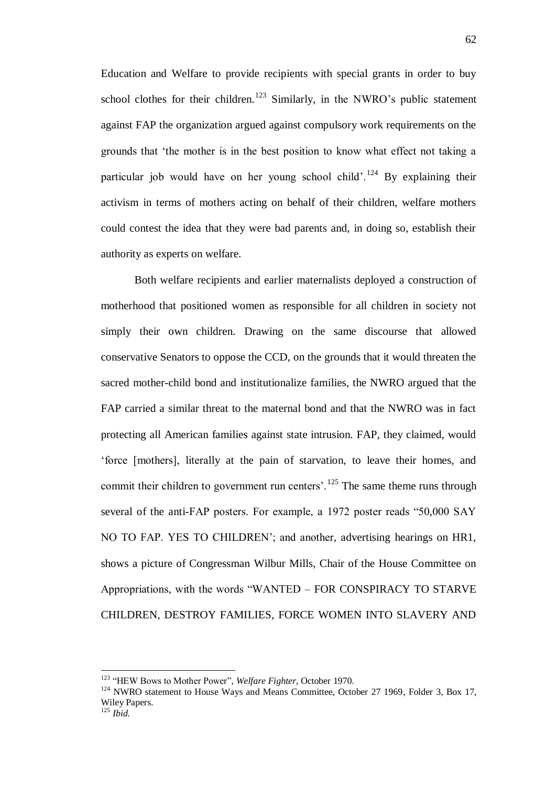Education and Welfare to provide recipients with special grants in order to buy school clothes for their children.<sup>123</sup> Similarly, in the NWRO's public statement against FAP the organization argued against compulsory work requirements on the grounds that 'the mother is in the best position to know what effect not taking a particular job would have on her young school child'.<sup>124</sup> By explaining their activism in terms of mothers acting on behalf of their children, welfare mothers could contest the idea that they were bad parents and, in doing so, establish their authority as experts on welfare.

Both welfare recipients and earlier maternalists deployed a construction of motherhood that positioned women as responsible for all children in society not simply their own children. Drawing on the same discourse that allowed conservative Senators to oppose the CCD, on the grounds that it would threaten the sacred mother-child bond and institutionalize families, the NWRO argued that the FAP carried a similar threat to the maternal bond and that the NWRO was in fact protecting all American families against state intrusion. FAP, they claimed, would 'force [mothers], literally at the pain of starvation, to leave their homes, and commit their children to government run centers'.<sup>125</sup> The same theme runs through several of the anti-FAP posters. For example, a 1972 poster reads "50,000 SAY NO TO FAP. YES TO CHILDREN'; and another, advertising hearings on HR1, shows a picture of Congressman Wilbur Mills, Chair of the House Committee on Appropriations, with the words "WANTED – FOR CONSPIRACY TO STARVE CHILDREN, DESTROY FAMILIES, FORCE WOMEN INTO SLAVERY AND

<sup>123</sup> "HEW Bows to Mother Power", *Welfare Fighter,* October 1970.

<sup>&</sup>lt;sup>124</sup> NWRO statement to House Ways and Means Committee, October 27 1969, Folder 3, Box 17, Wiley Papers.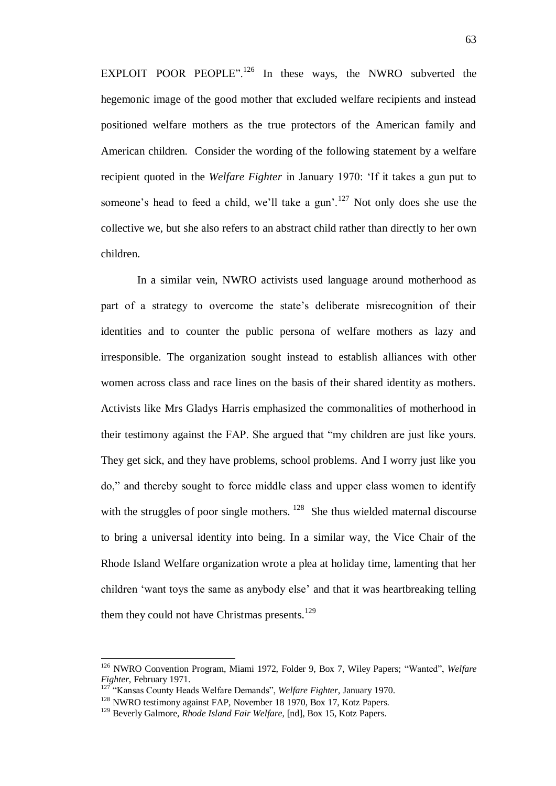EXPLOIT POOR PEOPLE".<sup>126</sup> In these ways, the NWRO subverted the hegemonic image of the good mother that excluded welfare recipients and instead positioned welfare mothers as the true protectors of the American family and American children. Consider the wording of the following statement by a welfare recipient quoted in the *Welfare Fighter* in January 1970: 'If it takes a gun put to someone's head to feed a child, we'll take a gun'.<sup>127</sup> Not only does she use the collective we, but she also refers to an abstract child rather than directly to her own children.

In a similar vein, NWRO activists used language around motherhood as part of a strategy to overcome the state's deliberate misrecognition of their identities and to counter the public persona of welfare mothers as lazy and irresponsible. The organization sought instead to establish alliances with other women across class and race lines on the basis of their shared identity as mothers. Activists like Mrs Gladys Harris emphasized the commonalities of motherhood in their testimony against the FAP. She argued that "my children are just like yours. They get sick, and they have problems, school problems. And I worry just like you do," and thereby sought to force middle class and upper class women to identify with the struggles of poor single mothers.  $128$  She thus wielded maternal discourse to bring a universal identity into being. In a similar way, the Vice Chair of the Rhode Island Welfare organization wrote a plea at holiday time, lamenting that her children 'want toys the same as anybody else' and that it was heartbreaking telling them they could not have Christmas presents. $129$ 

<sup>126</sup> NWRO Convention Program, Miami 1972, Folder 9, Box 7, Wiley Papers; "Wanted", *Welfare Fighter,* February 1971.

<sup>127</sup> "Kansas County Heads Welfare Demands", *Welfare Fighter,* January 1970.

<sup>&</sup>lt;sup>128</sup> NWRO testimony against FAP, November 18 1970, Box 17, Kotz Papers.

<sup>&</sup>lt;sup>129</sup> Beverly Galmore, *Rhode Island Fair Welfare*, [nd], Box 15, Kotz Papers.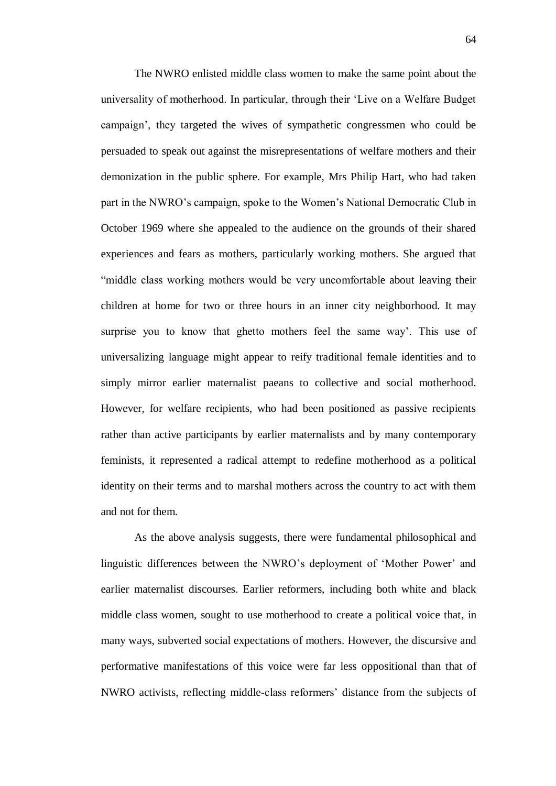The NWRO enlisted middle class women to make the same point about the universality of motherhood. In particular, through their 'Live on a Welfare Budget campaign', they targeted the wives of sympathetic congressmen who could be persuaded to speak out against the misrepresentations of welfare mothers and their demonization in the public sphere. For example, Mrs Philip Hart, who had taken part in the NWRO's campaign, spoke to the Women's National Democratic Club in October 1969 where she appealed to the audience on the grounds of their shared experiences and fears as mothers, particularly working mothers. She argued that "middle class working mothers would be very uncomfortable about leaving their children at home for two or three hours in an inner city neighborhood. It may surprise you to know that ghetto mothers feel the same way'. This use of universalizing language might appear to reify traditional female identities and to simply mirror earlier maternalist paeans to collective and social motherhood. However, for welfare recipients, who had been positioned as passive recipients rather than active participants by earlier maternalists and by many contemporary feminists, it represented a radical attempt to redefine motherhood as a political identity on their terms and to marshal mothers across the country to act with them and not for them.

As the above analysis suggests, there were fundamental philosophical and linguistic differences between the NWRO's deployment of 'Mother Power' and earlier maternalist discourses. Earlier reformers, including both white and black middle class women, sought to use motherhood to create a political voice that, in many ways, subverted social expectations of mothers. However, the discursive and performative manifestations of this voice were far less oppositional than that of NWRO activists, reflecting middle-class reformers' distance from the subjects of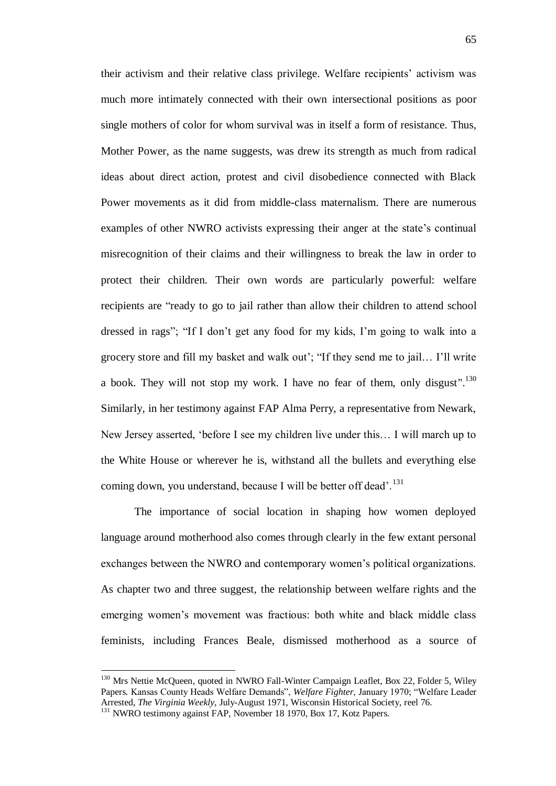their activism and their relative class privilege. Welfare recipients' activism was much more intimately connected with their own intersectional positions as poor single mothers of color for whom survival was in itself a form of resistance. Thus, Mother Power, as the name suggests, was drew its strength as much from radical ideas about direct action, protest and civil disobedience connected with Black Power movements as it did from middle-class maternalism. There are numerous examples of other NWRO activists expressing their anger at the state's continual misrecognition of their claims and their willingness to break the law in order to protect their children. Their own words are particularly powerful: welfare recipients are "ready to go to jail rather than allow their children to attend school dressed in rags"; "If I don't get any food for my kids, I'm going to walk into a grocery store and fill my basket and walk out'; "If they send me to jail… I'll write a book. They will not stop my work. I have no fear of them, only disgust".<sup>130</sup> Similarly, in her testimony against FAP Alma Perry, a representative from Newark, New Jersey asserted, 'before I see my children live under this… I will march up to the White House or wherever he is, withstand all the bullets and everything else coming down, you understand, because I will be better off dead'.<sup>131</sup>

The importance of social location in shaping how women deployed language around motherhood also comes through clearly in the few extant personal exchanges between the NWRO and contemporary women's political organizations. As chapter two and three suggest, the relationship between welfare rights and the emerging women's movement was fractious: both white and black middle class feminists, including Frances Beale, dismissed motherhood as a source of

<sup>&</sup>lt;sup>130</sup> Mrs Nettie McQueen, quoted in NWRO Fall-Winter Campaign Leaflet, Box 22, Folder 5, Wiley Papers. Kansas County Heads Welfare Demands", *Welfare Fighter,* January 1970; "Welfare Leader Arrested, *The Virginia Weekly,* July-August 1971, Wisconsin Historical Society, reel 76.

<sup>&</sup>lt;sup>131</sup> NWRO testimony against FAP, November 18 1970, Box 17, Kotz Papers.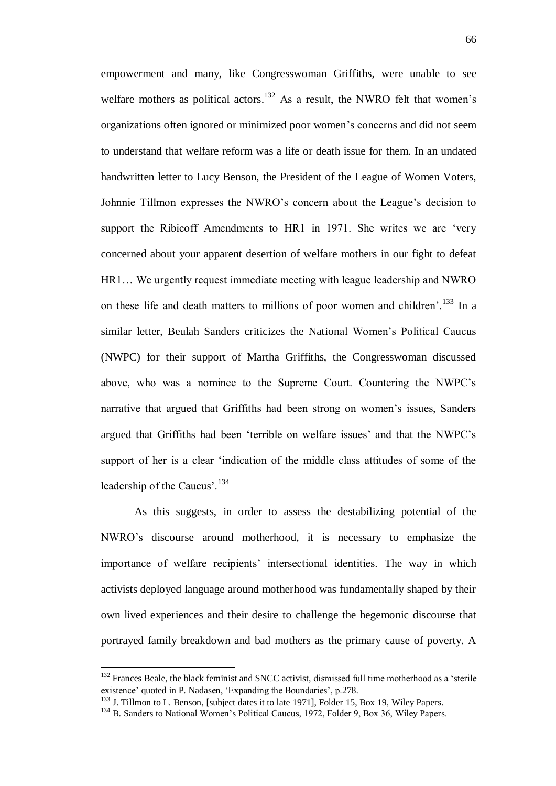empowerment and many, like Congresswoman Griffiths, were unable to see welfare mothers as political actors.<sup>132</sup> As a result, the NWRO felt that women's organizations often ignored or minimized poor women's concerns and did not seem to understand that welfare reform was a life or death issue for them. In an undated handwritten letter to Lucy Benson, the President of the League of Women Voters, Johnnie Tillmon expresses the NWRO's concern about the League's decision to support the Ribicoff Amendments to HR1 in 1971. She writes we are 'very concerned about your apparent desertion of welfare mothers in our fight to defeat HR1… We urgently request immediate meeting with league leadership and NWRO on these life and death matters to millions of poor women and children'.<sup>133</sup> In a similar letter, Beulah Sanders criticizes the National Women's Political Caucus (NWPC) for their support of Martha Griffiths, the Congresswoman discussed above, who was a nominee to the Supreme Court. Countering the NWPC's narrative that argued that Griffiths had been strong on women's issues, Sanders argued that Griffiths had been 'terrible on welfare issues' and that the NWPC's support of her is a clear 'indication of the middle class attitudes of some of the leadership of the Caucus'.<sup>134</sup>

As this suggests, in order to assess the destabilizing potential of the NWRO's discourse around motherhood, it is necessary to emphasize the importance of welfare recipients' intersectional identities. The way in which activists deployed language around motherhood was fundamentally shaped by their own lived experiences and their desire to challenge the hegemonic discourse that portrayed family breakdown and bad mothers as the primary cause of poverty. A

<sup>&</sup>lt;sup>132</sup> Frances Beale, the black feminist and SNCC activist, dismissed full time motherhood as a 'sterile existence' quoted in P. Nadasen, 'Expanding the Boundaries', p.278.

<sup>133</sup> J. Tillmon to L. Benson, [subject dates it to late 1971], Folder 15, Box 19, Wiley Papers.

<sup>&</sup>lt;sup>134</sup> B. Sanders to National Women's Political Caucus, 1972, Folder 9, Box 36, Wiley Papers.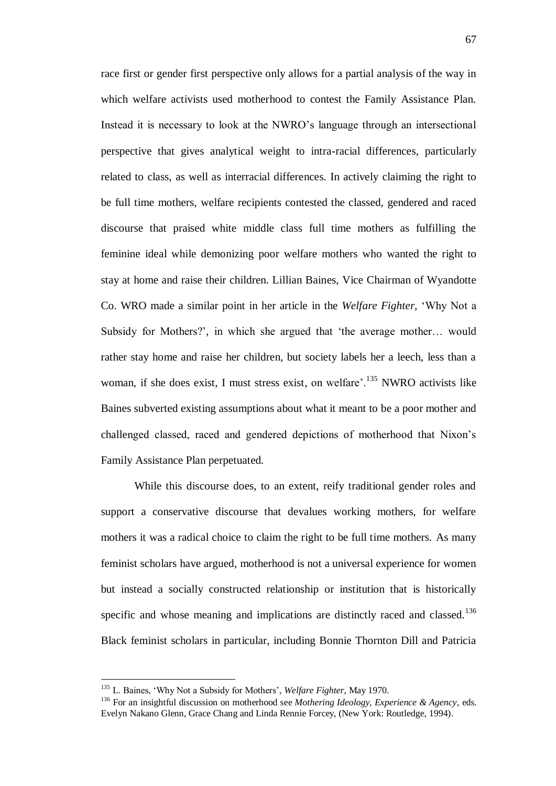race first or gender first perspective only allows for a partial analysis of the way in which welfare activists used motherhood to contest the Family Assistance Plan. Instead it is necessary to look at the NWRO's language through an intersectional perspective that gives analytical weight to intra-racial differences, particularly related to class, as well as interracial differences. In actively claiming the right to be full time mothers, welfare recipients contested the classed, gendered and raced discourse that praised white middle class full time mothers as fulfilling the feminine ideal while demonizing poor welfare mothers who wanted the right to stay at home and raise their children. Lillian Baines, Vice Chairman of Wyandotte Co. WRO made a similar point in her article in the *Welfare Fighter,* 'Why Not a Subsidy for Mothers?', in which she argued that 'the average mother… would rather stay home and raise her children, but society labels her a leech, less than a woman, if she does exist, I must stress exist, on welfare'.<sup>135</sup> NWRO activists like Baines subverted existing assumptions about what it meant to be a poor mother and challenged classed, raced and gendered depictions of motherhood that Nixon's Family Assistance Plan perpetuated.

While this discourse does, to an extent, reify traditional gender roles and support a conservative discourse that devalues working mothers, for welfare mothers it was a radical choice to claim the right to be full time mothers. As many feminist scholars have argued, motherhood is not a universal experience for women but instead a socially constructed relationship or institution that is historically specific and whose meaning and implications are distinctly raced and classed.<sup>136</sup> Black feminist scholars in particular, including Bonnie Thornton Dill and Patricia

<sup>135</sup> L. Baines, 'Why Not a Subsidy for Mothers', *Welfare Fighter,* May 1970.

<sup>136</sup> For an insightful discussion on motherhood see *Mothering Ideology, Experience & Agency*, eds. Evelyn Nakano Glenn, Grace Chang and Linda Rennie Forcey, (New York: Routledge, 1994).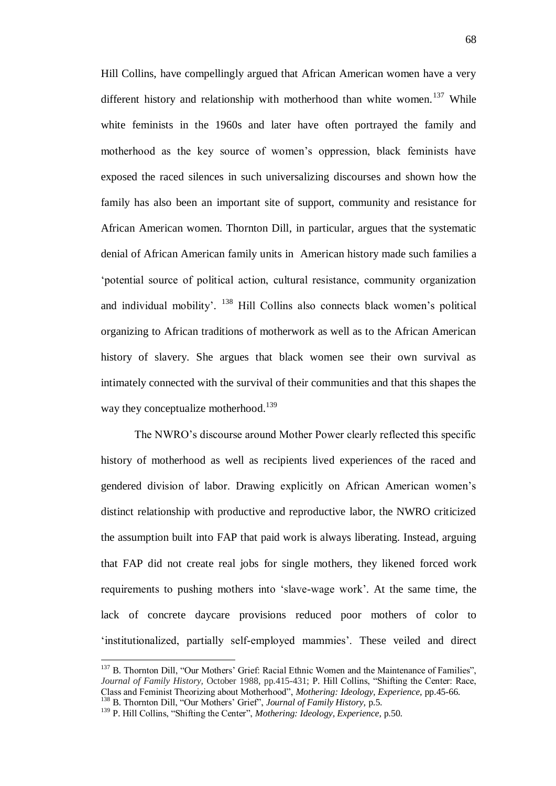Hill Collins, have compellingly argued that African American women have a very different history and relationship with motherhood than white women.<sup>137</sup> While white feminists in the 1960s and later have often portrayed the family and motherhood as the key source of women's oppression, black feminists have exposed the raced silences in such universalizing discourses and shown how the family has also been an important site of support, community and resistance for African American women. Thornton Dill, in particular, argues that the systematic denial of African American family units in American history made such families a 'potential source of political action, cultural resistance, community organization and individual mobility'. <sup>138</sup> Hill Collins also connects black women's political organizing to African traditions of motherwork as well as to the African American history of slavery. She argues that black women see their own survival as intimately connected with the survival of their communities and that this shapes the way they conceptualize motherhood.<sup>139</sup>

The NWRO's discourse around Mother Power clearly reflected this specific history of motherhood as well as recipients lived experiences of the raced and gendered division of labor. Drawing explicitly on African American women's distinct relationship with productive and reproductive labor, the NWRO criticized the assumption built into FAP that paid work is always liberating. Instead, arguing that FAP did not create real jobs for single mothers, they likened forced work requirements to pushing mothers into 'slave-wage work'. At the same time, the lack of concrete daycare provisions reduced poor mothers of color to 'institutionalized, partially self-employed mammies'. These veiled and direct

<sup>&</sup>lt;sup>137</sup> B. Thornton Dill, "Our Mothers' Grief: Racial Ethnic Women and the Maintenance of Families", *Journal of Family History,* October 1988, pp.415-431; P. Hill Collins, "Shifting the Center: Race, Class and Feminist Theorizing about Motherhood", *Mothering: Ideology, Experience,* pp.45-66.

<sup>138</sup> B. Thornton Dill, "Our Mothers' Grief", *Journal of Family History,* p.5.

<sup>139</sup> P. Hill Collins, "Shifting the Center", *Mothering: Ideology, Experience,* p.50.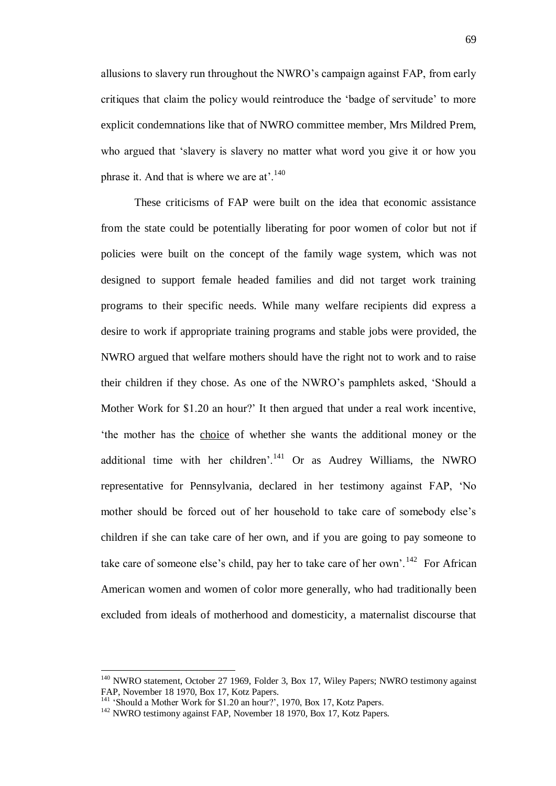allusions to slavery run throughout the NWRO's campaign against FAP, from early critiques that claim the policy would reintroduce the 'badge of servitude' to more explicit condemnations like that of NWRO committee member, Mrs Mildred Prem, who argued that 'slavery is slavery no matter what word you give it or how you phrase it. And that is where we are at'.<sup>140</sup>

These criticisms of FAP were built on the idea that economic assistance from the state could be potentially liberating for poor women of color but not if policies were built on the concept of the family wage system, which was not designed to support female headed families and did not target work training programs to their specific needs. While many welfare recipients did express a desire to work if appropriate training programs and stable jobs were provided, the NWRO argued that welfare mothers should have the right not to work and to raise their children if they chose. As one of the NWRO's pamphlets asked, 'Should a Mother Work for \$1.20 an hour?' It then argued that under a real work incentive, 'the mother has the choice of whether she wants the additional money or the additional time with her children'.<sup>141</sup> Or as Audrey Williams, the NWRO representative for Pennsylvania, declared in her testimony against FAP, 'No mother should be forced out of her household to take care of somebody else's children if she can take care of her own, and if you are going to pay someone to take care of someone else's child, pay her to take care of her own'.<sup>142</sup> For African American women and women of color more generally, who had traditionally been excluded from ideals of motherhood and domesticity, a maternalist discourse that

<sup>&</sup>lt;sup>140</sup> NWRO statement, October 27 1969, Folder 3, Box 17, Wiley Papers; NWRO testimony against FAP, November 18 1970, Box 17, Kotz Papers.

<sup>&</sup>lt;sup>141</sup> 'Should a Mother Work for \$1.20 an hour?', 1970, Box 17, Kotz Papers.

<sup>&</sup>lt;sup>142</sup> NWRO testimony against FAP, November 18 1970, Box 17, Kotz Papers.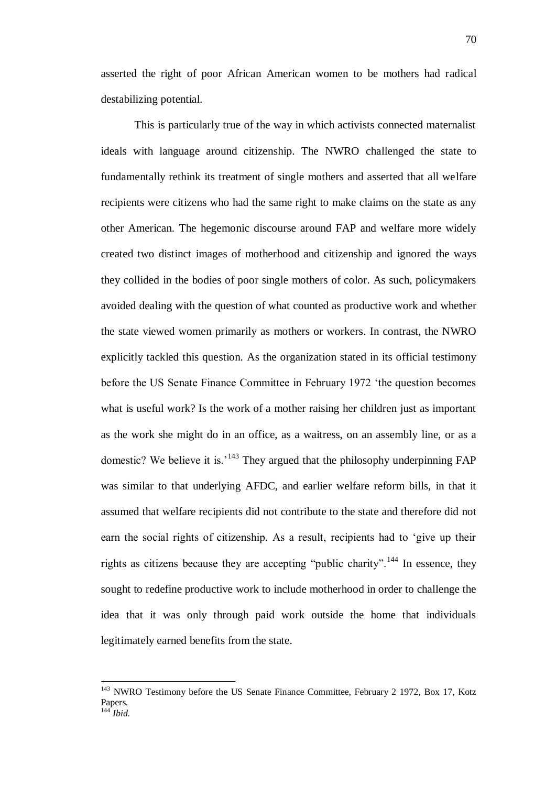asserted the right of poor African American women to be mothers had radical destabilizing potential.

This is particularly true of the way in which activists connected maternalist ideals with language around citizenship. The NWRO challenged the state to fundamentally rethink its treatment of single mothers and asserted that all welfare recipients were citizens who had the same right to make claims on the state as any other American. The hegemonic discourse around FAP and welfare more widely created two distinct images of motherhood and citizenship and ignored the ways they collided in the bodies of poor single mothers of color. As such, policymakers avoided dealing with the question of what counted as productive work and whether the state viewed women primarily as mothers or workers. In contrast, the NWRO explicitly tackled this question. As the organization stated in its official testimony before the US Senate Finance Committee in February 1972 'the question becomes what is useful work? Is the work of a mother raising her children just as important as the work she might do in an office, as a waitress, on an assembly line, or as a domestic? We believe it is.'<sup>143</sup> They argued that the philosophy underpinning FAP was similar to that underlying AFDC, and earlier welfare reform bills, in that it assumed that welfare recipients did not contribute to the state and therefore did not earn the social rights of citizenship. As a result, recipients had to 'give up their rights as citizens because they are accepting "public charity".<sup>144</sup> In essence, they sought to redefine productive work to include motherhood in order to challenge the idea that it was only through paid work outside the home that individuals legitimately earned benefits from the state.

<sup>&</sup>lt;sup>143</sup> NWRO Testimony before the US Senate Finance Committee, February 2 1972, Box 17, Kotz Papers.  $\int_{144}^{144}$ *Ibid.*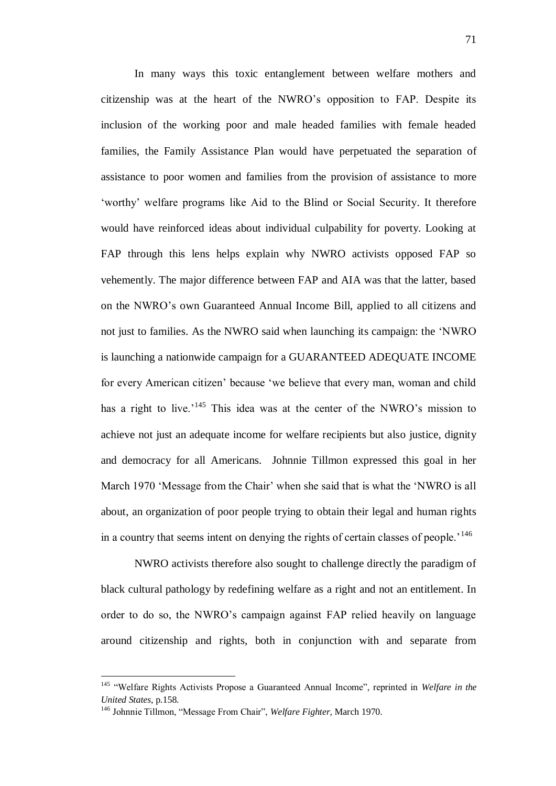In many ways this toxic entanglement between welfare mothers and citizenship was at the heart of the NWRO's opposition to FAP. Despite its inclusion of the working poor and male headed families with female headed families, the Family Assistance Plan would have perpetuated the separation of assistance to poor women and families from the provision of assistance to more 'worthy' welfare programs like Aid to the Blind or Social Security. It therefore would have reinforced ideas about individual culpability for poverty. Looking at FAP through this lens helps explain why NWRO activists opposed FAP so vehemently. The major difference between FAP and AIA was that the latter, based on the NWRO's own Guaranteed Annual Income Bill, applied to all citizens and not just to families. As the NWRO said when launching its campaign: the 'NWRO is launching a nationwide campaign for a GUARANTEED ADEQUATE INCOME for every American citizen' because 'we believe that every man, woman and child has a right to live.'<sup>145</sup> This idea was at the center of the NWRO's mission to achieve not just an adequate income for welfare recipients but also justice, dignity and democracy for all Americans. Johnnie Tillmon expressed this goal in her March 1970 'Message from the Chair' when she said that is what the 'NWRO is all about, an organization of poor people trying to obtain their legal and human rights in a country that seems intent on denying the rights of certain classes of people.<sup>'146</sup>

NWRO activists therefore also sought to challenge directly the paradigm of black cultural pathology by redefining welfare as a right and not an entitlement. In order to do so, the NWRO's campaign against FAP relied heavily on language around citizenship and rights, both in conjunction with and separate from

<sup>145</sup> "Welfare Rights Activists Propose a Guaranteed Annual Income", reprinted in *Welfare in the United States,* p.158.

<sup>146</sup> Johnnie Tillmon, "Message From Chair", *Welfare Fighter,* March 1970.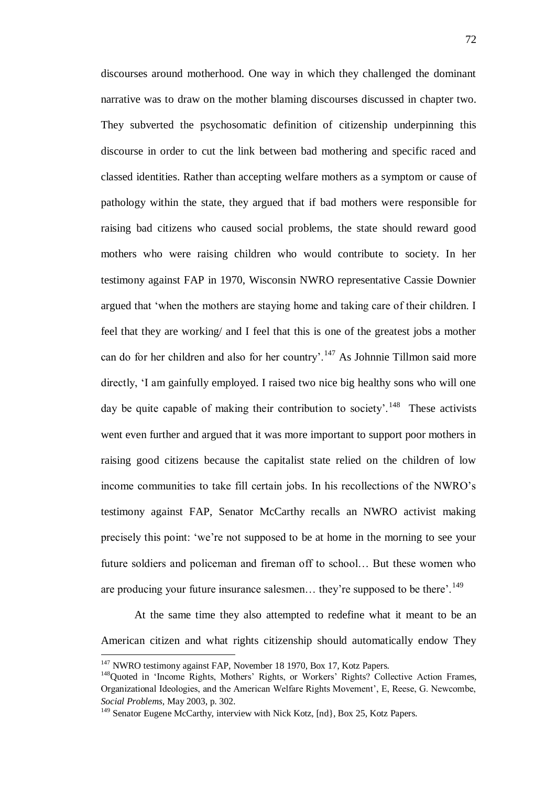discourses around motherhood. One way in which they challenged the dominant narrative was to draw on the mother blaming discourses discussed in chapter two. They subverted the psychosomatic definition of citizenship underpinning this discourse in order to cut the link between bad mothering and specific raced and classed identities. Rather than accepting welfare mothers as a symptom or cause of pathology within the state, they argued that if bad mothers were responsible for raising bad citizens who caused social problems, the state should reward good mothers who were raising children who would contribute to society. In her testimony against FAP in 1970, Wisconsin NWRO representative Cassie Downier argued that 'when the mothers are staying home and taking care of their children. I feel that they are working/ and I feel that this is one of the greatest jobs a mother can do for her children and also for her country'.<sup>147</sup> As Johnnie Tillmon said more directly, 'I am gainfully employed. I raised two nice big healthy sons who will one day be quite capable of making their contribution to society'.<sup>148</sup> These activists went even further and argued that it was more important to support poor mothers in raising good citizens because the capitalist state relied on the children of low income communities to take fill certain jobs. In his recollections of the NWRO's testimony against FAP, Senator McCarthy recalls an NWRO activist making precisely this point: 'we're not supposed to be at home in the morning to see your future soldiers and policeman and fireman off to school… But these women who are producing your future insurance salesmen... they're supposed to be there'.<sup>149</sup>

At the same time they also attempted to redefine what it meant to be an American citizen and what rights citizenship should automatically endow They

<sup>&</sup>lt;sup>147</sup> NWRO testimony against FAP, November 18 1970, Box 17, Kotz Papers.

<sup>&</sup>lt;sup>148</sup>Quoted in 'Income Rights, Mothers' Rights, or Workers' Rights? Collective Action Frames, Organizational Ideologies, and the American Welfare Rights Movement', E, Reese, G. Newcombe, *Social Problems,* May 2003, p. 302.

<sup>&</sup>lt;sup>149</sup> Senator Eugene McCarthy, interview with Nick Kotz, [nd], Box 25, Kotz Papers.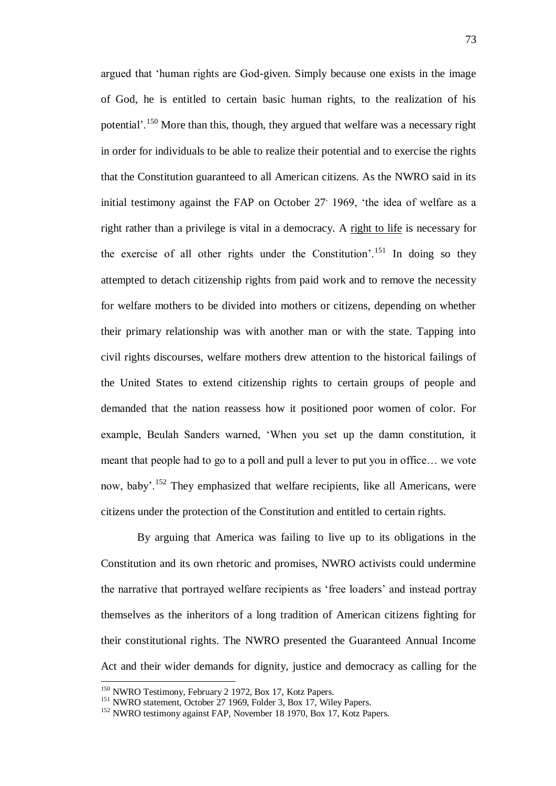argued that 'human rights are God-given. Simply because one exists in the image of God, he is entitled to certain basic human rights, to the realization of his potential'.<sup>150</sup> More than this, though, they argued that welfare was a necessary right in order for individuals to be able to realize their potential and to exercise the rights that the Constitution guaranteed to all American citizens. As the NWRO said in its initial testimony against the FAP on October 27' 1969, 'the idea of welfare as a right rather than a privilege is vital in a democracy. A right to life is necessary for the exercise of all other rights under the Constitution'.<sup>151</sup> In doing so they attempted to detach citizenship rights from paid work and to remove the necessity for welfare mothers to be divided into mothers or citizens, depending on whether their primary relationship was with another man or with the state. Tapping into civil rights discourses, welfare mothers drew attention to the historical failings of the United States to extend citizenship rights to certain groups of people and demanded that the nation reassess how it positioned poor women of color. For example, Beulah Sanders warned, 'When you set up the damn constitution, it meant that people had to go to a poll and pull a lever to put you in office… we vote now, baby'.<sup>152</sup> They emphasized that welfare recipients, like all Americans, were citizens under the protection of the Constitution and entitled to certain rights.

By arguing that America was failing to live up to its obligations in the Constitution and its own rhetoric and promises, NWRO activists could undermine the narrative that portrayed welfare recipients as 'free loaders' and instead portray themselves as the inheritors of a long tradition of American citizens fighting for their constitutional rights. The NWRO presented the Guaranteed Annual Income Act and their wider demands for dignity, justice and democracy as calling for the

<sup>&</sup>lt;sup>150</sup> NWRO Testimony, February 2 1972, Box 17, Kotz Papers.

<sup>&</sup>lt;sup>151</sup> NWRO statement, October 27 1969, Folder 3, Box 17, Wiley Papers.

<sup>&</sup>lt;sup>152</sup> NWRO testimony against FAP, November 18 1970, Box 17, Kotz Papers.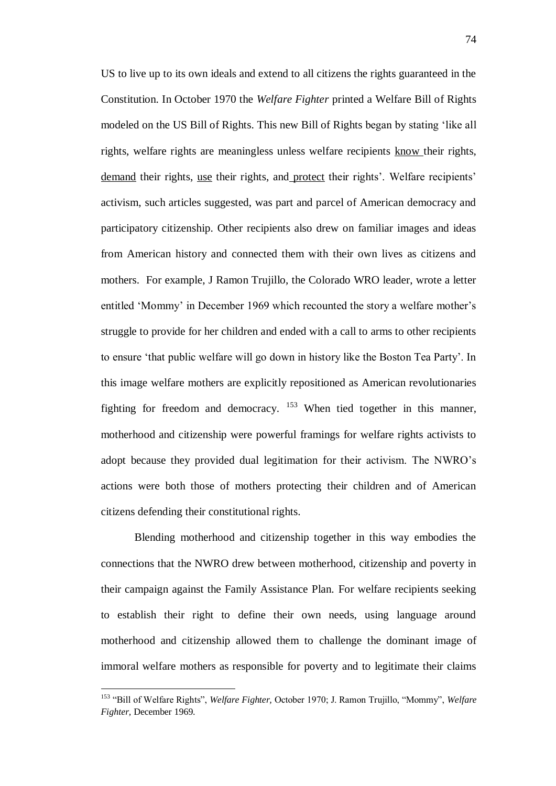US to live up to its own ideals and extend to all citizens the rights guaranteed in the Constitution. In October 1970 the *Welfare Fighter* printed a Welfare Bill of Rights modeled on the US Bill of Rights. This new Bill of Rights began by stating 'like all rights, welfare rights are meaningless unless welfare recipients know their rights, demand their rights, use their rights, and protect their rights'. Welfare recipients' activism, such articles suggested, was part and parcel of American democracy and participatory citizenship. Other recipients also drew on familiar images and ideas from American history and connected them with their own lives as citizens and mothers. For example, J Ramon Trujillo, the Colorado WRO leader, wrote a letter entitled 'Mommy' in December 1969 which recounted the story a welfare mother's struggle to provide for her children and ended with a call to arms to other recipients to ensure 'that public welfare will go down in history like the Boston Tea Party'. In this image welfare mothers are explicitly repositioned as American revolutionaries fighting for freedom and democracy.  $153$  When tied together in this manner, motherhood and citizenship were powerful framings for welfare rights activists to adopt because they provided dual legitimation for their activism. The NWRO's actions were both those of mothers protecting their children and of American citizens defending their constitutional rights.

Blending motherhood and citizenship together in this way embodies the connections that the NWRO drew between motherhood, citizenship and poverty in their campaign against the Family Assistance Plan. For welfare recipients seeking to establish their right to define their own needs, using language around motherhood and citizenship allowed them to challenge the dominant image of immoral welfare mothers as responsible for poverty and to legitimate their claims

<sup>153</sup> "Bill of Welfare Rights", *Welfare Fighter,* October 1970; J. Ramon Trujillo, "Mommy", *Welfare Fighter,* December 1969.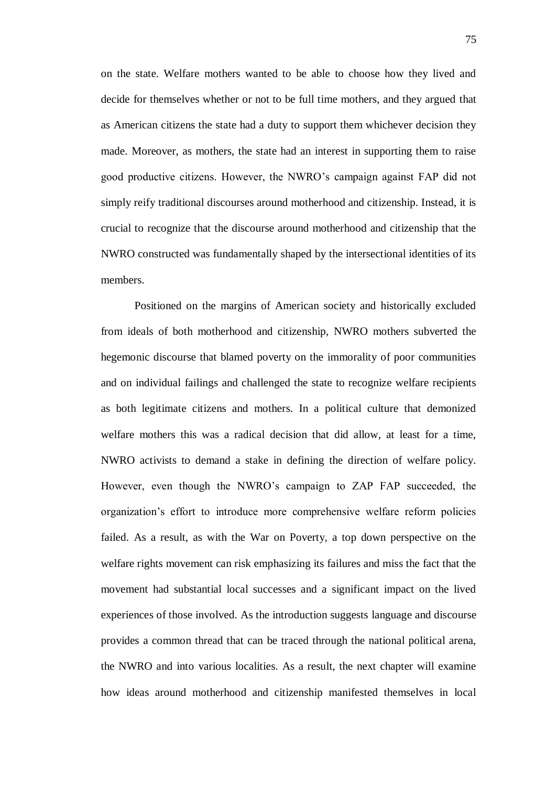on the state. Welfare mothers wanted to be able to choose how they lived and decide for themselves whether or not to be full time mothers, and they argued that as American citizens the state had a duty to support them whichever decision they made. Moreover, as mothers, the state had an interest in supporting them to raise good productive citizens. However, the NWRO's campaign against FAP did not simply reify traditional discourses around motherhood and citizenship. Instead, it is crucial to recognize that the discourse around motherhood and citizenship that the NWRO constructed was fundamentally shaped by the intersectional identities of its members.

Positioned on the margins of American society and historically excluded from ideals of both motherhood and citizenship, NWRO mothers subverted the hegemonic discourse that blamed poverty on the immorality of poor communities and on individual failings and challenged the state to recognize welfare recipients as both legitimate citizens and mothers. In a political culture that demonized welfare mothers this was a radical decision that did allow, at least for a time, NWRO activists to demand a stake in defining the direction of welfare policy. However, even though the NWRO's campaign to ZAP FAP succeeded, the organization's effort to introduce more comprehensive welfare reform policies failed. As a result, as with the War on Poverty, a top down perspective on the welfare rights movement can risk emphasizing its failures and miss the fact that the movement had substantial local successes and a significant impact on the lived experiences of those involved. As the introduction suggests language and discourse provides a common thread that can be traced through the national political arena, the NWRO and into various localities. As a result, the next chapter will examine how ideas around motherhood and citizenship manifested themselves in local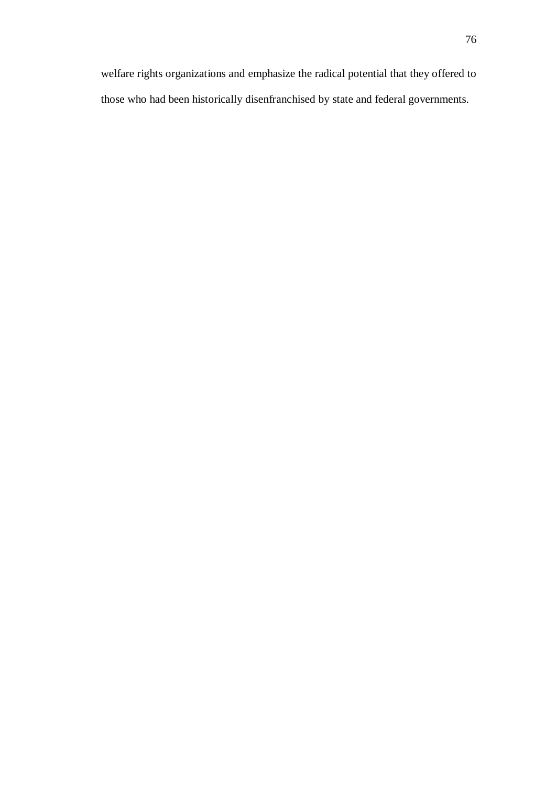welfare rights organizations and emphasize the radical potential that they offered to those who had been historically disenfranchised by state and federal governments.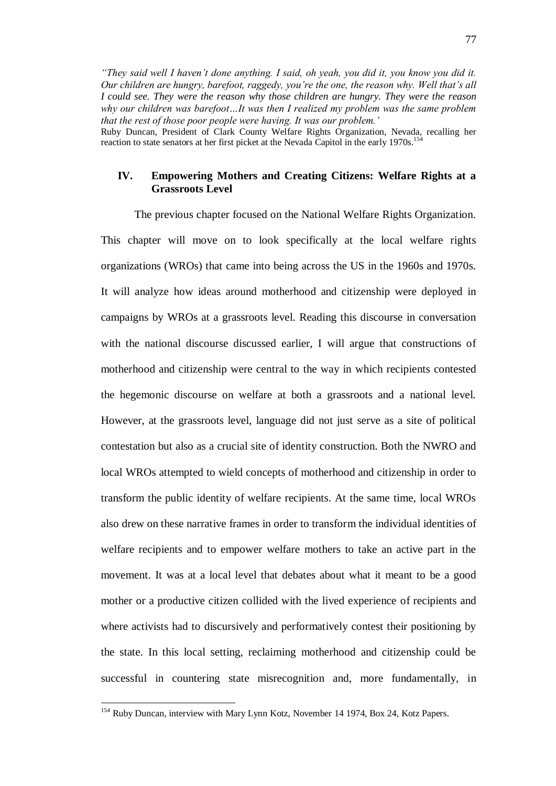*"They said well I haven't done anything. I said, oh yeah, you did it, you know you did it. Our children are hungry, barefoot, raggedy, you're the one, the reason why. Well that's all I could see. They were the reason why those children are hungry. They were the reason why our children was barefoot…It was then I realized my problem was the same problem that the rest of those poor people were having. It was our problem.'* 

Ruby Duncan, President of Clark County Welfare Rights Organization, Nevada, recalling her reaction to state senators at her first picket at the Nevada Capitol in the early 1970s.<sup>154</sup>

## **IV. Empowering Mothers and Creating Citizens: Welfare Rights at a Grassroots Level**

The previous chapter focused on the National Welfare Rights Organization. This chapter will move on to look specifically at the local welfare rights organizations (WROs) that came into being across the US in the 1960s and 1970s. It will analyze how ideas around motherhood and citizenship were deployed in campaigns by WROs at a grassroots level. Reading this discourse in conversation with the national discourse discussed earlier, I will argue that constructions of motherhood and citizenship were central to the way in which recipients contested the hegemonic discourse on welfare at both a grassroots and a national level. However, at the grassroots level, language did not just serve as a site of political contestation but also as a crucial site of identity construction. Both the NWRO and local WROs attempted to wield concepts of motherhood and citizenship in order to transform the public identity of welfare recipients. At the same time, local WROs also drew on these narrative frames in order to transform the individual identities of welfare recipients and to empower welfare mothers to take an active part in the movement. It was at a local level that debates about what it meant to be a good mother or a productive citizen collided with the lived experience of recipients and where activists had to discursively and performatively contest their positioning by the state. In this local setting, reclaiming motherhood and citizenship could be successful in countering state misrecognition and, more fundamentally, in

<sup>&</sup>lt;sup>154</sup> Ruby Duncan, interview with Mary Lynn Kotz, November 14 1974, Box 24, Kotz Papers.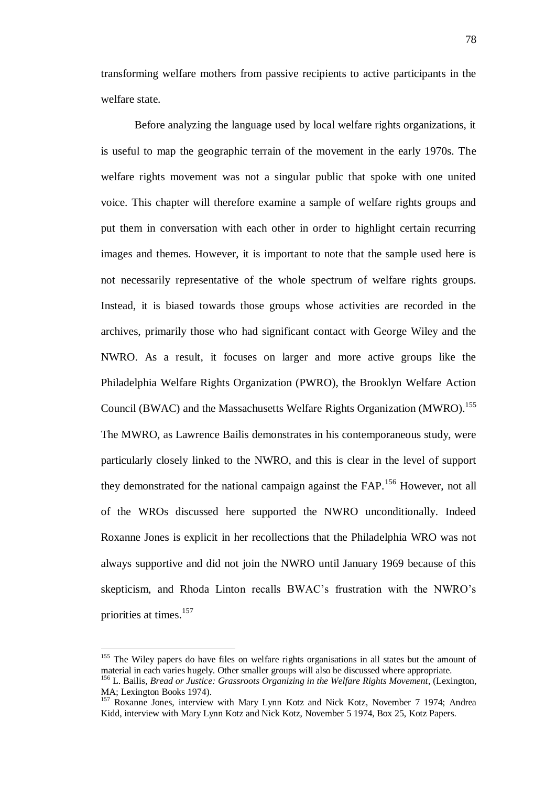transforming welfare mothers from passive recipients to active participants in the welfare state.

Before analyzing the language used by local welfare rights organizations, it is useful to map the geographic terrain of the movement in the early 1970s. The welfare rights movement was not a singular public that spoke with one united voice. This chapter will therefore examine a sample of welfare rights groups and put them in conversation with each other in order to highlight certain recurring images and themes. However, it is important to note that the sample used here is not necessarily representative of the whole spectrum of welfare rights groups. Instead, it is biased towards those groups whose activities are recorded in the archives, primarily those who had significant contact with George Wiley and the NWRO. As a result, it focuses on larger and more active groups like the Philadelphia Welfare Rights Organization (PWRO), the Brooklyn Welfare Action Council (BWAC) and the Massachusetts Welfare Rights Organization (MWRO).<sup>155</sup> The MWRO, as Lawrence Bailis demonstrates in his contemporaneous study, were particularly closely linked to the NWRO, and this is clear in the level of support they demonstrated for the national campaign against the FAP.<sup>156</sup> However, not all of the WROs discussed here supported the NWRO unconditionally. Indeed Roxanne Jones is explicit in her recollections that the Philadelphia WRO was not always supportive and did not join the NWRO until January 1969 because of this skepticism, and Rhoda Linton recalls BWAC's frustration with the NWRO's priorities at times.<sup>157</sup>

<sup>&</sup>lt;sup>155</sup> The Wiley papers do have files on welfare rights organisations in all states but the amount of material in each varies hugely. Other smaller groups will also be discussed where appropriate.

<sup>156</sup> L. Bailis, *Bread or Justice: Grassroots Organizing in the Welfare Rights Movement*, (Lexington, MA; Lexington Books 1974).

<sup>&</sup>lt;sup>157</sup> Roxanne Jones, interview with Mary Lynn Kotz and Nick Kotz, November 7 1974; Andrea Kidd, interview with Mary Lynn Kotz and Nick Kotz, November 5 1974, Box 25, Kotz Papers.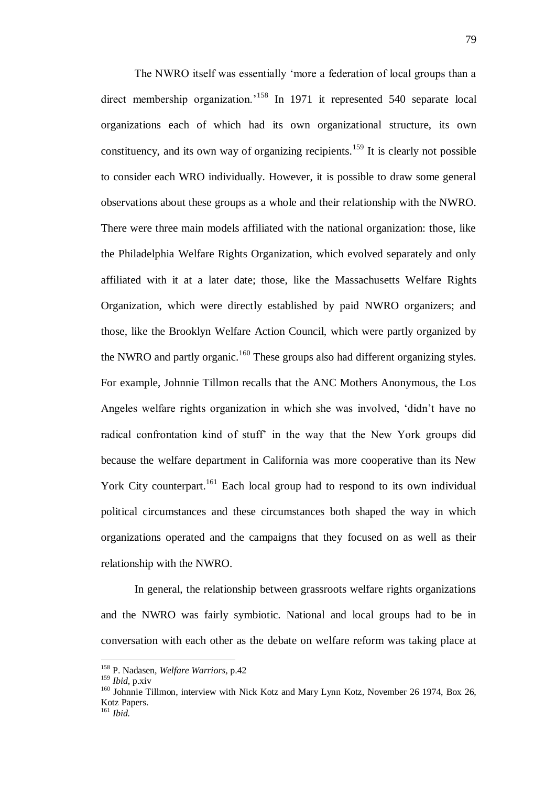The NWRO itself was essentially 'more a federation of local groups than a direct membership organization.<sup>158</sup> In 1971 it represented 540 separate local organizations each of which had its own organizational structure, its own constituency, and its own way of organizing recipients.<sup>159</sup> It is clearly not possible to consider each WRO individually. However, it is possible to draw some general observations about these groups as a whole and their relationship with the NWRO. There were three main models affiliated with the national organization: those, like the Philadelphia Welfare Rights Organization, which evolved separately and only affiliated with it at a later date; those, like the Massachusetts Welfare Rights Organization, which were directly established by paid NWRO organizers; and those, like the Brooklyn Welfare Action Council, which were partly organized by the NWRO and partly organic.<sup>160</sup> These groups also had different organizing styles. For example, Johnnie Tillmon recalls that the ANC Mothers Anonymous, the Los Angeles welfare rights organization in which she was involved, 'didn't have no radical confrontation kind of stuff' in the way that the New York groups did because the welfare department in California was more cooperative than its New York City counterpart.<sup>161</sup> Each local group had to respond to its own individual political circumstances and these circumstances both shaped the way in which organizations operated and the campaigns that they focused on as well as their relationship with the NWRO.

In general, the relationship between grassroots welfare rights organizations and the NWRO was fairly symbiotic. National and local groups had to be in conversation with each other as the debate on welfare reform was taking place at

<sup>158</sup> P. Nadasen, *Welfare Warriors,* p.42

<sup>159</sup> *Ibid,* p.xiv

<sup>&</sup>lt;sup>160</sup> Johnnie Tillmon, interview with Nick Kotz and Mary Lynn Kotz, November 26 1974, Box 26, Kotz Papers.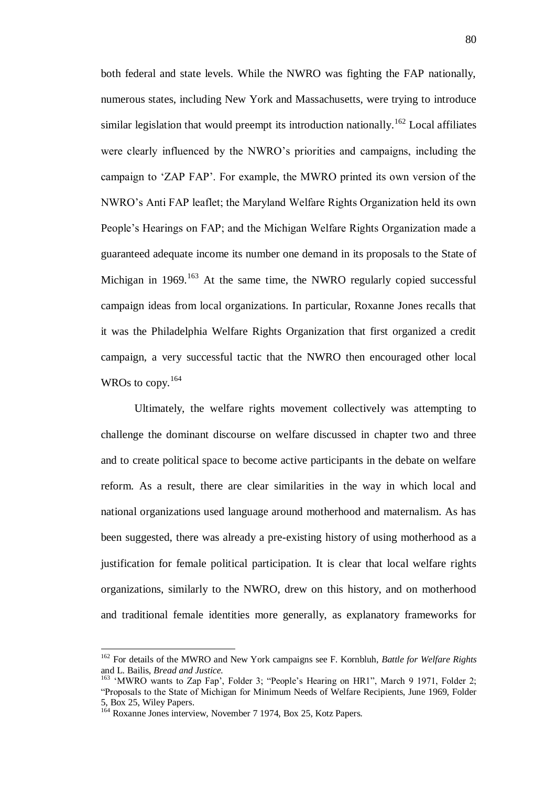both federal and state levels. While the NWRO was fighting the FAP nationally, numerous states, including New York and Massachusetts, were trying to introduce similar legislation that would preempt its introduction nationally.<sup>162</sup> Local affiliates were clearly influenced by the NWRO's priorities and campaigns, including the campaign to 'ZAP FAP'. For example, the MWRO printed its own version of the NWRO's Anti FAP leaflet; the Maryland Welfare Rights Organization held its own People's Hearings on FAP; and the Michigan Welfare Rights Organization made a guaranteed adequate income its number one demand in its proposals to the State of Michigan in 1969.<sup>163</sup> At the same time, the NWRO regularly copied successful campaign ideas from local organizations. In particular, Roxanne Jones recalls that it was the Philadelphia Welfare Rights Organization that first organized a credit campaign, a very successful tactic that the NWRO then encouraged other local WROs to copy.  $164$ 

Ultimately, the welfare rights movement collectively was attempting to challenge the dominant discourse on welfare discussed in chapter two and three and to create political space to become active participants in the debate on welfare reform. As a result, there are clear similarities in the way in which local and national organizations used language around motherhood and maternalism. As has been suggested, there was already a pre-existing history of using motherhood as a justification for female political participation. It is clear that local welfare rights organizations, similarly to the NWRO, drew on this history, and on motherhood and traditional female identities more generally, as explanatory frameworks for

<sup>162</sup> For details of the MWRO and New York campaigns see F. Kornbluh, *Battle for Welfare Rights*  and L. Bailis, *Bread and Justice.* 

<sup>&</sup>lt;sup>163</sup> 'MWRO wants to Zap Fap', Folder 3; "People's Hearing on HR1", March 9 1971, Folder 2; "Proposals to the State of Michigan for Minimum Needs of Welfare Recipients, June 1969, Folder 5, Box 25, Wiley Papers.

<sup>164</sup> Roxanne Jones interview, November 7 1974, Box 25, Kotz Papers.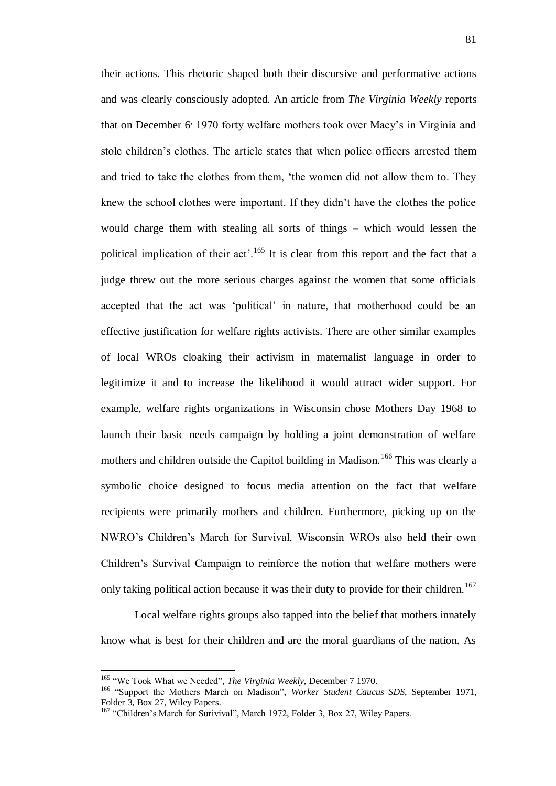their actions. This rhetoric shaped both their discursive and performative actions and was clearly consciously adopted. An article from *The Virginia Weekly* reports that on December 6<sup>,</sup> 1970 forty welfare mothers took over Macy's in Virginia and stole children's clothes. The article states that when police officers arrested them and tried to take the clothes from them, 'the women did not allow them to. They knew the school clothes were important. If they didn't have the clothes the police would charge them with stealing all sorts of things – which would lessen the political implication of their act'.<sup>165</sup> It is clear from this report and the fact that a judge threw out the more serious charges against the women that some officials accepted that the act was 'political' in nature, that motherhood could be an effective justification for welfare rights activists. There are other similar examples of local WROs cloaking their activism in maternalist language in order to legitimize it and to increase the likelihood it would attract wider support. For example, welfare rights organizations in Wisconsin chose Mothers Day 1968 to launch their basic needs campaign by holding a joint demonstration of welfare mothers and children outside the Capitol building in Madison.<sup>166</sup> This was clearly a symbolic choice designed to focus media attention on the fact that welfare recipients were primarily mothers and children. Furthermore, picking up on the NWRO's Children's March for Survival, Wisconsin WROs also held their own Children's Survival Campaign to reinforce the notion that welfare mothers were only taking political action because it was their duty to provide for their children.<sup>167</sup>

Local welfare rights groups also tapped into the belief that mothers innately know what is best for their children and are the moral guardians of the nation. As

<sup>&</sup>lt;sup>165</sup> "We Took What we Needed", *The Virginia Weekly*, December 7 1970.

<sup>166</sup> "Support the Mothers March on Madison", *Worker Student Caucus SDS*, September 1971, Folder 3, Box 27, Wiley Papers.

<sup>&</sup>lt;sup>167</sup> "Children's March for Surivival", March 1972, Folder 3, Box 27, Wiley Papers.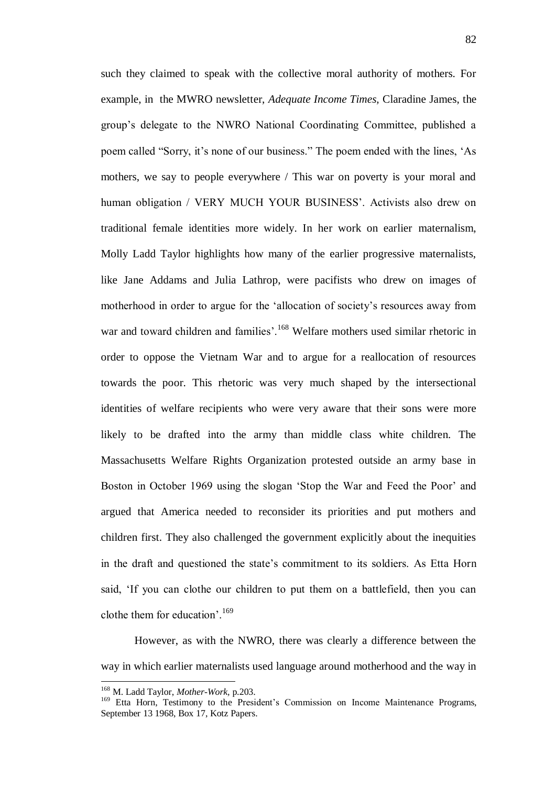such they claimed to speak with the collective moral authority of mothers. For example, in the MWRO newsletter, *Adequate Income Times,* Claradine James, the group's delegate to the NWRO National Coordinating Committee, published a poem called "Sorry, it's none of our business." The poem ended with the lines, 'As mothers, we say to people everywhere / This war on poverty is your moral and human obligation / VERY MUCH YOUR BUSINESS'. Activists also drew on traditional female identities more widely. In her work on earlier maternalism, Molly Ladd Taylor highlights how many of the earlier progressive maternalists, like Jane Addams and Julia Lathrop, were pacifists who drew on images of motherhood in order to argue for the 'allocation of society's resources away from war and toward children and families'.<sup>168</sup> Welfare mothers used similar rhetoric in order to oppose the Vietnam War and to argue for a reallocation of resources towards the poor. This rhetoric was very much shaped by the intersectional identities of welfare recipients who were very aware that their sons were more likely to be drafted into the army than middle class white children. The Massachusetts Welfare Rights Organization protested outside an army base in Boston in October 1969 using the slogan 'Stop the War and Feed the Poor' and argued that America needed to reconsider its priorities and put mothers and children first. They also challenged the government explicitly about the inequities in the draft and questioned the state's commitment to its soldiers. As Etta Horn said, 'If you can clothe our children to put them on a battlefield, then you can clothe them for education'.<sup>169</sup>

However, as with the NWRO, there was clearly a difference between the way in which earlier maternalists used language around motherhood and the way in

<sup>168</sup> M. Ladd Taylor, *Mother-Work,* p.203.

<sup>&</sup>lt;sup>169</sup> Etta Horn, Testimony to the President's Commission on Income Maintenance Programs, September 13 1968, Box 17, Kotz Papers.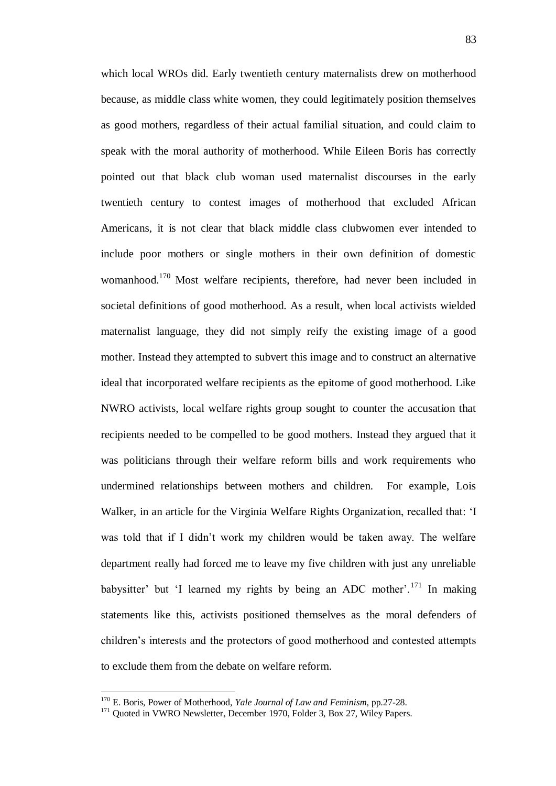which local WROs did. Early twentieth century maternalists drew on motherhood because, as middle class white women, they could legitimately position themselves as good mothers, regardless of their actual familial situation, and could claim to speak with the moral authority of motherhood. While Eileen Boris has correctly pointed out that black club woman used maternalist discourses in the early twentieth century to contest images of motherhood that excluded African Americans, it is not clear that black middle class clubwomen ever intended to include poor mothers or single mothers in their own definition of domestic womanhood.<sup>170</sup> Most welfare recipients, therefore, had never been included in societal definitions of good motherhood. As a result, when local activists wielded maternalist language, they did not simply reify the existing image of a good mother. Instead they attempted to subvert this image and to construct an alternative ideal that incorporated welfare recipients as the epitome of good motherhood. Like NWRO activists, local welfare rights group sought to counter the accusation that recipients needed to be compelled to be good mothers. Instead they argued that it was politicians through their welfare reform bills and work requirements who undermined relationships between mothers and children. For example, Lois Walker, in an article for the Virginia Welfare Rights Organization, recalled that: 'I was told that if I didn't work my children would be taken away. The welfare department really had forced me to leave my five children with just any unreliable babysitter' but 'I learned my rights by being an ADC mother'.<sup>171</sup> In making statements like this, activists positioned themselves as the moral defenders of children's interests and the protectors of good motherhood and contested attempts to exclude them from the debate on welfare reform.

<sup>170</sup> E. Boris, Power of Motherhood, *Yale Journal of Law and Feminism,* pp.27-28.

<sup>&</sup>lt;sup>171</sup> Ouoted in VWRO Newsletter, December 1970, Folder 3, Box 27, Wiley Papers.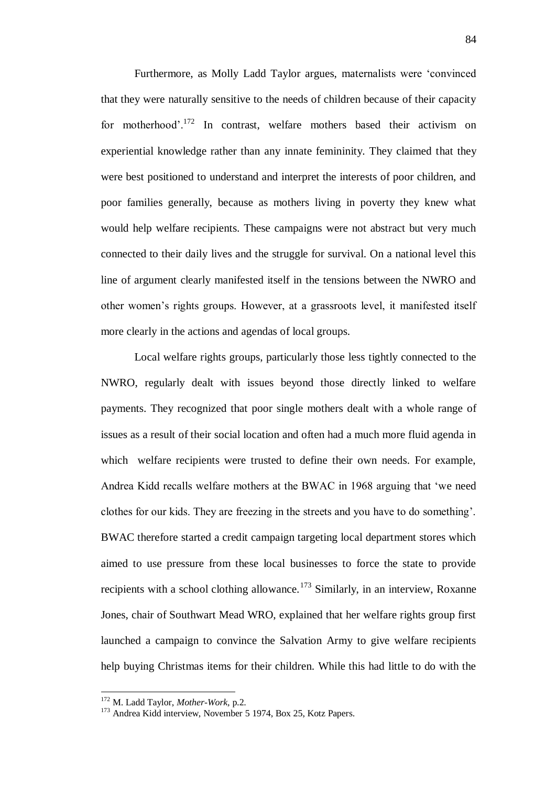Furthermore, as Molly Ladd Taylor argues, maternalists were 'convinced that they were naturally sensitive to the needs of children because of their capacity for motherhood'.<sup>172</sup> In contrast, welfare mothers based their activism on experiential knowledge rather than any innate femininity. They claimed that they were best positioned to understand and interpret the interests of poor children, and poor families generally, because as mothers living in poverty they knew what would help welfare recipients. These campaigns were not abstract but very much connected to their daily lives and the struggle for survival. On a national level this line of argument clearly manifested itself in the tensions between the NWRO and other women's rights groups. However, at a grassroots level, it manifested itself more clearly in the actions and agendas of local groups.

Local welfare rights groups, particularly those less tightly connected to the NWRO, regularly dealt with issues beyond those directly linked to welfare payments. They recognized that poor single mothers dealt with a whole range of issues as a result of their social location and often had a much more fluid agenda in which welfare recipients were trusted to define their own needs. For example, Andrea Kidd recalls welfare mothers at the BWAC in 1968 arguing that 'we need clothes for our kids. They are freezing in the streets and you have to do something'. BWAC therefore started a credit campaign targeting local department stores which aimed to use pressure from these local businesses to force the state to provide recipients with a school clothing allowance.<sup>173</sup> Similarly, in an interview, Roxanne Jones, chair of Southwart Mead WRO, explained that her welfare rights group first launched a campaign to convince the Salvation Army to give welfare recipients help buying Christmas items for their children. While this had little to do with the

<sup>172</sup> M. Ladd Taylor, *Mother-Work,* p.2.

<sup>173</sup> Andrea Kidd interview, November 5 1974, Box 25, Kotz Papers.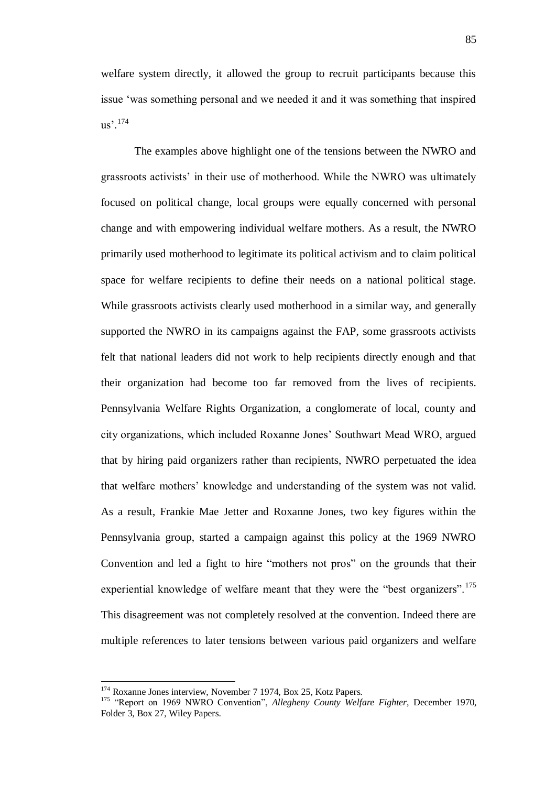welfare system directly, it allowed the group to recruit participants because this issue 'was something personal and we needed it and it was something that inspired us'.<sup>174</sup>

The examples above highlight one of the tensions between the NWRO and grassroots activists' in their use of motherhood. While the NWRO was ultimately focused on political change, local groups were equally concerned with personal change and with empowering individual welfare mothers. As a result, the NWRO primarily used motherhood to legitimate its political activism and to claim political space for welfare recipients to define their needs on a national political stage. While grassroots activists clearly used motherhood in a similar way, and generally supported the NWRO in its campaigns against the FAP, some grassroots activists felt that national leaders did not work to help recipients directly enough and that their organization had become too far removed from the lives of recipients. Pennsylvania Welfare Rights Organization, a conglomerate of local, county and city organizations, which included Roxanne Jones' Southwart Mead WRO, argued that by hiring paid organizers rather than recipients, NWRO perpetuated the idea that welfare mothers' knowledge and understanding of the system was not valid. As a result, Frankie Mae Jetter and Roxanne Jones, two key figures within the Pennsylvania group, started a campaign against this policy at the 1969 NWRO Convention and led a fight to hire "mothers not pros" on the grounds that their experiential knowledge of welfare meant that they were the "best organizers".<sup>175</sup> This disagreement was not completely resolved at the convention. Indeed there are multiple references to later tensions between various paid organizers and welfare

<sup>174</sup> Roxanne Jones interview, November 7 1974, Box 25, Kotz Papers.

<sup>&</sup>lt;sup>175</sup> "Report on 1969 NWRO Convention", *Allegheny County Welfare Fighter*, December 1970, Folder 3, Box 27, Wiley Papers.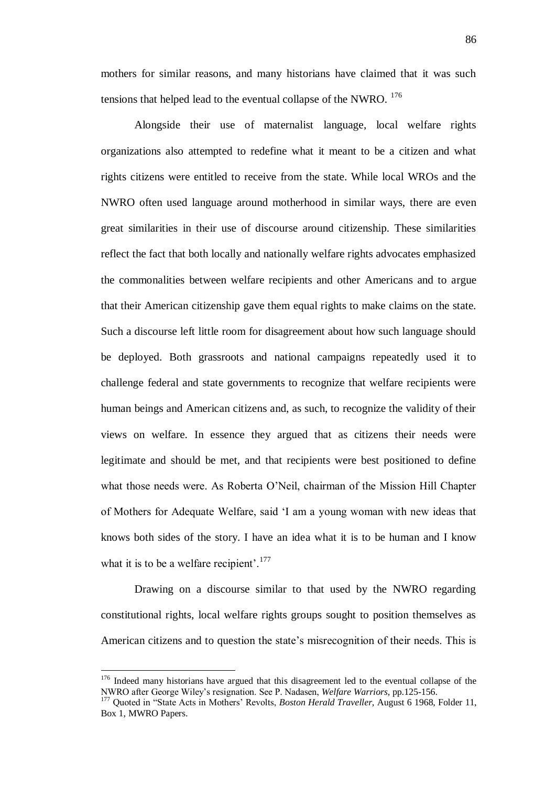mothers for similar reasons, and many historians have claimed that it was such tensions that helped lead to the eventual collapse of the NWRO.  $176$ 

Alongside their use of maternalist language, local welfare rights organizations also attempted to redefine what it meant to be a citizen and what rights citizens were entitled to receive from the state. While local WROs and the NWRO often used language around motherhood in similar ways, there are even great similarities in their use of discourse around citizenship. These similarities reflect the fact that both locally and nationally welfare rights advocates emphasized the commonalities between welfare recipients and other Americans and to argue that their American citizenship gave them equal rights to make claims on the state. Such a discourse left little room for disagreement about how such language should be deployed. Both grassroots and national campaigns repeatedly used it to challenge federal and state governments to recognize that welfare recipients were human beings and American citizens and, as such, to recognize the validity of their views on welfare. In essence they argued that as citizens their needs were legitimate and should be met, and that recipients were best positioned to define what those needs were. As Roberta O'Neil, chairman of the Mission Hill Chapter of Mothers for Adequate Welfare, said 'I am a young woman with new ideas that knows both sides of the story. I have an idea what it is to be human and I know what it is to be a welfare recipient'.<sup>177</sup>

Drawing on a discourse similar to that used by the NWRO regarding constitutional rights, local welfare rights groups sought to position themselves as American citizens and to question the state's misrecognition of their needs. This is

<sup>&</sup>lt;sup>176</sup> Indeed many historians have argued that this disagreement led to the eventual collapse of the NWRO after George Wiley's resignation. See P. Nadasen, *Welfare Warriors,* pp.125-156.

<sup>177</sup> Quoted in "State Acts in Mothers' Revolts, *Boston Herald Traveller,* August 6 1968, Folder 11, Box 1, MWRO Papers.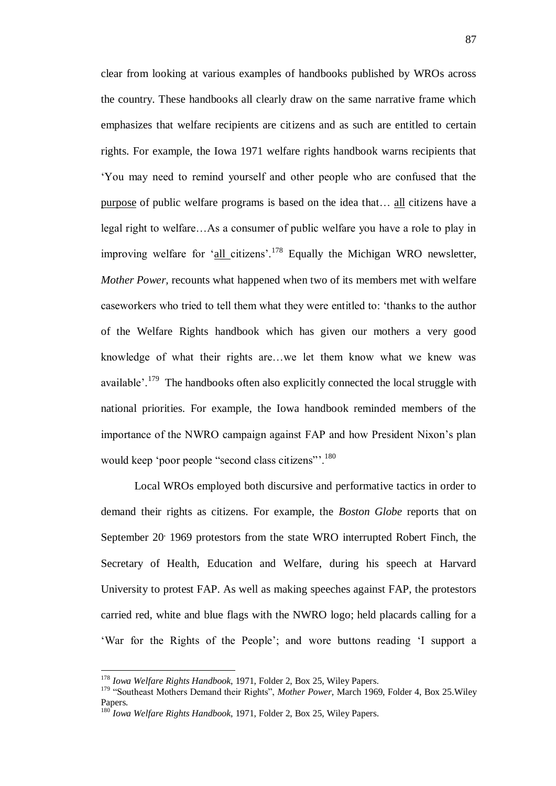clear from looking at various examples of handbooks published by WROs across the country. These handbooks all clearly draw on the same narrative frame which emphasizes that welfare recipients are citizens and as such are entitled to certain rights. For example, the Iowa 1971 welfare rights handbook warns recipients that 'You may need to remind yourself and other people who are confused that the purpose of public welfare programs is based on the idea that… all citizens have a legal right to welfare…As a consumer of public welfare you have a role to play in improving welfare for 'all citizens'.<sup>178</sup> Equally the Michigan WRO newsletter, *Mother Power,* recounts what happened when two of its members met with welfare caseworkers who tried to tell them what they were entitled to: 'thanks to the author of the Welfare Rights handbook which has given our mothers a very good knowledge of what their rights are…we let them know what we knew was available'.<sup>179</sup> The handbooks often also explicitly connected the local struggle with national priorities. For example, the Iowa handbook reminded members of the importance of the NWRO campaign against FAP and how President Nixon's plan would keep 'poor people "second class citizens"'.<sup>180</sup>

Local WROs employed both discursive and performative tactics in order to demand their rights as citizens. For example, the *Boston Globe* reports that on September 20' 1969 protestors from the state WRO interrupted Robert Finch, the Secretary of Health, Education and Welfare, during his speech at Harvard University to protest FAP. As well as making speeches against FAP, the protestors carried red, white and blue flags with the NWRO logo; held placards calling for a 'War for the Rights of the People'; and wore buttons reading 'I support a

<sup>178</sup> *Iowa Welfare Rights Handbook*, 1971, Folder 2, Box 25, Wiley Papers.

<sup>179</sup> "Southeast Mothers Demand their Rights", *Mother Power,* March 1969, Folder 4, Box 25.Wiley Papers.

<sup>&</sup>lt;sup>180</sup> *Iowa Welfare Rights Handbook*, 1971, Folder 2, Box 25, Wiley Papers.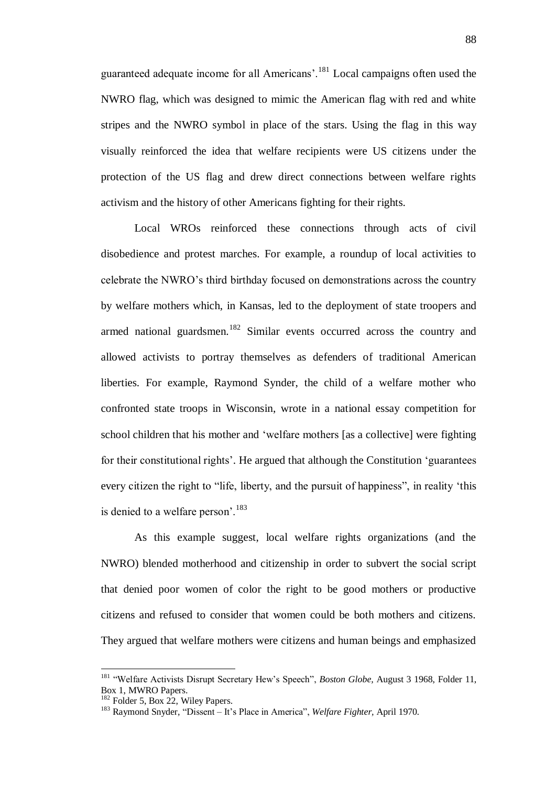guaranteed adequate income for all Americans'.<sup>181</sup> Local campaigns often used the NWRO flag, which was designed to mimic the American flag with red and white stripes and the NWRO symbol in place of the stars. Using the flag in this way visually reinforced the idea that welfare recipients were US citizens under the protection of the US flag and drew direct connections between welfare rights activism and the history of other Americans fighting for their rights.

Local WROs reinforced these connections through acts of civil disobedience and protest marches. For example, a roundup of local activities to celebrate the NWRO's third birthday focused on demonstrations across the country by welfare mothers which, in Kansas, led to the deployment of state troopers and armed national guardsmen.<sup>182</sup> Similar events occurred across the country and allowed activists to portray themselves as defenders of traditional American liberties. For example, Raymond Synder, the child of a welfare mother who confronted state troops in Wisconsin, wrote in a national essay competition for school children that his mother and 'welfare mothers [as a collective] were fighting for their constitutional rights'. He argued that although the Constitution 'guarantees every citizen the right to "life, liberty, and the pursuit of happiness", in reality 'this is denied to a welfare person<sup>'.183</sup>

As this example suggest, local welfare rights organizations (and the NWRO) blended motherhood and citizenship in order to subvert the social script that denied poor women of color the right to be good mothers or productive citizens and refused to consider that women could be both mothers and citizens. They argued that welfare mothers were citizens and human beings and emphasized

<sup>181</sup> "Welfare Activists Disrupt Secretary Hew's Speech", *Boston Globe,* August 3 1968, Folder 11, Box 1, MWRO Papers.

<sup>&</sup>lt;sup>182</sup> Folder 5, Box 22, Wiley Papers.

<sup>183</sup> Raymond Snyder, "Dissent – It's Place in America", *Welfare Fighter,* April 1970*.*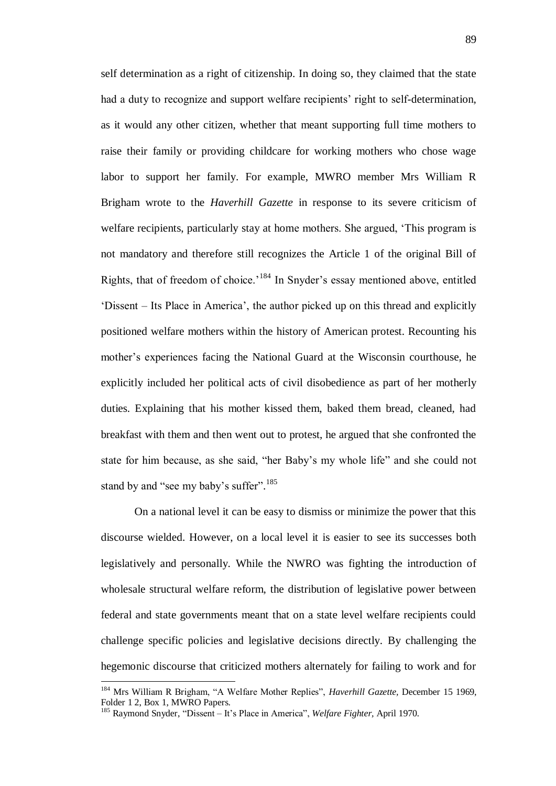self determination as a right of citizenship. In doing so, they claimed that the state had a duty to recognize and support welfare recipients' right to self-determination, as it would any other citizen, whether that meant supporting full time mothers to raise their family or providing childcare for working mothers who chose wage labor to support her family. For example, MWRO member Mrs William R Brigham wrote to the *Haverhill Gazette* in response to its severe criticism of welfare recipients, particularly stay at home mothers. She argued, 'This program is not mandatory and therefore still recognizes the Article 1 of the original Bill of Rights, that of freedom of choice.'<sup>184</sup> In Snyder's essay mentioned above, entitled 'Dissent – Its Place in America', the author picked up on this thread and explicitly positioned welfare mothers within the history of American protest. Recounting his mother's experiences facing the National Guard at the Wisconsin courthouse, he explicitly included her political acts of civil disobedience as part of her motherly duties. Explaining that his mother kissed them, baked them bread, cleaned, had breakfast with them and then went out to protest, he argued that she confronted the state for him because, as she said, "her Baby's my whole life" and she could not stand by and "see my baby's suffer".<sup>185</sup>

On a national level it can be easy to dismiss or minimize the power that this discourse wielded. However, on a local level it is easier to see its successes both legislatively and personally. While the NWRO was fighting the introduction of wholesale structural welfare reform, the distribution of legislative power between federal and state governments meant that on a state level welfare recipients could challenge specific policies and legislative decisions directly. By challenging the hegemonic discourse that criticized mothers alternately for failing to work and for

<sup>184</sup> Mrs William R Brigham, "A Welfare Mother Replies", *Haverhill Gazette,* December 15 1969, Folder 1 2, Box 1, MWRO Papers.

<sup>185</sup> Raymond Snyder, "Dissent – It's Place in America", *Welfare Fighter,* April 1970*.*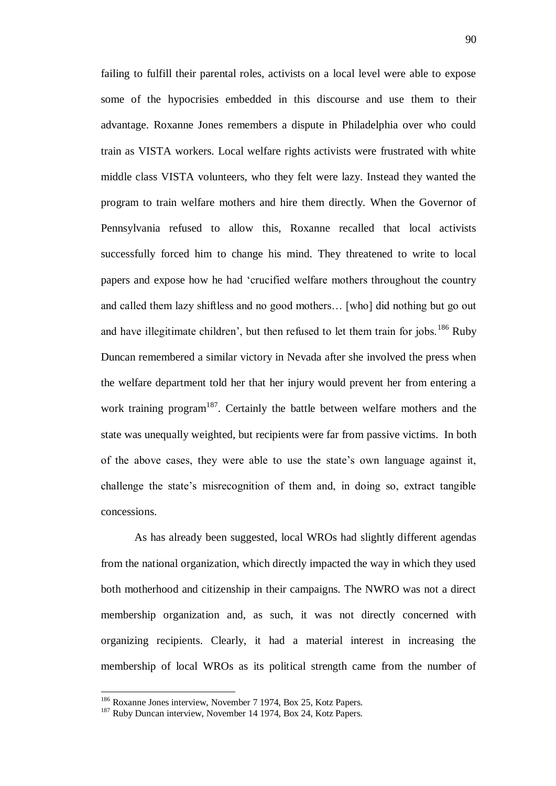failing to fulfill their parental roles, activists on a local level were able to expose some of the hypocrisies embedded in this discourse and use them to their advantage. Roxanne Jones remembers a dispute in Philadelphia over who could train as VISTA workers. Local welfare rights activists were frustrated with white middle class VISTA volunteers, who they felt were lazy. Instead they wanted the program to train welfare mothers and hire them directly. When the Governor of Pennsylvania refused to allow this, Roxanne recalled that local activists successfully forced him to change his mind. They threatened to write to local papers and expose how he had 'crucified welfare mothers throughout the country and called them lazy shiftless and no good mothers… [who] did nothing but go out and have illegitimate children', but then refused to let them train for jobs.<sup>186</sup> Ruby Duncan remembered a similar victory in Nevada after she involved the press when the welfare department told her that her injury would prevent her from entering a work training program<sup>187</sup>. Certainly the battle between welfare mothers and the state was unequally weighted, but recipients were far from passive victims. In both of the above cases, they were able to use the state's own language against it, challenge the state's misrecognition of them and, in doing so, extract tangible concessions.

As has already been suggested, local WROs had slightly different agendas from the national organization, which directly impacted the way in which they used both motherhood and citizenship in their campaigns. The NWRO was not a direct membership organization and, as such, it was not directly concerned with organizing recipients. Clearly, it had a material interest in increasing the membership of local WROs as its political strength came from the number of

<sup>186</sup> Roxanne Jones interview, November 7 1974, Box 25, Kotz Papers.

<sup>&</sup>lt;sup>187</sup> Ruby Duncan interview, November 14 1974, Box 24, Kotz Papers.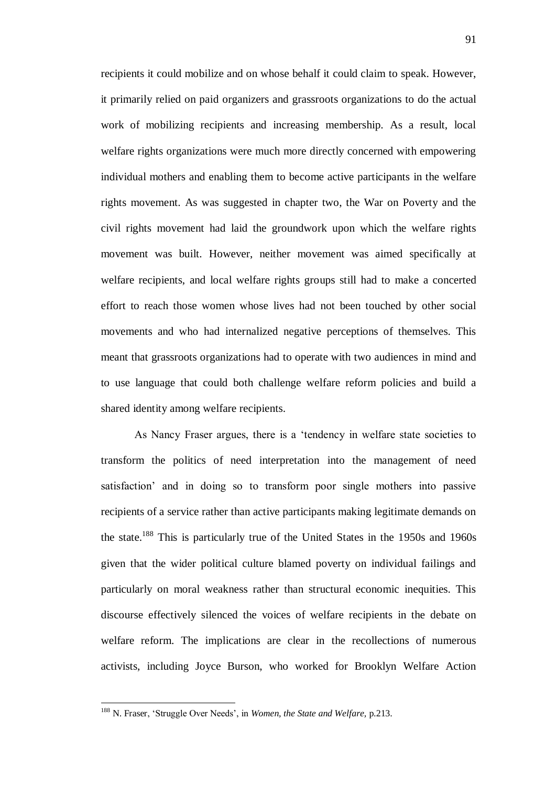recipients it could mobilize and on whose behalf it could claim to speak. However, it primarily relied on paid organizers and grassroots organizations to do the actual work of mobilizing recipients and increasing membership. As a result, local welfare rights organizations were much more directly concerned with empowering individual mothers and enabling them to become active participants in the welfare rights movement. As was suggested in chapter two, the War on Poverty and the civil rights movement had laid the groundwork upon which the welfare rights movement was built. However, neither movement was aimed specifically at welfare recipients, and local welfare rights groups still had to make a concerted effort to reach those women whose lives had not been touched by other social movements and who had internalized negative perceptions of themselves. This meant that grassroots organizations had to operate with two audiences in mind and to use language that could both challenge welfare reform policies and build a shared identity among welfare recipients.

As Nancy Fraser argues, there is a 'tendency in welfare state societies to transform the politics of need interpretation into the management of need satisfaction' and in doing so to transform poor single mothers into passive recipients of a service rather than active participants making legitimate demands on the state.<sup>188</sup> This is particularly true of the United States in the 1950s and 1960s given that the wider political culture blamed poverty on individual failings and particularly on moral weakness rather than structural economic inequities. This discourse effectively silenced the voices of welfare recipients in the debate on welfare reform. The implications are clear in the recollections of numerous activists, including Joyce Burson, who worked for Brooklyn Welfare Action

<sup>188</sup> N. Fraser, 'Struggle Over Needs', in *Women, the State and Welfare,* p.213.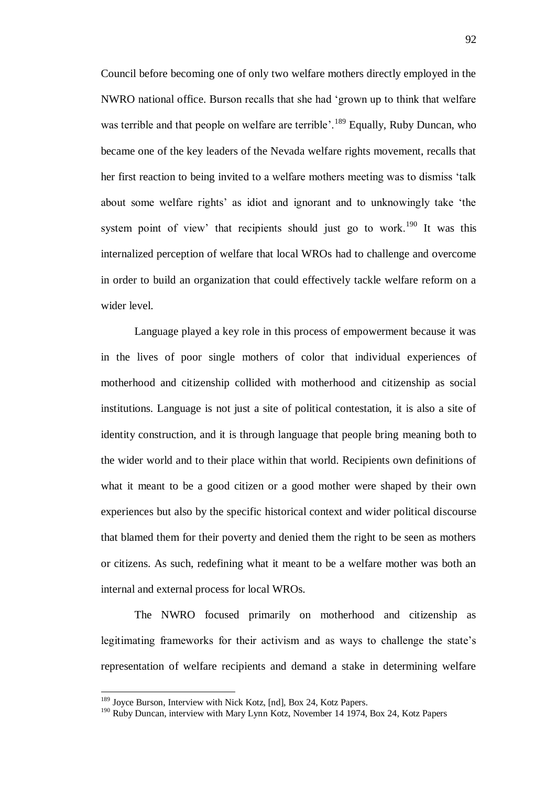Council before becoming one of only two welfare mothers directly employed in the NWRO national office. Burson recalls that she had 'grown up to think that welfare was terrible and that people on welfare are terrible'.<sup>189</sup> Equally, Ruby Duncan, who became one of the key leaders of the Nevada welfare rights movement, recalls that her first reaction to being invited to a welfare mothers meeting was to dismiss 'talk about some welfare rights' as idiot and ignorant and to unknowingly take 'the system point of view' that recipients should just go to work.<sup>190</sup> It was this internalized perception of welfare that local WROs had to challenge and overcome in order to build an organization that could effectively tackle welfare reform on a wider level.

Language played a key role in this process of empowerment because it was in the lives of poor single mothers of color that individual experiences of motherhood and citizenship collided with motherhood and citizenship as social institutions. Language is not just a site of political contestation, it is also a site of identity construction, and it is through language that people bring meaning both to the wider world and to their place within that world. Recipients own definitions of what it meant to be a good citizen or a good mother were shaped by their own experiences but also by the specific historical context and wider political discourse that blamed them for their poverty and denied them the right to be seen as mothers or citizens. As such, redefining what it meant to be a welfare mother was both an internal and external process for local WROs.

The NWRO focused primarily on motherhood and citizenship as legitimating frameworks for their activism and as ways to challenge the state's representation of welfare recipients and demand a stake in determining welfare

<sup>&</sup>lt;sup>189</sup> Joyce Burson, Interview with Nick Kotz, [nd], Box 24, Kotz Papers.

<sup>&</sup>lt;sup>190</sup> Ruby Duncan, interview with Mary Lynn Kotz, November 14 1974, Box 24, Kotz Papers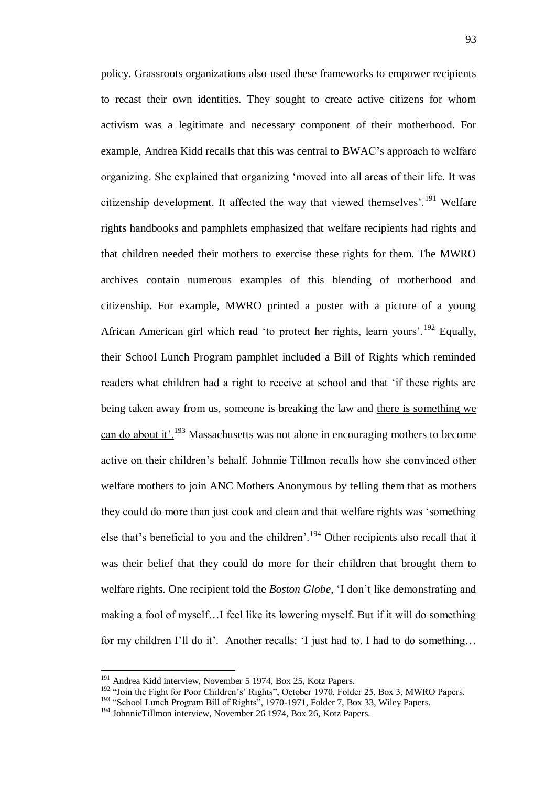policy. Grassroots organizations also used these frameworks to empower recipients to recast their own identities. They sought to create active citizens for whom activism was a legitimate and necessary component of their motherhood. For example, Andrea Kidd recalls that this was central to BWAC's approach to welfare organizing. She explained that organizing 'moved into all areas of their life. It was citizenship development. It affected the way that viewed themselves'.<sup>191</sup> Welfare rights handbooks and pamphlets emphasized that welfare recipients had rights and that children needed their mothers to exercise these rights for them. The MWRO archives contain numerous examples of this blending of motherhood and citizenship. For example, MWRO printed a poster with a picture of a young African American girl which read 'to protect her rights, learn yours'.<sup>192</sup> Equally, their School Lunch Program pamphlet included a Bill of Rights which reminded readers what children had a right to receive at school and that 'if these rights are being taken away from us, someone is breaking the law and there is something we can do about it'.<sup>193</sup> Massachusetts was not alone in encouraging mothers to become active on their children's behalf. Johnnie Tillmon recalls how she convinced other welfare mothers to join ANC Mothers Anonymous by telling them that as mothers they could do more than just cook and clean and that welfare rights was 'something else that's beneficial to you and the children'.<sup>194</sup> Other recipients also recall that it was their belief that they could do more for their children that brought them to welfare rights. One recipient told the *Boston Globe,* 'I don't like demonstrating and making a fool of myself…I feel like its lowering myself. But if it will do something for my children I'll do it'. Another recalls: 'I just had to. I had to do something...

<sup>&</sup>lt;sup>191</sup> Andrea Kidd interview, November 5 1974, Box 25, Kotz Papers.

<sup>&</sup>lt;sup>192</sup> "Join the Fight for Poor Children's' Rights", October 1970, Folder 25, Box 3, MWRO Papers.

<sup>&</sup>lt;sup>193</sup> "School Lunch Program Bill of Rights", 1970-1971, Folder 7, Box 33, Wiley Papers.

<sup>194</sup> JohnnieTillmon interview, November 26 1974, Box 26, Kotz Papers.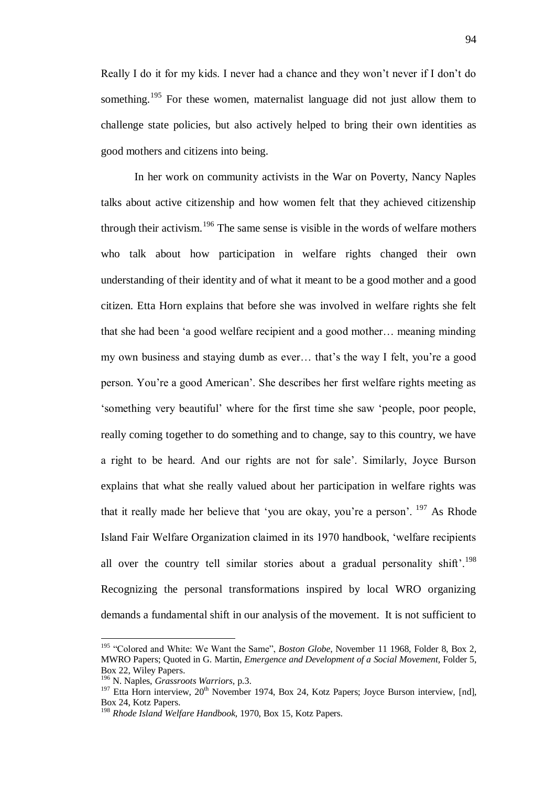Really I do it for my kids. I never had a chance and they won't never if I don't do something.<sup>195</sup> For these women, maternalist language did not just allow them to challenge state policies, but also actively helped to bring their own identities as good mothers and citizens into being.

In her work on community activists in the War on Poverty, Nancy Naples talks about active citizenship and how women felt that they achieved citizenship through their activism.<sup>196</sup> The same sense is visible in the words of welfare mothers who talk about how participation in welfare rights changed their own understanding of their identity and of what it meant to be a good mother and a good citizen. Etta Horn explains that before she was involved in welfare rights she felt that she had been 'a good welfare recipient and a good mother… meaning minding my own business and staying dumb as ever… that's the way I felt, you're a good person. You're a good American'. She describes her first welfare rights meeting as 'something very beautiful' where for the first time she saw 'people, poor people, really coming together to do something and to change, say to this country, we have a right to be heard. And our rights are not for sale'. Similarly, Joyce Burson explains that what she really valued about her participation in welfare rights was that it really made her believe that 'you are okay, you're a person'. <sup>197</sup> As Rhode Island Fair Welfare Organization claimed in its 1970 handbook, 'welfare recipients all over the country tell similar stories about a gradual personality shift'.<sup>198</sup> Recognizing the personal transformations inspired by local WRO organizing demands a fundamental shift in our analysis of the movement. It is not sufficient to

<sup>195</sup> "Colored and White: We Want the Same", *Boston Globe,* November 11 1968, Folder 8, Box 2, MWRO Papers; Quoted in G. Martin, *Emergence and Development of a Social Movement,* Folder 5, Box 22, Wiley Papers.

<sup>196</sup> N. Naples, *Grassroots Warriors,* p.3.

<sup>&</sup>lt;sup>197</sup> Etta Horn interview, 20<sup>th</sup> November 1974, Box 24, Kotz Papers; Joyce Burson interview, [nd], Box 24, Kotz Papers.

<sup>198</sup> *Rhode Island Welfare Handbook,* 1970, Box 15, Kotz Papers.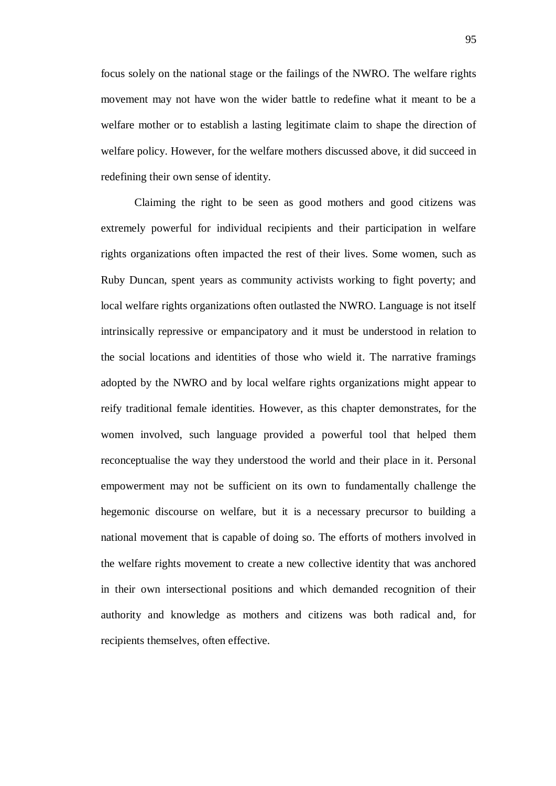focus solely on the national stage or the failings of the NWRO. The welfare rights movement may not have won the wider battle to redefine what it meant to be a welfare mother or to establish a lasting legitimate claim to shape the direction of welfare policy. However, for the welfare mothers discussed above, it did succeed in redefining their own sense of identity.

Claiming the right to be seen as good mothers and good citizens was extremely powerful for individual recipients and their participation in welfare rights organizations often impacted the rest of their lives. Some women, such as Ruby Duncan, spent years as community activists working to fight poverty; and local welfare rights organizations often outlasted the NWRO. Language is not itself intrinsically repressive or empancipatory and it must be understood in relation to the social locations and identities of those who wield it. The narrative framings adopted by the NWRO and by local welfare rights organizations might appear to reify traditional female identities. However, as this chapter demonstrates, for the women involved, such language provided a powerful tool that helped them reconceptualise the way they understood the world and their place in it. Personal empowerment may not be sufficient on its own to fundamentally challenge the hegemonic discourse on welfare, but it is a necessary precursor to building a national movement that is capable of doing so. The efforts of mothers involved in the welfare rights movement to create a new collective identity that was anchored in their own intersectional positions and which demanded recognition of their authority and knowledge as mothers and citizens was both radical and, for recipients themselves, often effective.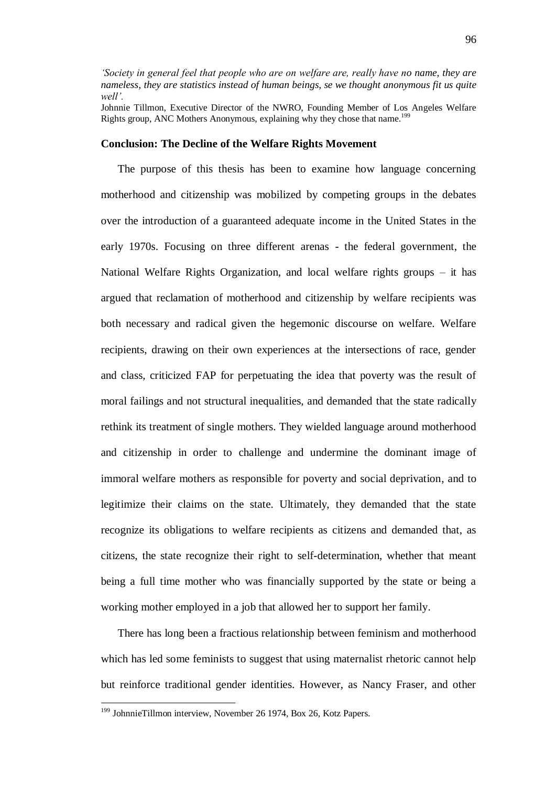*'Society in general feel that people who are on welfare are, really have no name, they are nameless, they are statistics instead of human beings, se we thought anonymous fit us quite well'.* 

Johnnie Tillmon, Executive Director of the NWRO, Founding Member of Los Angeles Welfare Rights group, ANC Mothers Anonymous, explaining why they chose that name.<sup>199</sup>

#### **Conclusion: The Decline of the Welfare Rights Movement**

The purpose of this thesis has been to examine how language concerning motherhood and citizenship was mobilized by competing groups in the debates over the introduction of a guaranteed adequate income in the United States in the early 1970s. Focusing on three different arenas - the federal government, the National Welfare Rights Organization, and local welfare rights groups – it has argued that reclamation of motherhood and citizenship by welfare recipients was both necessary and radical given the hegemonic discourse on welfare. Welfare recipients, drawing on their own experiences at the intersections of race, gender and class, criticized FAP for perpetuating the idea that poverty was the result of moral failings and not structural inequalities, and demanded that the state radically rethink its treatment of single mothers. They wielded language around motherhood and citizenship in order to challenge and undermine the dominant image of immoral welfare mothers as responsible for poverty and social deprivation, and to legitimize their claims on the state. Ultimately, they demanded that the state recognize its obligations to welfare recipients as citizens and demanded that, as citizens, the state recognize their right to self-determination, whether that meant being a full time mother who was financially supported by the state or being a working mother employed in a job that allowed her to support her family.

There has long been a fractious relationship between feminism and motherhood which has led some feminists to suggest that using maternalist rhetoric cannot help but reinforce traditional gender identities. However, as Nancy Fraser, and other

<sup>&</sup>lt;sup>199</sup> JohnnieTillmon interview, November 26 1974, Box 26, Kotz Papers.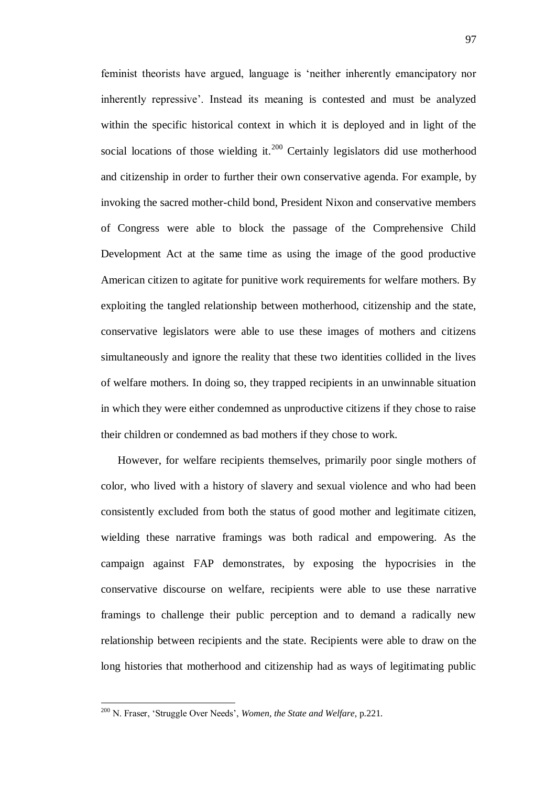feminist theorists have argued, language is 'neither inherently emancipatory nor inherently repressive'. Instead its meaning is contested and must be analyzed within the specific historical context in which it is deployed and in light of the social locations of those wielding it.<sup>200</sup> Certainly legislators did use motherhood and citizenship in order to further their own conservative agenda. For example, by invoking the sacred mother-child bond, President Nixon and conservative members of Congress were able to block the passage of the Comprehensive Child Development Act at the same time as using the image of the good productive American citizen to agitate for punitive work requirements for welfare mothers. By exploiting the tangled relationship between motherhood, citizenship and the state, conservative legislators were able to use these images of mothers and citizens simultaneously and ignore the reality that these two identities collided in the lives of welfare mothers. In doing so, they trapped recipients in an unwinnable situation in which they were either condemned as unproductive citizens if they chose to raise their children or condemned as bad mothers if they chose to work.

However, for welfare recipients themselves, primarily poor single mothers of color, who lived with a history of slavery and sexual violence and who had been consistently excluded from both the status of good mother and legitimate citizen, wielding these narrative framings was both radical and empowering. As the campaign against FAP demonstrates, by exposing the hypocrisies in the conservative discourse on welfare, recipients were able to use these narrative framings to challenge their public perception and to demand a radically new relationship between recipients and the state. Recipients were able to draw on the long histories that motherhood and citizenship had as ways of legitimating public

<sup>200</sup> N. Fraser, 'Struggle Over Needs', *Women, the State and Welfare,* p.221.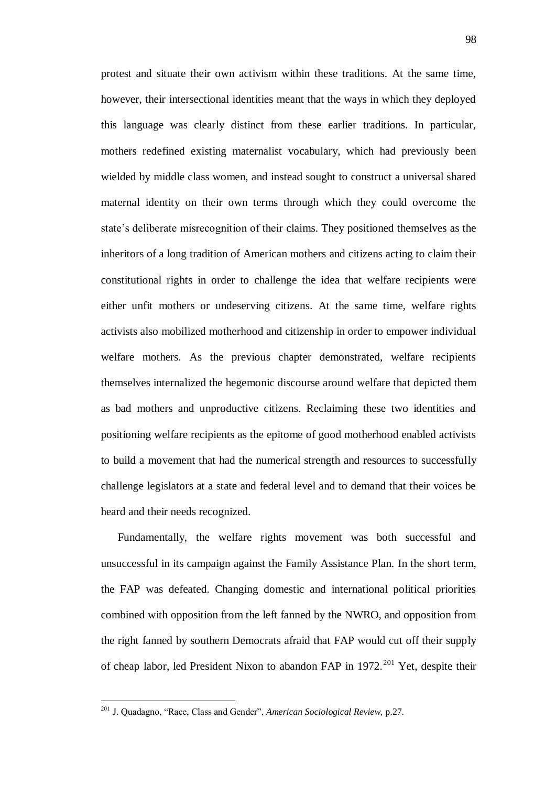protest and situate their own activism within these traditions. At the same time, however, their intersectional identities meant that the ways in which they deployed this language was clearly distinct from these earlier traditions. In particular, mothers redefined existing maternalist vocabulary, which had previously been wielded by middle class women, and instead sought to construct a universal shared maternal identity on their own terms through which they could overcome the state's deliberate misrecognition of their claims. They positioned themselves as the inheritors of a long tradition of American mothers and citizens acting to claim their constitutional rights in order to challenge the idea that welfare recipients were either unfit mothers or undeserving citizens. At the same time, welfare rights activists also mobilized motherhood and citizenship in order to empower individual welfare mothers. As the previous chapter demonstrated, welfare recipients themselves internalized the hegemonic discourse around welfare that depicted them as bad mothers and unproductive citizens. Reclaiming these two identities and positioning welfare recipients as the epitome of good motherhood enabled activists to build a movement that had the numerical strength and resources to successfully challenge legislators at a state and federal level and to demand that their voices be heard and their needs recognized.

Fundamentally, the welfare rights movement was both successful and unsuccessful in its campaign against the Family Assistance Plan. In the short term, the FAP was defeated. Changing domestic and international political priorities combined with opposition from the left fanned by the NWRO, and opposition from the right fanned by southern Democrats afraid that FAP would cut off their supply of cheap labor, led President Nixon to abandon FAP in 1972.<sup>201</sup> Yet, despite their

<sup>201</sup> J. Quadagno, "Race, Class and Gender", *American Sociological Review,* p.27.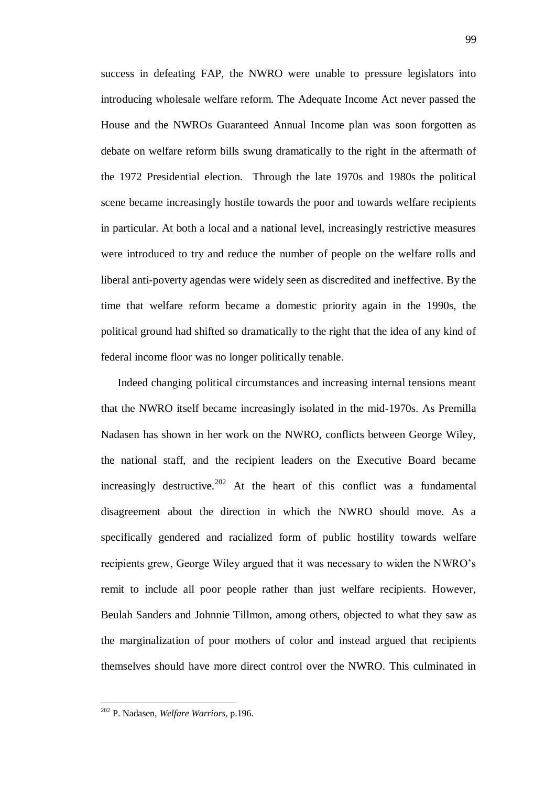success in defeating FAP, the NWRO were unable to pressure legislators into introducing wholesale welfare reform. The Adequate Income Act never passed the House and the NWROs Guaranteed Annual Income plan was soon forgotten as debate on welfare reform bills swung dramatically to the right in the aftermath of the 1972 Presidential election. Through the late 1970s and 1980s the political scene became increasingly hostile towards the poor and towards welfare recipients in particular. At both a local and a national level, increasingly restrictive measures were introduced to try and reduce the number of people on the welfare rolls and liberal anti-poverty agendas were widely seen as discredited and ineffective. By the time that welfare reform became a domestic priority again in the 1990s, the political ground had shifted so dramatically to the right that the idea of any kind of federal income floor was no longer politically tenable.

Indeed changing political circumstances and increasing internal tensions meant that the NWRO itself became increasingly isolated in the mid-1970s. As Premilla Nadasen has shown in her work on the NWRO, conflicts between George Wiley, the national staff, and the recipient leaders on the Executive Board became increasingly destructive.<sup>202</sup> At the heart of this conflict was a fundamental disagreement about the direction in which the NWRO should move. As a specifically gendered and racialized form of public hostility towards welfare recipients grew, George Wiley argued that it was necessary to widen the NWRO's remit to include all poor people rather than just welfare recipients. However, Beulah Sanders and Johnnie Tillmon, among others, objected to what they saw as the marginalization of poor mothers of color and instead argued that recipients themselves should have more direct control over the NWRO. This culminated in

<sup>202</sup> P. Nadasen, *Welfare Warriors,* p.196.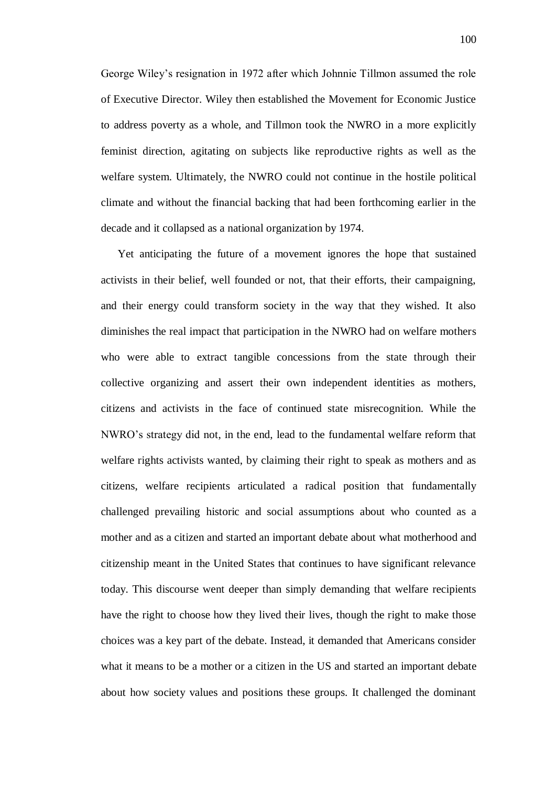George Wiley's resignation in 1972 after which Johnnie Tillmon assumed the role of Executive Director. Wiley then established the Movement for Economic Justice to address poverty as a whole, and Tillmon took the NWRO in a more explicitly feminist direction, agitating on subjects like reproductive rights as well as the welfare system. Ultimately, the NWRO could not continue in the hostile political climate and without the financial backing that had been forthcoming earlier in the decade and it collapsed as a national organization by 1974.

Yet anticipating the future of a movement ignores the hope that sustained activists in their belief, well founded or not, that their efforts, their campaigning, and their energy could transform society in the way that they wished. It also diminishes the real impact that participation in the NWRO had on welfare mothers who were able to extract tangible concessions from the state through their collective organizing and assert their own independent identities as mothers, citizens and activists in the face of continued state misrecognition. While the NWRO's strategy did not, in the end, lead to the fundamental welfare reform that welfare rights activists wanted, by claiming their right to speak as mothers and as citizens, welfare recipients articulated a radical position that fundamentally challenged prevailing historic and social assumptions about who counted as a mother and as a citizen and started an important debate about what motherhood and citizenship meant in the United States that continues to have significant relevance today. This discourse went deeper than simply demanding that welfare recipients have the right to choose how they lived their lives, though the right to make those choices was a key part of the debate. Instead, it demanded that Americans consider what it means to be a mother or a citizen in the US and started an important debate about how society values and positions these groups. It challenged the dominant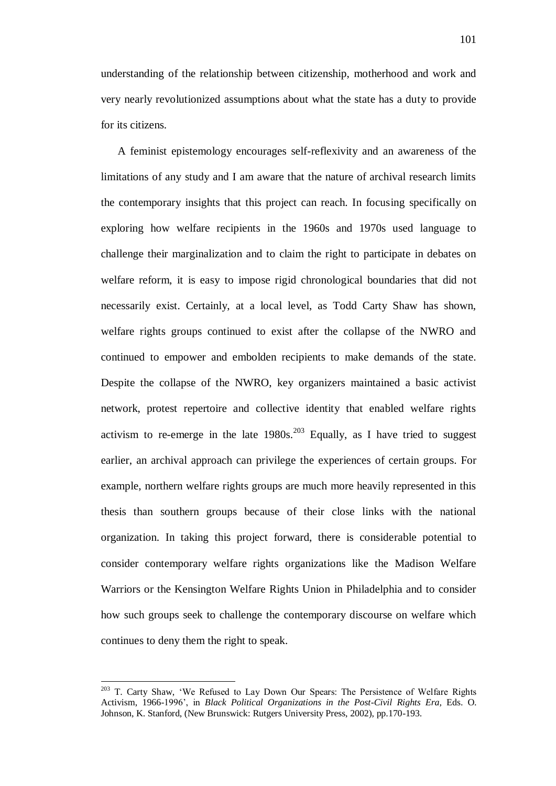understanding of the relationship between citizenship, motherhood and work and very nearly revolutionized assumptions about what the state has a duty to provide for its citizens.

A feminist epistemology encourages self-reflexivity and an awareness of the limitations of any study and I am aware that the nature of archival research limits the contemporary insights that this project can reach. In focusing specifically on exploring how welfare recipients in the 1960s and 1970s used language to challenge their marginalization and to claim the right to participate in debates on welfare reform, it is easy to impose rigid chronological boundaries that did not necessarily exist. Certainly, at a local level, as Todd Carty Shaw has shown, welfare rights groups continued to exist after the collapse of the NWRO and continued to empower and embolden recipients to make demands of the state. Despite the collapse of the NWRO, key organizers maintained a basic activist network, protest repertoire and collective identity that enabled welfare rights activism to re-emerge in the late  $1980s$ .<sup>203</sup> Equally, as I have tried to suggest earlier, an archival approach can privilege the experiences of certain groups. For example, northern welfare rights groups are much more heavily represented in this thesis than southern groups because of their close links with the national organization. In taking this project forward, there is considerable potential to consider contemporary welfare rights organizations like the Madison Welfare Warriors or the Kensington Welfare Rights Union in Philadelphia and to consider how such groups seek to challenge the contemporary discourse on welfare which continues to deny them the right to speak.

<sup>&</sup>lt;sup>203</sup> T. Carty Shaw, 'We Refused to Lay Down Our Spears: The Persistence of Welfare Rights Activism, 1966-1996', in *Black Political Organizations in the Post-Civil Rights Era*, Eds. O. Johnson, K. Stanford, (New Brunswick: Rutgers University Press, 2002), pp.170-193.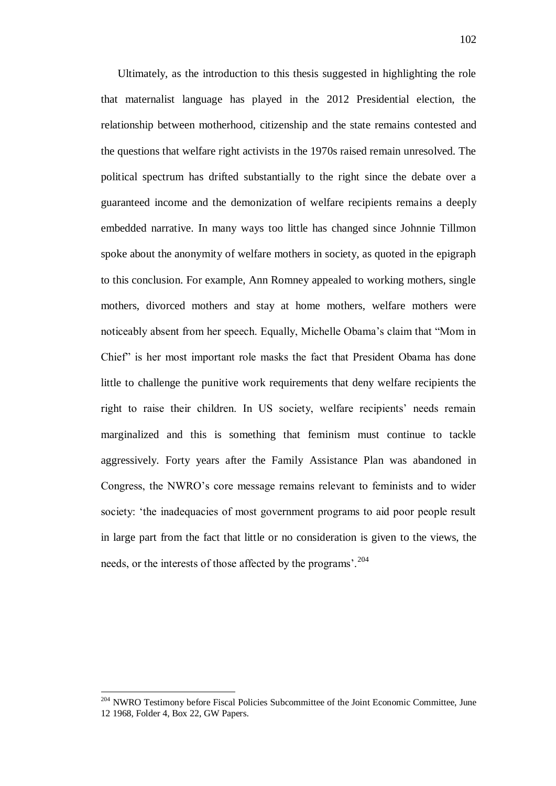Ultimately, as the introduction to this thesis suggested in highlighting the role that maternalist language has played in the 2012 Presidential election, the relationship between motherhood, citizenship and the state remains contested and the questions that welfare right activists in the 1970s raised remain unresolved. The political spectrum has drifted substantially to the right since the debate over a guaranteed income and the demonization of welfare recipients remains a deeply embedded narrative. In many ways too little has changed since Johnnie Tillmon spoke about the anonymity of welfare mothers in society, as quoted in the epigraph to this conclusion. For example, Ann Romney appealed to working mothers, single mothers, divorced mothers and stay at home mothers, welfare mothers were noticeably absent from her speech. Equally, Michelle Obama's claim that "Mom in Chief" is her most important role masks the fact that President Obama has done little to challenge the punitive work requirements that deny welfare recipients the right to raise their children. In US society, welfare recipients' needs remain marginalized and this is something that feminism must continue to tackle aggressively. Forty years after the Family Assistance Plan was abandoned in Congress, the NWRO's core message remains relevant to feminists and to wider society: 'the inadequacies of most government programs to aid poor people result in large part from the fact that little or no consideration is given to the views, the needs, or the interests of those affected by the programs'.<sup>204</sup>

<sup>&</sup>lt;sup>204</sup> NWRO Testimony before Fiscal Policies Subcommittee of the Joint Economic Committee, June 12 1968, Folder 4, Box 22, GW Papers.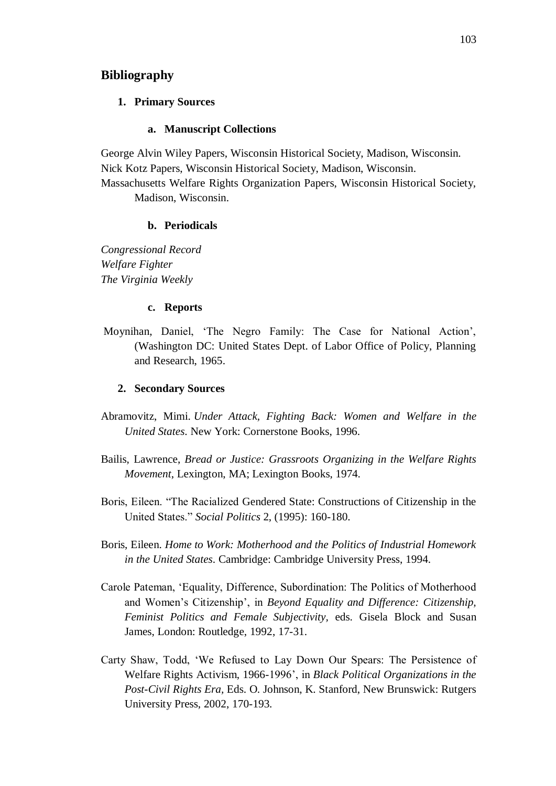# **Bibliography**

## **1. Primary Sources**

## **a. Manuscript Collections**

George Alvin Wiley Papers, Wisconsin Historical Society, Madison, Wisconsin. Nick Kotz Papers, Wisconsin Historical Society, Madison, Wisconsin. Massachusetts Welfare Rights Organization Papers, Wisconsin Historical Society, Madison, Wisconsin.

## **b. Periodicals**

*Congressional Record Welfare Fighter The Virginia Weekly*

### **c. Reports**

Moynihan, Daniel, 'The Negro Family: The Case for National Action', (Washington DC: United States Dept. of Labor Office of Policy, Planning and Research, 1965.

## **2. Secondary Sources**

- Abramovitz, Mimi. *Under Attack, Fighting Back: Women and Welfare in the United States*. New York: Cornerstone Books, 1996.
- Bailis, Lawrence, *Bread or Justice: Grassroots Organizing in the Welfare Rights Movement*, Lexington, MA; Lexington Books, 1974.
- Boris, Eileen. "The Racialized Gendered State: Constructions of Citizenship in the United States." *Social Politics* 2, (1995): 160-180.
- Boris, Eileen. *Home to Work: Motherhood and the Politics of Industrial Homework in the United States*. Cambridge: Cambridge University Press, 1994.
- Carole Pateman, 'Equality, Difference, Subordination: The Politics of Motherhood and Women's Citizenship', in *Beyond Equality and Difference: Citizenship, Feminist Politics and Female Subjectivity,* eds. Gisela Block and Susan James, London: Routledge, 1992, 17-31.
- Carty Shaw, Todd, 'We Refused to Lay Down Our Spears: The Persistence of Welfare Rights Activism, 1966-1996', in *Black Political Organizations in the Post-Civil Rights Era,* Eds. O. Johnson, K. Stanford, New Brunswick: Rutgers University Press, 2002, 170-193.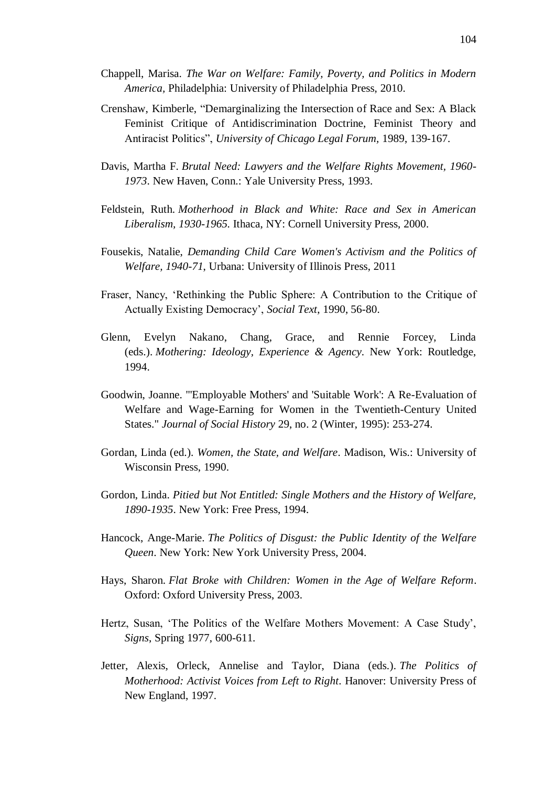- Chappell, Marisa. *The War on Welfare: Family, Poverty, and Politics in Modern America,* Philadelphia: University of Philadelphia Press, 2010.
- Crenshaw, Kimberle, "Demarginalizing the Intersection of Race and Sex: A Black Feminist Critique of Antidiscrimination Doctrine, Feminist Theory and Antiracist Politics", *University of Chicago Legal Forum,* 1989, 139-167.
- Davis, Martha F. *Brutal Need: Lawyers and the Welfare Rights Movement, 1960- 1973*. New Haven, Conn.: Yale University Press, 1993.
- Feldstein, Ruth. *Motherhood in Black and White: Race and Sex in American Liberalism, 1930-1965.* Ithaca, NY: Cornell University Press, 2000.
- Fousekis, Natalie, *Demanding Child Care Women's Activism and the Politics of Welfare, 1940-71*, Urbana: University of Illinois Press, 2011
- Fraser, Nancy, 'Rethinking the Public Sphere: A Contribution to the Critique of Actually Existing Democracy', *Social Text*, 1990, 56-80.
- Glenn, Evelyn Nakano, Chang, Grace, and Rennie Forcey, Linda (eds.). *Mothering: Ideology, Experience & Agency*. New York: Routledge, 1994.
- Goodwin, Joanne. "'Employable Mothers' and 'Suitable Work': A Re-Evaluation of Welfare and Wage-Earning for Women in the Twentieth-Century United States." *Journal of Social History* 29, no. 2 (Winter, 1995): 253-274.
- Gordan, Linda (ed.). *Women, the State, and Welfare*. Madison, Wis.: University of Wisconsin Press, 1990.
- Gordon, Linda. *Pitied but Not Entitled: Single Mothers and the History of Welfare, 1890-1935*. New York: Free Press, 1994.
- Hancock, Ange-Marie. *The Politics of Disgust: the Public Identity of the Welfare Queen*. New York: New York University Press, 2004.
- Hays, Sharon. *Flat Broke with Children: Women in the Age of Welfare Reform*. Oxford: Oxford University Press, 2003.
- Hertz, Susan, 'The Politics of the Welfare Mothers Movement: A Case Study', *Signs*, Spring 1977, 600-611.
- Jetter, Alexis, Orleck, Annelise and Taylor, Diana (eds.). *The Politics of Motherhood: Activist Voices from Left to Right*. Hanover: University Press of New England, 1997.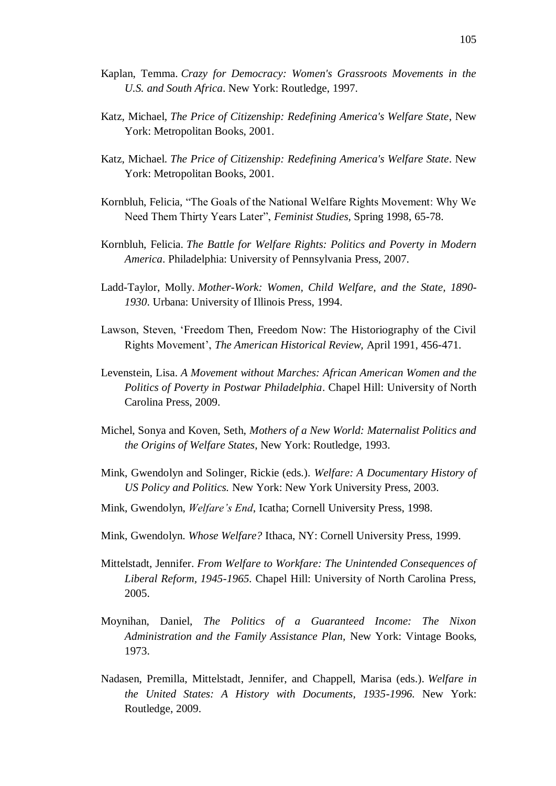- Kaplan, Temma. *Crazy for Democracy: Women's Grassroots Movements in the U.S. and South Africa*. New York: Routledge, 1997.
- Katz, Michael, *The Price of Citizenship: Redefining America's Welfare State*, New York: Metropolitan Books, 2001.
- Katz, Michael. *The Price of Citizenship: Redefining America's Welfare State*. New York: Metropolitan Books, 2001.
- Kornbluh, Felicia, "The Goals of the National Welfare Rights Movement: Why We Need Them Thirty Years Later", *Feminist Studies,* Spring 1998, 65-78.
- Kornbluh, Felicia. *The Battle for Welfare Rights: Politics and Poverty in Modern America*. Philadelphia: University of Pennsylvania Press, 2007.
- Ladd-Taylor, Molly. *Mother-Work: Women, Child Welfare, and the State, 1890- 1930*. Urbana: University of Illinois Press, 1994.
- Lawson, Steven, 'Freedom Then, Freedom Now: The Historiography of the Civil Rights Movement', *The American Historical Review,* April 1991, 456-471.
- Levenstein, Lisa. *A Movement without Marches: African American Women and the Politics of Poverty in Postwar Philadelphia*. Chapel Hill: University of North Carolina Press, 2009.
- Michel, Sonya and Koven, Seth, *Mothers of a New World: Maternalist Politics and the Origins of Welfare States*, New York: Routledge, 1993.
- Mink, Gwendolyn and Solinger, Rickie (eds.). *Welfare: A Documentary History of US Policy and Politics.* New York: New York University Press, 2003.
- Mink, Gwendolyn, *Welfare's End*, Icatha; Cornell University Press, 1998.
- Mink, Gwendolyn. *Whose Welfare?* Ithaca, NY: Cornell University Press, 1999.
- Mittelstadt, Jennifer. *From Welfare to Workfare: The Unintended Consequences of Liberal Reform, 1945-1965*. Chapel Hill: University of North Carolina Press, 2005.
- Moynihan, Daniel, *The Politics of a Guaranteed Income: The Nixon Administration and the Family Assistance Plan,* New York: Vintage Books, 1973.
- Nadasen, Premilla, Mittelstadt, Jennifer, and Chappell, Marisa (eds.). *Welfare in the United States: A History with Documents, 1935-1996*. New York: Routledge, 2009.